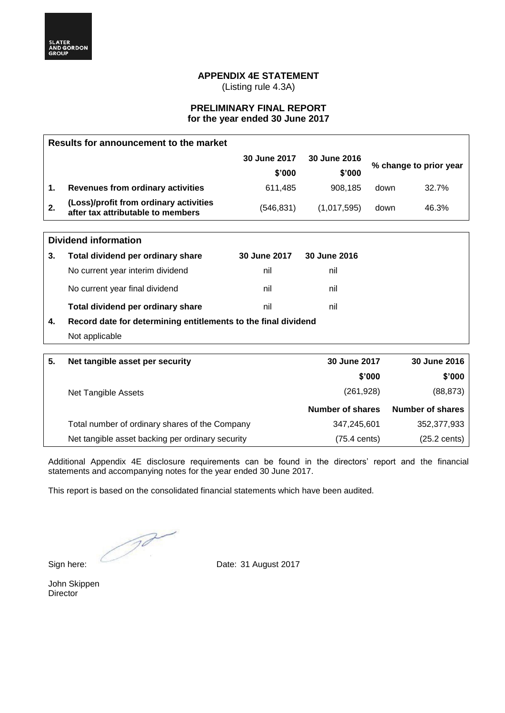### **APPENDIX 4E STATEMENT**

(Listing rule 4.3A)

### **PRELIMINARY FINAL REPORT for the year ended 30 June 2017**

|    | Results for announcement to the market                                      |              |              |      |                        |
|----|-----------------------------------------------------------------------------|--------------|--------------|------|------------------------|
|    |                                                                             | 30 June 2017 | 30 June 2016 |      |                        |
|    |                                                                             | \$'000       | \$'000       |      | % change to prior year |
| 1. | <b>Revenues from ordinary activities</b>                                    | 611,485      | 908,185      | down | 32.7%                  |
| 2. | (Loss)/profit from ordinary activities<br>after tax attributable to members | (546, 831)   | (1,017,595)  | down | 46.3%                  |
|    |                                                                             |              |              |      |                        |
|    | <b>Dividend information</b>                                                 |              |              |      |                        |
| 3. | Total dividend per ordinary share                                           | 30 June 2017 | 30 June 2016 |      |                        |
|    | No current year interim dividend                                            | nil          | nil          |      |                        |
|    | No current year final dividend                                              | nil          | nil          |      |                        |
|    | Total dividend per ordinary share                                           | nil          | nil          |      |                        |
| 4. | Record date for determining entitlements to the final dividend              |              |              |      |                        |
|    | Not applicable                                                              |              |              |      |                        |
|    |                                                                             |              |              |      |                        |
|    |                                                                             |              |              |      |                        |

| 5. | Net tangible asset per security                  | 30 June 2017           | 30 June 2016           |
|----|--------------------------------------------------|------------------------|------------------------|
|    |                                                  | \$'000                 | \$'000                 |
|    | Net Tangible Assets                              | (261, 928)             | (88, 873)              |
|    |                                                  | Number of shares       | Number of shares       |
|    | Total number of ordinary shares of the Company   | 347,245,601            | 352,377,933            |
|    | Net tangible asset backing per ordinary security | $(75.4 \text{ cents})$ | $(25.2 \text{ cents})$ |

Additional Appendix 4E disclosure requirements can be found in the directors' report and the financial statements and accompanying notes for the year ended 30 June 2017.

This report is based on the consolidated financial statements which have been audited.

Sign here: Date: 31 August 2017

John Skippen Director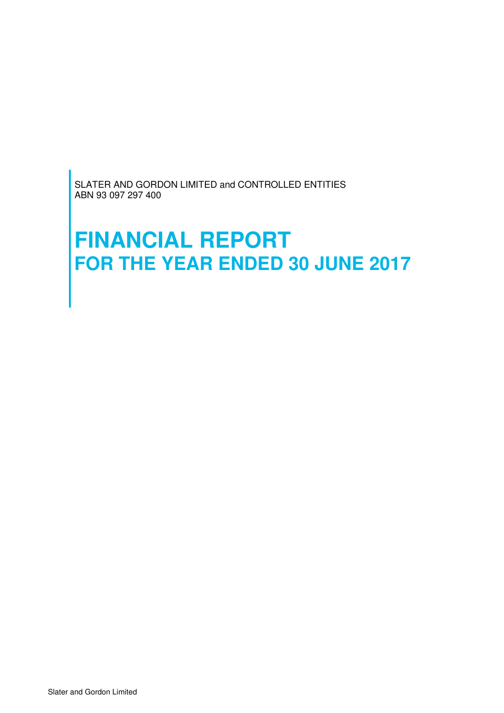SLATER AND GORDON LIMITED and CONTROLLED ENTITIES ABN 93 097 297 400

# **FINANCIAL REPORT FOR THE YEAR ENDED 30 JUNE 2017**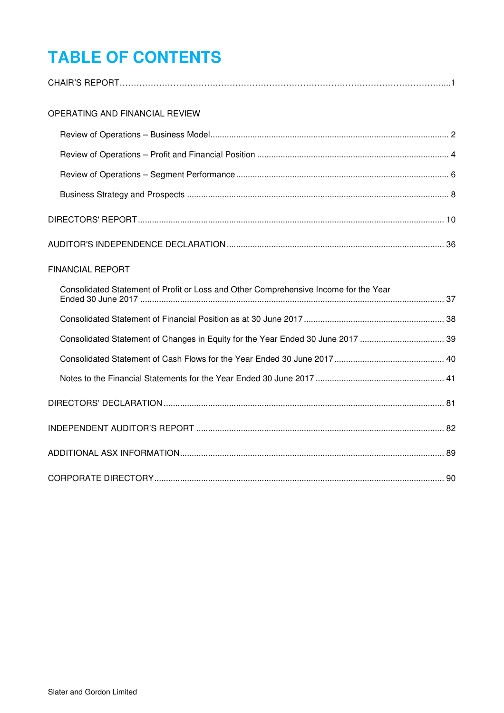## **TABLE OF CONTENTS**

| OPERATING AND FINANCIAL REVIEW                                                       |
|--------------------------------------------------------------------------------------|
|                                                                                      |
|                                                                                      |
|                                                                                      |
|                                                                                      |
|                                                                                      |
|                                                                                      |
| <b>FINANCIAL REPORT</b>                                                              |
| Consolidated Statement of Profit or Loss and Other Comprehensive Income for the Year |
|                                                                                      |
| Consolidated Statement of Changes in Equity for the Year Ended 30 June 2017  39      |
|                                                                                      |
|                                                                                      |
|                                                                                      |
|                                                                                      |
|                                                                                      |
|                                                                                      |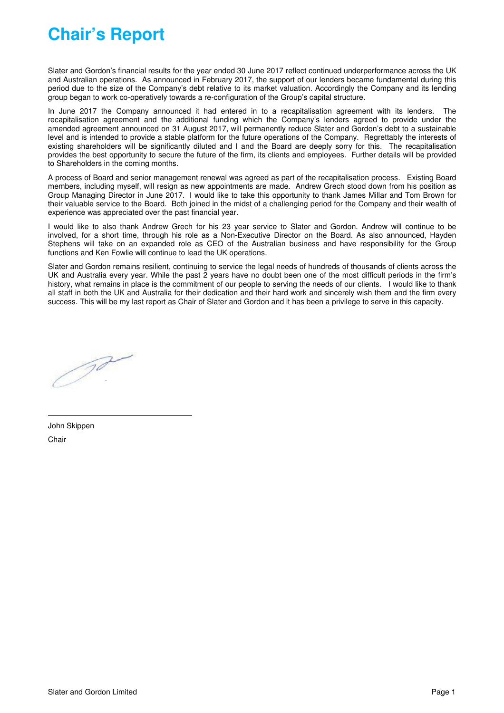## **Chair's Report**

Slater and Gordon's financial results for the year ended 30 June 2017 reflect continued underperformance across the UK and Australian operations. As announced in February 2017, the support of our lenders became fundamental during this period due to the size of the Company's debt relative to its market valuation. Accordingly the Company and its lending group began to work co-operatively towards a re-configuration of the Group's capital structure.

In June 2017 the Company announced it had entered in to a recapitalisation agreement with its lenders. The recapitalisation agreement and the additional funding which the Company's lenders agreed to provide under the amended agreement announced on 31 August 2017, will permanently reduce Slater and Gordon's debt to a sustainable level and is intended to provide a stable platform for the future operations of the Company. Regrettably the interests of existing shareholders will be significantly diluted and I and the Board are deeply sorry for this. The recapitalisation provides the best opportunity to secure the future of the firm, its clients and employees. Further details will be provided to Shareholders in the coming months.

A process of Board and senior management renewal was agreed as part of the recapitalisation process. Existing Board members, including myself, will resign as new appointments are made. Andrew Grech stood down from his position as Group Managing Director in June 2017. I would like to take this opportunity to thank James Millar and Tom Brown for their valuable service to the Board. Both joined in the midst of a challenging period for the Company and their wealth of experience was appreciated over the past financial year.

I would like to also thank Andrew Grech for his 23 year service to Slater and Gordon. Andrew will continue to be involved, for a short time, through his role as a Non-Executive Director on the Board. As also announced, Hayden Stephens will take on an expanded role as CEO of the Australian business and have responsibility for the Group functions and Ken Fowlie will continue to lead the UK operations.

Slater and Gordon remains resilient, continuing to service the legal needs of hundreds of thousands of clients across the UK and Australia every year. While the past 2 years have no doubt been one of the most difficult periods in the firm's history, what remains in place is the commitment of our people to serving the needs of our clients. I would like to thank all staff in both the UK and Australia for their dedication and their hard work and sincerely wish them and the firm every success. This will be my last report as Chair of Slater and Gordon and it has been a privilege to serve in this capacity.

 $\widehat{\mathcal{P}}$ 

John Skippen Chair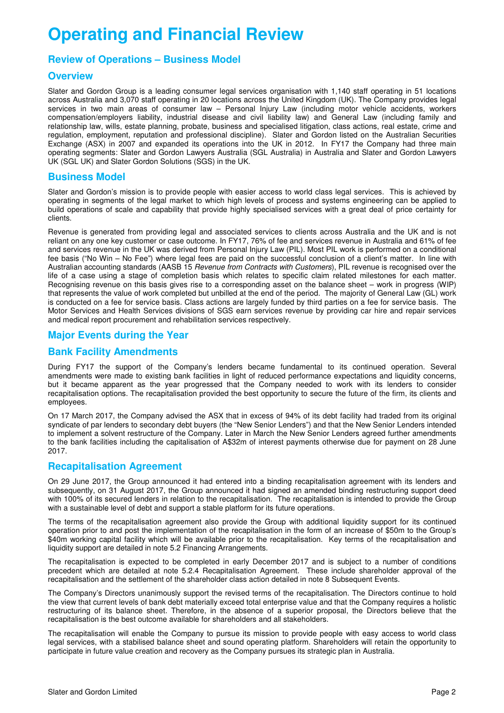## **Review of Operations – Business Model**

### **Overview**

Slater and Gordon Group is a leading consumer legal services organisation with 1,140 staff operating in 51 locations across Australia and 3,070 staff operating in 20 locations across the United Kingdom (UK). The Company provides legal services in two main areas of consumer law – Personal Injury Law (including motor vehicle accidents, workers compensation/employers liability, industrial disease and civil liability law) and General Law (including family and relationship law, wills, estate planning, probate, business and specialised litigation, class actions, real estate, crime and regulation, employment, reputation and professional discipline). Slater and Gordon listed on the Australian Securities Exchange (ASX) in 2007 and expanded its operations into the UK in 2012. In FY17 the Company had three main operating segments: Slater and Gordon Lawyers Australia (SGL Australia) in Australia and Slater and Gordon Lawyers UK (SGL UK) and Slater Gordon Solutions (SGS) in the UK.

### **Business Model**

Slater and Gordon's mission is to provide people with easier access to world class legal services. This is achieved by operating in segments of the legal market to which high levels of process and systems engineering can be applied to build operations of scale and capability that provide highly specialised services with a great deal of price certainty for clients.

Revenue is generated from providing legal and associated services to clients across Australia and the UK and is not reliant on any one key customer or case outcome. In FY17, 76% of fee and services revenue in Australia and 61% of fee and services revenue in the UK was derived from Personal Injury Law (PIL). Most PIL work is performed on a conditional fee basis ("No Win – No Fee") where legal fees are paid on the successful conclusion of a client's matter. In line with Australian accounting standards (AASB 15 Revenue from Contracts with Customers), PIL revenue is recognised over the life of a case using a stage of completion basis which relates to specific claim related milestones for each matter. Recognising revenue on this basis gives rise to a corresponding asset on the balance sheet – work in progress (WIP) that represents the value of work completed but unbilled at the end of the period. The majority of General Law (GL) work is conducted on a fee for service basis. Class actions are largely funded by third parties on a fee for service basis. The Motor Services and Health Services divisions of SGS earn services revenue by providing car hire and repair services and medical report procurement and rehabilitation services respectively.

## **Major Events during the Year**

### **Bank Facility Amendments**

During FY17 the support of the Company's lenders became fundamental to its continued operation. Several amendments were made to existing bank facilities in light of reduced performance expectations and liquidity concerns, but it became apparent as the year progressed that the Company needed to work with its lenders to consider recapitalisation options. The recapitalisation provided the best opportunity to secure the future of the firm, its clients and employees.

On 17 March 2017, the Company advised the ASX that in excess of 94% of its debt facility had traded from its original syndicate of par lenders to secondary debt buyers (the "New Senior Lenders") and that the New Senior Lenders intended to implement a solvent restructure of the Company. Later in March the New Senior Lenders agreed further amendments to the bank facilities including the capitalisation of A\$32m of interest payments otherwise due for payment on 28 June 2017.

### **Recapitalisation Agreement**

On 29 June 2017, the Group announced it had entered into a binding recapitalisation agreement with its lenders and subsequently, on 31 August 2017, the Group announced it had signed an amended binding restructuring support deed with 100% of its secured lenders in relation to the recapitalisation. The recapitalisation is intended to provide the Group with a sustainable level of debt and support a stable platform for its future operations.

The terms of the recapitalisation agreement also provide the Group with additional liquidity support for its continued operation prior to and post the implementation of the recapitalisation in the form of an increase of \$50m to the Group's \$40m working capital facility which will be available prior to the recapitalisation. Key terms of the recapitalisation and liquidity support are detailed in note 5.2 Financing Arrangements.

The recapitalisation is expected to be completed in early December 2017 and is subject to a number of conditions precedent which are detailed at note 5.2.4 Recapitalisation Agreement. These include shareholder approval of the recapitalisation and the settlement of the shareholder class action detailed in note 8 Subsequent Events.

The Company's Directors unanimously support the revised terms of the recapitalisation. The Directors continue to hold the view that current levels of bank debt materially exceed total enterprise value and that the Company requires a holistic restructuring of its balance sheet. Therefore, in the absence of a superior proposal, the Directors believe that the recapitalisation is the best outcome available for shareholders and all stakeholders.

The recapitalisation will enable the Company to pursue its mission to provide people with easy access to world class legal services, with a stabilised balance sheet and sound operating platform. Shareholders will retain the opportunity to participate in future value creation and recovery as the Company pursues its strategic plan in Australia.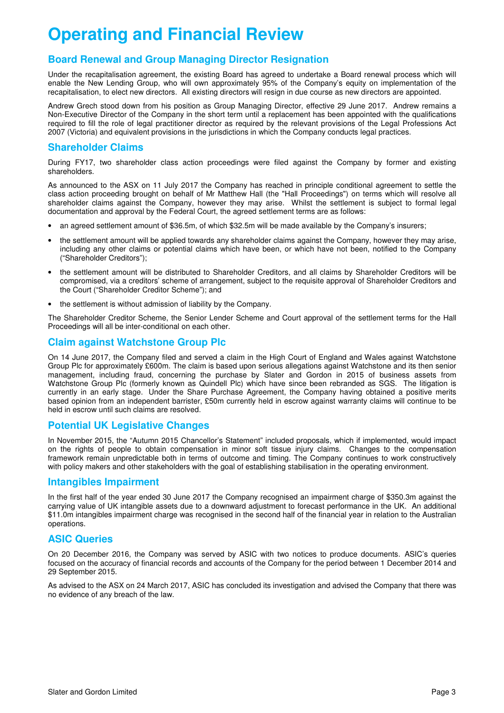## **Board Renewal and Group Managing Director Resignation**

Under the recapitalisation agreement, the existing Board has agreed to undertake a Board renewal process which will enable the New Lending Group, who will own approximately 95% of the Company's equity on implementation of the recapitalisation, to elect new directors. All existing directors will resign in due course as new directors are appointed.

Andrew Grech stood down from his position as Group Managing Director, effective 29 June 2017. Andrew remains a Non-Executive Director of the Company in the short term until a replacement has been appointed with the qualifications required to fill the role of legal practitioner director as required by the relevant provisions of the Legal Professions Act 2007 (Victoria) and equivalent provisions in the jurisdictions in which the Company conducts legal practices.

### **Shareholder Claims**

During FY17, two shareholder class action proceedings were filed against the Company by former and existing shareholders.

As announced to the ASX on 11 July 2017 the Company has reached in principle conditional agreement to settle the class action proceeding brought on behalf of Mr Matthew Hall (the "Hall Proceedings") on terms which will resolve all shareholder claims against the Company, however they may arise. Whilst the settlement is subject to formal legal documentation and approval by the Federal Court, the agreed settlement terms are as follows:

- an agreed settlement amount of \$36.5m, of which \$32.5m will be made available by the Company's insurers;
- the settlement amount will be applied towards any shareholder claims against the Company, however they may arise, including any other claims or potential claims which have been, or which have not been, notified to the Company ("Shareholder Creditors");
- the settlement amount will be distributed to Shareholder Creditors, and all claims by Shareholder Creditors will be compromised, via a creditors' scheme of arrangement, subject to the requisite approval of Shareholder Creditors and the Court ("Shareholder Creditor Scheme"); and
- the settlement is without admission of liability by the Company.

The Shareholder Creditor Scheme, the Senior Lender Scheme and Court approval of the settlement terms for the Hall Proceedings will all be inter-conditional on each other.

## **Claim against Watchstone Group Plc**

On 14 June 2017, the Company filed and served a claim in the High Court of England and Wales against Watchstone Group Plc for approximately £600m. The claim is based upon serious allegations against Watchstone and its then senior management, including fraud, concerning the purchase by Slater and Gordon in 2015 of business assets from Watchstone Group Plc (formerly known as Quindell Plc) which have since been rebranded as SGS. The litigation is currently in an early stage. Under the Share Purchase Agreement, the Company having obtained a positive merits based opinion from an independent barrister, £50m currently held in escrow against warranty claims will continue to be held in escrow until such claims are resolved.

## **Potential UK Legislative Changes**

In November 2015, the "Autumn 2015 Chancellor's Statement" included proposals, which if implemented, would impact on the rights of people to obtain compensation in minor soft tissue injury claims. Changes to the compensation framework remain unpredictable both in terms of outcome and timing. The Company continues to work constructively with policy makers and other stakeholders with the goal of establishing stabilisation in the operating environment.

### **Intangibles Impairment**

In the first half of the year ended 30 June 2017 the Company recognised an impairment charge of \$350.3m against the carrying value of UK intangible assets due to a downward adjustment to forecast performance in the UK. An additional \$11.0m intangibles impairment charge was recognised in the second half of the financial year in relation to the Australian operations.

## **ASIC Queries**

On 20 December 2016, the Company was served by ASIC with two notices to produce documents. ASIC's queries focused on the accuracy of financial records and accounts of the Company for the period between 1 December 2014 and 29 September 2015.

As advised to the ASX on 24 March 2017, ASIC has concluded its investigation and advised the Company that there was no evidence of any breach of the law.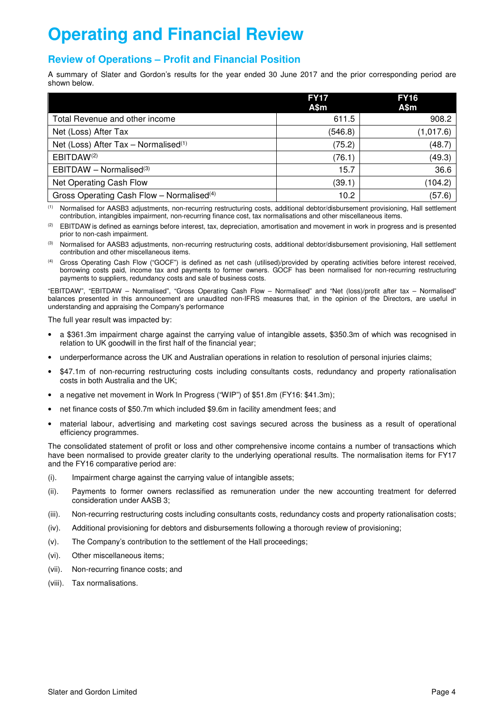## **Review of Operations – Profit and Financial Position**

A summary of Slater and Gordon's results for the year ended 30 June 2017 and the prior corresponding period are shown below.

|                                                       | <b>FY17</b><br>A\$m | <b>FY16</b><br>A\$m |
|-------------------------------------------------------|---------------------|---------------------|
| Total Revenue and other income                        | 611.5               | 908.2               |
| Net (Loss) After Tax                                  | (546.8)             | (1,017.6)           |
| Net (Loss) After Tax - Normalised <sup>(1)</sup>      | (75.2)              | (48.7)              |
| EBITDAW <sup>(2)</sup>                                | (76.1)              | (49.3)              |
| EBITDAW - Normalised <sup>(3)</sup>                   | 15.7                | 36.6                |
| Net Operating Cash Flow                               | (39.1)              | (104.2)             |
| Gross Operating Cash Flow - Normalised <sup>(4)</sup> | 10.2                | (57.6)              |

(1) Normalised for AASB3 adjustments, non-recurring restructuring costs, additional debtor/disbursement provisioning, Hall settlement contribution, intangibles impairment, non-recurring finance cost, tax normalisations and other miscellaneous items.

- (2) EBITDAW is defined as earnings before interest, tax, depreciation, amortisation and movement in work in progress and is presented prior to non-cash impairment.
- (3) Normalised for AASB3 adjustments, non-recurring restructuring costs, additional debtor/disbursement provisioning, Hall settlement contribution and other miscellaneous items.
- (4) Gross Operating Cash Flow ("GOCF") is defined as net cash (utilised)/provided by operating activities before interest received, borrowing costs paid, income tax and payments to former owners. GOCF has been normalised for non-recurring restructuring payments to suppliers, redundancy costs and sale of business costs.

"EBITDAW", "EBITDAW – Normalised", "Gross Operating Cash Flow – Normalised" and "Net (loss)/profit after tax – Normalised" balances presented in this announcement are unaudited non-IFRS measures that, in the opinion of the Directors, are useful in understanding and appraising the Company's performance

The full year result was impacted by:

- a \$361.3m impairment charge against the carrying value of intangible assets, \$350.3m of which was recognised in relation to UK goodwill in the first half of the financial year;
- underperformance across the UK and Australian operations in relation to resolution of personal injuries claims;
- \$47.1m of non-recurring restructuring costs including consultants costs, redundancy and property rationalisation costs in both Australia and the UK;
- a negative net movement in Work In Progress ("WIP") of \$51.8m (FY16: \$41.3m);
- net finance costs of \$50.7m which included \$9.6m in facility amendment fees; and
- material labour, advertising and marketing cost savings secured across the business as a result of operational efficiency programmes.

The consolidated statement of profit or loss and other comprehensive income contains a number of transactions which have been normalised to provide greater clarity to the underlying operational results. The normalisation items for FY17 and the FY16 comparative period are:

- (i). Impairment charge against the carrying value of intangible assets;
- (ii). Payments to former owners reclassified as remuneration under the new accounting treatment for deferred consideration under AASB 3;
- (iii). Non-recurring restructuring costs including consultants costs, redundancy costs and property rationalisation costs;
- (iv). Additional provisioning for debtors and disbursements following a thorough review of provisioning;
- (v). The Company's contribution to the settlement of the Hall proceedings;
- (vi). Other miscellaneous items;
- (vii). Non-recurring finance costs; and
- (viii). Tax normalisations.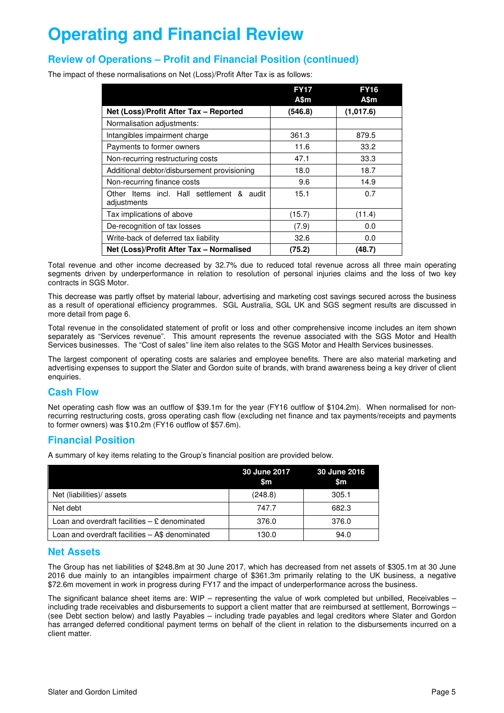## **Review of Operations – Profit and Financial Position (continued)**

The impact of these normalisations on Net (Loss)/Profit After Tax is as follows:

|                                                                | <b>FY17</b><br>A\$m | <b>FY16</b><br>A\$m |
|----------------------------------------------------------------|---------------------|---------------------|
| Net (Loss)/Profit After Tax - Reported                         | (546.8)             | (1,017.6)           |
| Normalisation adjustments:                                     |                     |                     |
| Intangibles impairment charge                                  | 361.3               | 879.5               |
| Payments to former owners                                      | 11.6                | 33.2                |
| Non-recurring restructuring costs                              | 47.1                | 33.3                |
| Additional debtor/disbursement provisioning                    | 18.0                | 18.7                |
| Non-recurring finance costs                                    | 9.6                 | 14.9                |
| Items incl. Hall settlement &<br>Other<br>audit<br>adjustments | 15.1                | 0.7                 |
| Tax implications of above                                      | (15.7)              | (11.4)              |
| De-recognition of tax losses                                   | (7.9)               | 0.0                 |
| Write-back of deferred tax liability                           | 32.6                | 0.0                 |
| Net (Loss)/Profit After Tax - Normalised                       | (75.2)              | (48.7)              |

Total revenue and other income decreased by 32.7% due to reduced total revenue across all three main operating segments driven by underperformance in relation to resolution of personal injuries claims and the loss of two key contracts in SGS Motor.

This decrease was partly offset by material labour, advertising and marketing cost savings secured across the business as a result of operational efficiency programmes. SGL Australia, SGL UK and SGS segment results are discussed in more detail from page 6.

Total revenue in the consolidated statement of profit or loss and other comprehensive income includes an item shown separately as "Services revenue". This amount represents the revenue associated with the SGS Motor and Health Services businesses. The "Cost of sales" line item also relates to the SGS Motor and Health Services businesses.

The largest component of operating costs are salaries and employee benefits. There are also material marketing and advertising expenses to support the Slater and Gordon suite of brands, with brand awareness being a key driver of client enquiries.

## **Cash Flow**

Net operating cash flow was an outflow of \$39.1m for the year (FY16 outflow of \$104.2m). When normalised for nonrecurring restructuring costs, gross operating cash flow (excluding net finance and tax payments/receipts and payments to former owners) was \$10.2m (FY16 outflow of \$57.6m).

## **Financial Position**

A summary of key items relating to the Group's financial position are provided below.

|                                                 | <b>30 June 2017</b><br>\$m | 30 June 2016<br>\$m |
|-------------------------------------------------|----------------------------|---------------------|
| Net (liabilities)/ assets                       | (248.8)                    | 305.1               |
| Net debt                                        | 747.7                      | 682.3               |
| Loan and overdraft facilities $-$ £ denominated | 376.0                      | 376.0               |
| Loan and overdraft facilities - A\$ denominated | 130.0                      | 94.0                |

## **Net Assets**

The Group has net liabilities of \$248.8m at 30 June 2017, which has decreased from net assets of \$305.1m at 30 June 2016 due mainly to an intangibles impairment charge of \$361.3m primarily relating to the UK business, a negative \$72.6m movement in work in progress during FY17 and the impact of underperformance across the business.

The significant balance sheet items are: WIP – representing the value of work completed but unbilled, Receivables – including trade receivables and disbursements to support a client matter that are reimbursed at settlement, Borrowings – (see Debt section below) and lastly Payables – including trade payables and legal creditors where Slater and Gordon has arranged deferred conditional payment terms on behalf of the client in relation to the disbursements incurred on a client matter.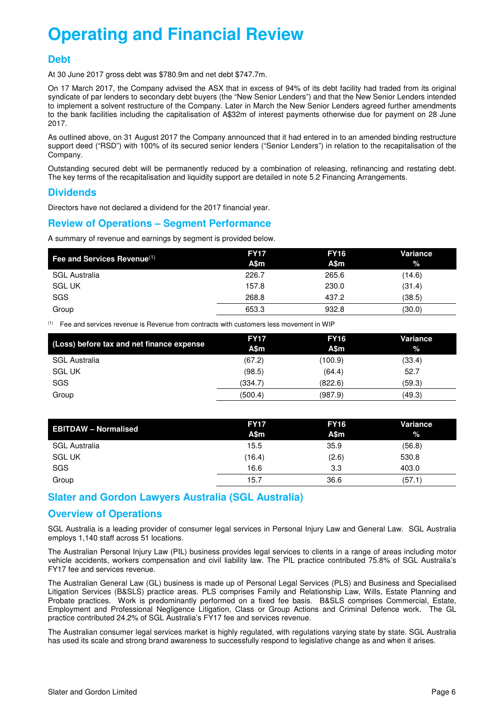## **Debt**

At 30 June 2017 gross debt was \$780.9m and net debt \$747.7m.

On 17 March 2017, the Company advised the ASX that in excess of 94% of its debt facility had traded from its original syndicate of par lenders to secondary debt buyers (the "New Senior Lenders") and that the New Senior Lenders intended to implement a solvent restructure of the Company. Later in March the New Senior Lenders agreed further amendments to the bank facilities including the capitalisation of A\$32m of interest payments otherwise due for payment on 28 June 2017.

As outlined above, on 31 August 2017 the Company announced that it had entered in to an amended binding restructure support deed ("RSD") with 100% of its secured senior lenders ("Senior Lenders") in relation to the recapitalisation of the Company.

Outstanding secured debt will be permanently reduced by a combination of releasing, refinancing and restating debt. The key terms of the recapitalisation and liquidity support are detailed in note 5.2 Financing Arrangements.

### **Dividends**

Directors have not declared a dividend for the 2017 financial year.

### **Review of Operations – Segment Performance**

A summary of revenue and earnings by segment is provided below.

| Fee and Services Revenue <sup>(1)</sup> | <b>FY17</b> | <b>FY16</b> | Variance |
|-----------------------------------------|-------------|-------------|----------|
|                                         | A\$m        | <b>A</b> Sm | $\%$     |
| SGL Australia                           | 226.7       | 265.6       | (14.6)   |
| <b>SGL UK</b>                           | 157.8       | 230.0       | (31.4)   |
| SGS                                     | 268.8       | 437.2       | (38.5)   |
| Group                                   | 653.3       | 932.8       | (30.0)   |

(1) Fee and services revenue is Revenue from contracts with customers less movement in WIP

| (Loss) before tax and net finance expense | <b>FY17</b><br>A\$m | <b>FY16</b><br><b>A</b> \$m | Variance<br>$\%$ |
|-------------------------------------------|---------------------|-----------------------------|------------------|
| <b>SGL Australia</b>                      | (67.2)              | (100.9)                     | (33.4)           |
| <b>SGL UK</b>                             | (98.5)              | (64.4)                      | 52.7             |
| SGS                                       | (334.7)             | (822.6)                     | (59.3)           |
| Group                                     | (500.4)             | (987.9)                     | (49.3)           |

| <b>EBITDAW - Normalised</b> | <b>FY17</b><br>A\$m | <b>FY16</b><br>A\$m | Variance<br>$\%$ |
|-----------------------------|---------------------|---------------------|------------------|
| <b>SGL Australia</b>        | 15.5                | 35.9                | (56.8)           |
| <b>SGL UK</b>               | (16.4)              | (2.6)               | 530.8            |
| SGS                         | 16.6                | 3.3                 | 403.0            |
| Group                       | 15.7                | 36.6                | (57.1)           |

## **Slater and Gordon Lawyers Australia (SGL Australia)**

### **Overview of Operations**

SGL Australia is a leading provider of consumer legal services in Personal Injury Law and General Law. SGL Australia employs 1,140 staff across 51 locations.

The Australian Personal Injury Law (PIL) business provides legal services to clients in a range of areas including motor vehicle accidents, workers compensation and civil liability law. The PIL practice contributed 75.8% of SGL Australia's FY17 fee and services revenue.

The Australian General Law (GL) business is made up of Personal Legal Services (PLS) and Business and Specialised Litigation Services (B&SLS) practice areas. PLS comprises Family and Relationship Law, Wills, Estate Planning and Probate practices. Work is predominantly performed on a fixed fee basis. B&SLS comprises Commercial, Estate, Employment and Professional Negligence Litigation, Class or Group Actions and Criminal Defence work. The GL practice contributed 24.2% of SGL Australia's FY17 fee and services revenue.

The Australian consumer legal services market is highly regulated, with regulations varying state by state. SGL Australia has used its scale and strong brand awareness to successfully respond to legislative change as and when it arises.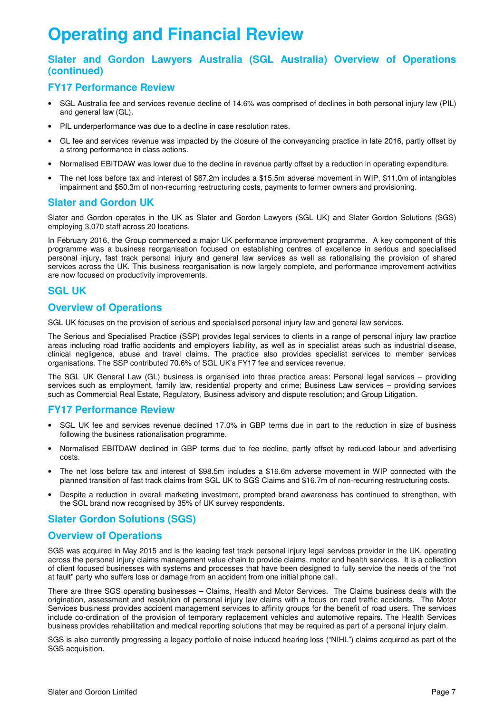## **Slater and Gordon Lawyers Australia (SGL Australia) Overview of Operations (continued)**

## **FY17 Performance Review**

- SGL Australia fee and services revenue decline of 14.6% was comprised of declines in both personal injury law (PIL) and general law (GL).
- PIL underperformance was due to a decline in case resolution rates.
- GL fee and services revenue was impacted by the closure of the conveyancing practice in late 2016, partly offset by a strong performance in class actions.
- Normalised EBITDAW was lower due to the decline in revenue partly offset by a reduction in operating expenditure.
- The net loss before tax and interest of \$67.2m includes a \$15.5m adverse movement in WIP, \$11.0m of intangibles impairment and \$50.3m of non-recurring restructuring costs, payments to former owners and provisioning.

### **Slater and Gordon UK**

Slater and Gordon operates in the UK as Slater and Gordon Lawyers (SGL UK) and Slater Gordon Solutions (SGS) employing 3,070 staff across 20 locations.

In February 2016, the Group commenced a major UK performance improvement programme. A key component of this programme was a business reorganisation focused on establishing centres of excellence in serious and specialised personal injury, fast track personal injury and general law services as well as rationalising the provision of shared services across the UK. This business reorganisation is now largely complete, and performance improvement activities are now focused on productivity improvements.

### **SGL UK**

### **Overview of Operations**

SGL UK focuses on the provision of serious and specialised personal injury law and general law services.

The Serious and Specialised Practice (SSP) provides legal services to clients in a range of personal injury law practice areas including road traffic accidents and employers liability, as well as in specialist areas such as industrial disease, clinical negligence, abuse and travel claims. The practice also provides specialist services to member services organisations. The SSP contributed 70.6% of SGL UK's FY17 fee and services revenue.

The SGL UK General Law (GL) business is organised into three practice areas: Personal legal services – providing services such as employment, family law, residential property and crime; Business Law services – providing services such as Commercial Real Estate, Regulatory, Business advisory and dispute resolution; and Group Litigation.

### **FY17 Performance Review**

- SGL UK fee and services revenue declined 17.0% in GBP terms due in part to the reduction in size of business following the business rationalisation programme.
- Normalised EBITDAW declined in GBP terms due to fee decline, partly offset by reduced labour and advertising costs.
- The net loss before tax and interest of \$98.5m includes a \$16.6m adverse movement in WIP connected with the planned transition of fast track claims from SGL UK to SGS Claims and \$16.7m of non-recurring restructuring costs.
- Despite a reduction in overall marketing investment, prompted brand awareness has continued to strengthen, with the SGL brand now recognised by 35% of UK survey respondents.

## **Slater Gordon Solutions (SGS)**

### **Overview of Operations**

SGS was acquired in May 2015 and is the leading fast track personal injury legal services provider in the UK, operating across the personal injury claims management value chain to provide claims, motor and health services. It is a collection of client focused businesses with systems and processes that have been designed to fully service the needs of the "not at fault" party who suffers loss or damage from an accident from one initial phone call.

There are three SGS operating businesses – Claims, Health and Motor Services. The Claims business deals with the origination, assessment and resolution of personal injury law claims with a focus on road traffic accidents. The Motor Services business provides accident management services to affinity groups for the benefit of road users. The services include co-ordination of the provision of temporary replacement vehicles and automotive repairs. The Health Services business provides rehabilitation and medical reporting solutions that may be required as part of a personal injury claim.

SGS is also currently progressing a legacy portfolio of noise induced hearing loss ("NIHL") claims acquired as part of the SGS acquisition.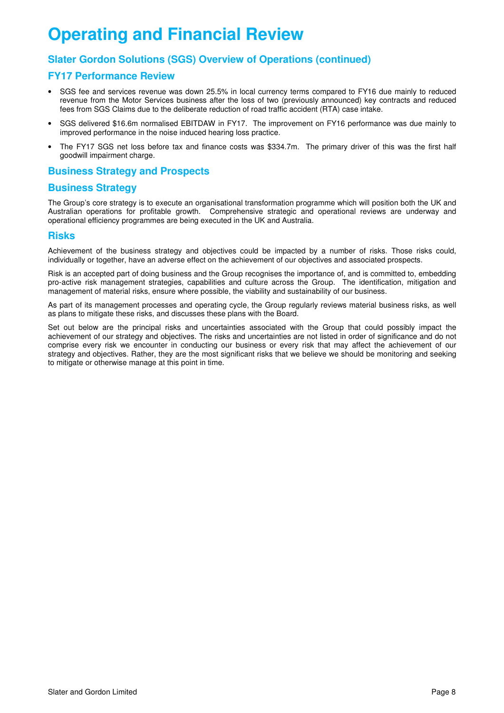## **Slater Gordon Solutions (SGS) Overview of Operations (continued)**

## **FY17 Performance Review**

- SGS fee and services revenue was down 25.5% in local currency terms compared to FY16 due mainly to reduced revenue from the Motor Services business after the loss of two (previously announced) key contracts and reduced fees from SGS Claims due to the deliberate reduction of road traffic accident (RTA) case intake.
- SGS delivered \$16.6m normalised EBITDAW in FY17. The improvement on FY16 performance was due mainly to improved performance in the noise induced hearing loss practice.
- The FY17 SGS net loss before tax and finance costs was \$334.7m. The primary driver of this was the first half goodwill impairment charge.

## **Business Strategy and Prospects**

## **Business Strategy**

The Group's core strategy is to execute an organisational transformation programme which will position both the UK and Australian operations for profitable growth. Comprehensive strategic and operational reviews are underway and operational efficiency programmes are being executed in the UK and Australia.

### **Risks**

Achievement of the business strategy and objectives could be impacted by a number of risks. Those risks could, individually or together, have an adverse effect on the achievement of our objectives and associated prospects.

Risk is an accepted part of doing business and the Group recognises the importance of, and is committed to, embedding pro-active risk management strategies, capabilities and culture across the Group. The identification, mitigation and management of material risks, ensure where possible, the viability and sustainability of our business.

As part of its management processes and operating cycle, the Group regularly reviews material business risks, as well as plans to mitigate these risks, and discusses these plans with the Board.

Set out below are the principal risks and uncertainties associated with the Group that could possibly impact the achievement of our strategy and objectives. The risks and uncertainties are not listed in order of significance and do not comprise every risk we encounter in conducting our business or every risk that may affect the achievement of our strategy and objectives. Rather, they are the most significant risks that we believe we should be monitoring and seeking to mitigate or otherwise manage at this point in time.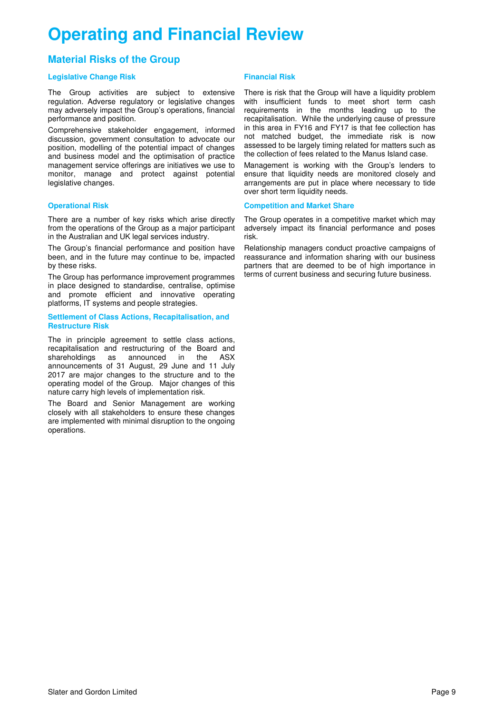## **Material Risks of the Group**

#### **Legislative Change Risk <b>Financial Risk Financial Risk**

The Group activities are subject to extensive regulation. Adverse regulatory or legislative changes may adversely impact the Group's operations, financial performance and position.

Comprehensive stakeholder engagement, informed discussion, government consultation to advocate our position, modelling of the potential impact of changes and business model and the optimisation of practice management service offerings are initiatives we use to monitor, manage and protect against potential legislative changes.

There are a number of key risks which arise directly from the operations of the Group as a major participant in the Australian and UK legal services industry.

The Group's financial performance and position have been, and in the future may continue to be, impacted by these risks.

The Group has performance improvement programmes in place designed to standardise, centralise, optimise and promote efficient and innovative operating platforms, IT systems and people strategies.

#### **Settlement of Class Actions, Recapitalisation, and Restructure Risk**

The in principle agreement to settle class actions, recapitalisation and restructuring of the Board and shareholdings as announced in the ASX announcements of 31 August, 29 June and 11 July 2017 are major changes to the structure and to the operating model of the Group. Major changes of this nature carry high levels of implementation risk.

The Board and Senior Management are working closely with all stakeholders to ensure these changes are implemented with minimal disruption to the ongoing operations.

There is risk that the Group will have a liquidity problem with insufficient funds to meet short term cash requirements in the months leading up to the recapitalisation. While the underlying cause of pressure in this area in FY16 and FY17 is that fee collection has not matched budget, the immediate risk is now assessed to be largely timing related for matters such as the collection of fees related to the Manus Island case.

Management is working with the Group's lenders to ensure that liquidity needs are monitored closely and arrangements are put in place where necessary to tide over short term liquidity needs.

#### **Operational Risk Competition and Market Share**

The Group operates in a competitive market which may adversely impact its financial performance and poses risk.

Relationship managers conduct proactive campaigns of reassurance and information sharing with our business partners that are deemed to be of high importance in terms of current business and securing future business.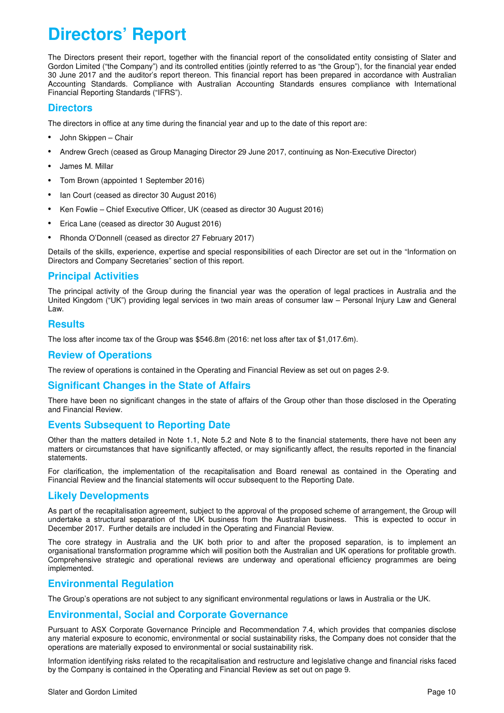The Directors present their report, together with the financial report of the consolidated entity consisting of Slater and Gordon Limited ("the Company") and its controlled entities (jointly referred to as "the Group"), for the financial year ended 30 June 2017 and the auditor's report thereon. This financial report has been prepared in accordance with Australian Accounting Standards. Compliance with Australian Accounting Standards ensures compliance with International Financial Reporting Standards ("IFRS").

### **Directors**

The directors in office at any time during the financial year and up to the date of this report are:

- John Skippen Chair
- Andrew Grech (ceased as Group Managing Director 29 June 2017, continuing as Non-Executive Director)
- James M. Millar
- Tom Brown (appointed 1 September 2016)
- Ian Court (ceased as director 30 August 2016)
- Ken Fowlie Chief Executive Officer, UK (ceased as director 30 August 2016)
- Erica Lane (ceased as director 30 August 2016)
- Rhonda O'Donnell (ceased as director 27 February 2017)

Details of the skills, experience, expertise and special responsibilities of each Director are set out in the "Information on Directors and Company Secretaries" section of this report.

### **Principal Activities**

The principal activity of the Group during the financial year was the operation of legal practices in Australia and the United Kingdom ("UK") providing legal services in two main areas of consumer law – Personal Injury Law and General Law.

### **Results**

The loss after income tax of the Group was \$546.8m (2016: net loss after tax of \$1,017.6m).

#### **Review of Operations**

The review of operations is contained in the Operating and Financial Review as set out on pages 2-9.

### **Significant Changes in the State of Affairs**

There have been no significant changes in the state of affairs of the Group other than those disclosed in the Operating and Financial Review.

### **Events Subsequent to Reporting Date**

Other than the matters detailed in Note 1.1, Note 5.2 and Note 8 to the financial statements, there have not been any matters or circumstances that have significantly affected, or may significantly affect, the results reported in the financial statements.

For clarification, the implementation of the recapitalisation and Board renewal as contained in the Operating and Financial Review and the financial statements will occur subsequent to the Reporting Date.

### **Likely Developments**

As part of the recapitalisation agreement, subject to the approval of the proposed scheme of arrangement, the Group will undertake a structural separation of the UK business from the Australian business. This is expected to occur in December 2017. Further details are included in the Operating and Financial Review.

The core strategy in Australia and the UK both prior to and after the proposed separation, is to implement an organisational transformation programme which will position both the Australian and UK operations for profitable growth. Comprehensive strategic and operational reviews are underway and operational efficiency programmes are being implemented.

### **Environmental Regulation**

The Group's operations are not subject to any significant environmental regulations or laws in Australia or the UK.

### **Environmental, Social and Corporate Governance**

Pursuant to ASX Corporate Governance Principle and Recommendation 7.4, which provides that companies disclose any material exposure to economic, environmental or social sustainability risks, the Company does not consider that the operations are materially exposed to environmental or social sustainability risk.

Information identifying risks related to the recapitalisation and restructure and legislative change and financial risks faced by the Company is contained in the Operating and Financial Review as set out on page 9.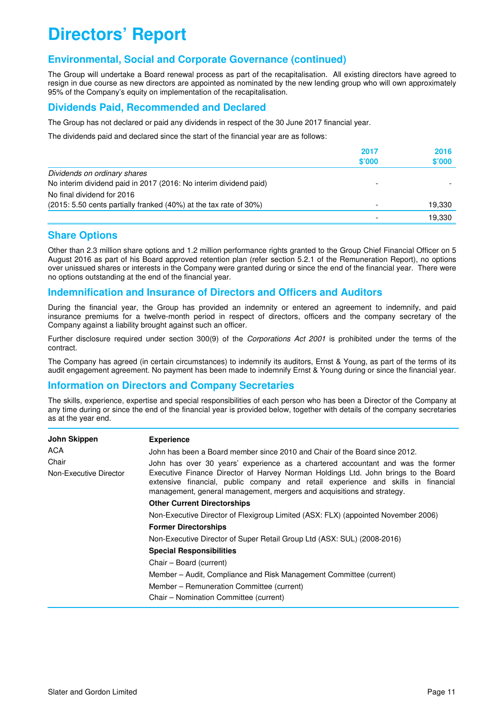## **Environmental, Social and Corporate Governance (continued)**

The Group will undertake a Board renewal process as part of the recapitalisation. All existing directors have agreed to resign in due course as new directors are appointed as nominated by the new lending group who will own approximately 95% of the Company's equity on implementation of the recapitalisation.

## **Dividends Paid, Recommended and Declared**

The Group has not declared or paid any dividends in respect of the 30 June 2017 financial year.

The dividends paid and declared since the start of the financial year are as follows:

|                                                                   | 2017<br>\$'000           | 2016<br>\$'000 |
|-------------------------------------------------------------------|--------------------------|----------------|
| Dividends on ordinary shares                                      |                          |                |
| No interim dividend paid in 2017 (2016: No interim dividend paid) | -                        |                |
| No final dividend for 2016                                        |                          |                |
| (2015: 5.50 cents partially franked (40%) at the tax rate of 30%) | $\overline{\phantom{a}}$ | 19,330         |
|                                                                   |                          | 19,330         |

### **Share Options**

Other than 2.3 million share options and 1.2 million performance rights granted to the Group Chief Financial Officer on 5 August 2016 as part of his Board approved retention plan (refer section 5.2.1 of the Remuneration Report), no options over unissued shares or interests in the Company were granted during or since the end of the financial year. There were no options outstanding at the end of the financial year.

### **Indemnification and Insurance of Directors and Officers and Auditors**

During the financial year, the Group has provided an indemnity or entered an agreement to indemnify, and paid insurance premiums for a twelve-month period in respect of directors, officers and the company secretary of the Company against a liability brought against such an officer.

Further disclosure required under section 300(9) of the Corporations Act 2001 is prohibited under the terms of the contract.

The Company has agreed (in certain circumstances) to indemnify its auditors, Ernst & Young, as part of the terms of its audit engagement agreement. No payment has been made to indemnify Ernst & Young during or since the financial year.

### **Information on Directors and Company Secretaries**

The skills, experience, expertise and special responsibilities of each person who has been a Director of the Company at any time during or since the end of the financial year is provided below, together with details of the company secretaries as at the year end.

| John Skippen<br>ACA<br>Chair<br>Non-Executive Director | <b>Experience</b><br>John has been a Board member since 2010 and Chair of the Board since 2012.<br>John has over 30 years' experience as a chartered accountant and was the former<br>Executive Finance Director of Harvey Norman Holdings Ltd. John brings to the Board<br>extensive financial, public company and retail experience and skills in financial<br>management, general management, mergers and acquisitions and strategy.<br><b>Other Current Directorships</b><br>Non-Executive Director of Flexigroup Limited (ASX: FLX) (appointed November 2006)<br><b>Former Directorships</b><br>Non-Executive Director of Super Retail Group Ltd (ASX: SUL) (2008-2016)<br><b>Special Responsibilities</b><br>Chair – Board (current)<br>Member – Audit, Compliance and Risk Management Committee (current)<br>Member – Remuneration Committee (current)<br>Chair - Nomination Committee (current) |
|--------------------------------------------------------|---------------------------------------------------------------------------------------------------------------------------------------------------------------------------------------------------------------------------------------------------------------------------------------------------------------------------------------------------------------------------------------------------------------------------------------------------------------------------------------------------------------------------------------------------------------------------------------------------------------------------------------------------------------------------------------------------------------------------------------------------------------------------------------------------------------------------------------------------------------------------------------------------------|
|--------------------------------------------------------|---------------------------------------------------------------------------------------------------------------------------------------------------------------------------------------------------------------------------------------------------------------------------------------------------------------------------------------------------------------------------------------------------------------------------------------------------------------------------------------------------------------------------------------------------------------------------------------------------------------------------------------------------------------------------------------------------------------------------------------------------------------------------------------------------------------------------------------------------------------------------------------------------------|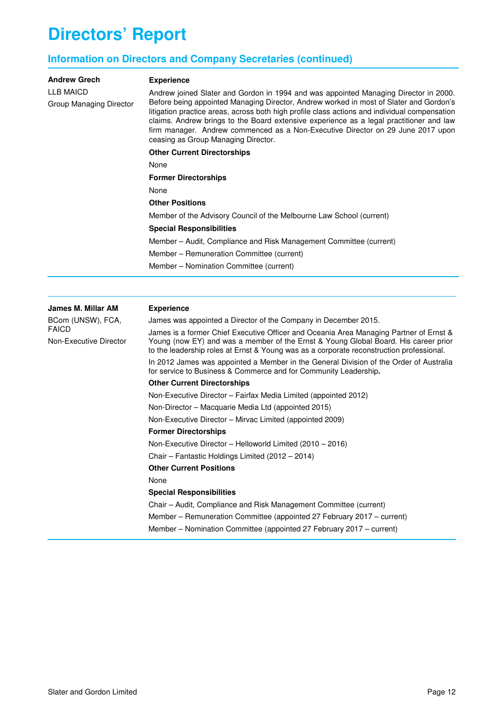## **Information on Directors and Company Secretaries (continued)**

### **Andrew Grech**  LLB MAICD Group Managing Director

Andrew joined Slater and Gordon in 1994 and was appointed Managing Director in 2000. Before being appointed Managing Director, Andrew worked in most of Slater and Gordon's litigation practice areas, across both high profile class actions and individual compensation claims. Andrew brings to the Board extensive experience as a legal practitioner and law firm manager. Andrew commenced as a Non-Executive Director on 29 June 2017 upon ceasing as Group Managing Director.

#### **Other Current Directorships**

None

**Experience**

#### **Former Directorships**

None

#### **Other Positions**

Member of the Advisory Council of the Melbourne Law School (current)

#### **Special Responsibilities**

Member – Audit, Compliance and Risk Management Committee (current)

Member – Remuneration Committee (current)

Member – Nomination Committee (current)

| James M. Millar AM                     | <b>Experience</b>                                                                                                                                                                                                                                                         |
|----------------------------------------|---------------------------------------------------------------------------------------------------------------------------------------------------------------------------------------------------------------------------------------------------------------------------|
| BCom (UNSW), FCA,                      | James was appointed a Director of the Company in December 2015.                                                                                                                                                                                                           |
| <b>FAICD</b><br>Non-Executive Director | James is a former Chief Executive Officer and Oceania Area Managing Partner of Ernst &<br>Young (now EY) and was a member of the Ernst & Young Global Board. His career prior<br>to the leadership roles at Ernst & Young was as a corporate reconstruction professional. |
|                                        | In 2012 James was appointed a Member in the General Division of the Order of Australia<br>for service to Business & Commerce and for Community Leadership.                                                                                                                |
|                                        | <b>Other Current Directorships</b>                                                                                                                                                                                                                                        |
|                                        | Non-Executive Director - Fairfax Media Limited (appointed 2012)                                                                                                                                                                                                           |
|                                        | Non-Director – Macquarie Media Ltd (appointed 2015)                                                                                                                                                                                                                       |
|                                        | Non-Executive Director – Mirvac Limited (appointed 2009)                                                                                                                                                                                                                  |
|                                        | <b>Former Directorships</b>                                                                                                                                                                                                                                               |
|                                        | Non-Executive Director – Helloworld Limited $(2010 - 2016)$                                                                                                                                                                                                               |
|                                        | Chair – Fantastic Holdings Limited (2012 – 2014)                                                                                                                                                                                                                          |
|                                        | <b>Other Current Positions</b>                                                                                                                                                                                                                                            |
|                                        | None                                                                                                                                                                                                                                                                      |
|                                        | <b>Special Responsibilities</b>                                                                                                                                                                                                                                           |
|                                        | Chair – Audit, Compliance and Risk Management Committee (current)                                                                                                                                                                                                         |
|                                        | Member – Remuneration Committee (appointed 27 February 2017 – current)                                                                                                                                                                                                    |
|                                        | Member - Nomination Committee (appointed 27 February 2017 - current)                                                                                                                                                                                                      |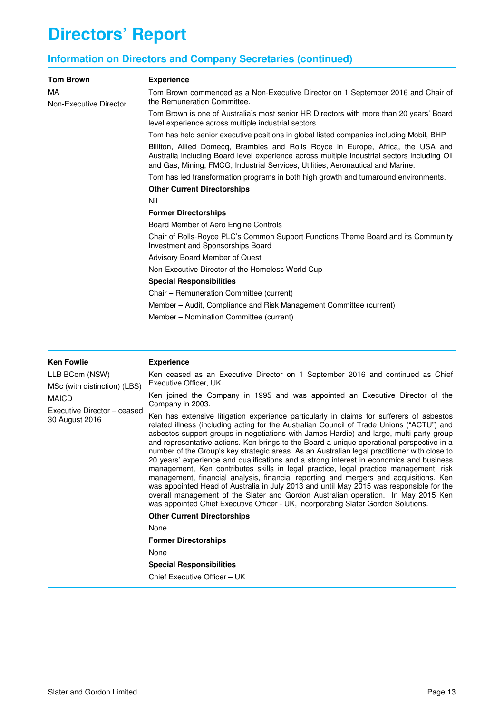## **Information on Directors and Company Secretaries (continued)**

| <b>Tom Brown</b>       | <b>Experience</b>                                                                                                                                                                                                                                                  |  |  |  |
|------------------------|--------------------------------------------------------------------------------------------------------------------------------------------------------------------------------------------------------------------------------------------------------------------|--|--|--|
| MA                     | Tom Brown commenced as a Non-Executive Director on 1 September 2016 and Chair of                                                                                                                                                                                   |  |  |  |
| Non-Executive Director | the Remuneration Committee.                                                                                                                                                                                                                                        |  |  |  |
|                        | Tom Brown is one of Australia's most senior HR Directors with more than 20 years' Board<br>level experience across multiple industrial sectors.                                                                                                                    |  |  |  |
|                        | Tom has held senior executive positions in global listed companies including Mobil, BHP                                                                                                                                                                            |  |  |  |
|                        | Billiton, Allied Domecq, Brambles and Rolls Royce in Europe, Africa, the USA and<br>Australia including Board level experience across multiple industrial sectors including Oil<br>and Gas, Mining, FMCG, Industrial Services, Utilities, Aeronautical and Marine. |  |  |  |
|                        | Tom has led transformation programs in both high growth and turnaround environments.                                                                                                                                                                               |  |  |  |
|                        | <b>Other Current Directorships</b>                                                                                                                                                                                                                                 |  |  |  |
|                        | Nil                                                                                                                                                                                                                                                                |  |  |  |
|                        | <b>Former Directorships</b>                                                                                                                                                                                                                                        |  |  |  |
|                        | Board Member of Aero Engine Controls                                                                                                                                                                                                                               |  |  |  |
|                        | Chair of Rolls-Royce PLC's Common Support Functions Theme Board and its Community<br><b>Investment and Sponsorships Board</b>                                                                                                                                      |  |  |  |
|                        | Advisory Board Member of Quest                                                                                                                                                                                                                                     |  |  |  |
|                        | Non-Executive Director of the Homeless World Cup                                                                                                                                                                                                                   |  |  |  |
|                        | <b>Special Responsibilities</b>                                                                                                                                                                                                                                    |  |  |  |
|                        | Chair - Remuneration Committee (current)                                                                                                                                                                                                                           |  |  |  |
|                        | Member – Audit, Compliance and Risk Management Committee (current)                                                                                                                                                                                                 |  |  |  |
|                        | Member - Nomination Committee (current)                                                                                                                                                                                                                            |  |  |  |

| <b>Ken Fowlie</b>                                                                                               | <b>Experience</b>                                                                                                                                                                                                                                                                                                                                                                                                                                                                                                                                                                                                                                                                                                                                                                                                                                                                                                                                                                                                                |
|-----------------------------------------------------------------------------------------------------------------|----------------------------------------------------------------------------------------------------------------------------------------------------------------------------------------------------------------------------------------------------------------------------------------------------------------------------------------------------------------------------------------------------------------------------------------------------------------------------------------------------------------------------------------------------------------------------------------------------------------------------------------------------------------------------------------------------------------------------------------------------------------------------------------------------------------------------------------------------------------------------------------------------------------------------------------------------------------------------------------------------------------------------------|
| LLB BCom (NSW)<br>MSc (with distinction) (LBS)<br><b>MAICD</b><br>Executive Director - ceased<br>30 August 2016 | Ken ceased as an Executive Director on 1 September 2016 and continued as Chief                                                                                                                                                                                                                                                                                                                                                                                                                                                                                                                                                                                                                                                                                                                                                                                                                                                                                                                                                   |
|                                                                                                                 | Executive Officer, UK.<br>Ken joined the Company in 1995 and was appointed an Executive Director of the<br>Company in 2003.                                                                                                                                                                                                                                                                                                                                                                                                                                                                                                                                                                                                                                                                                                                                                                                                                                                                                                      |
|                                                                                                                 | Ken has extensive litigation experience particularly in claims for sufferers of asbestos<br>related illness (including acting for the Australian Council of Trade Unions ("ACTU") and<br>asbestos support groups in negotiations with James Hardie) and large, multi-party group<br>and representative actions. Ken brings to the Board a unique operational perspective in a<br>number of the Group's key strategic areas. As an Australian legal practitioner with close to<br>20 years' experience and qualifications and a strong interest in economics and business<br>management, Ken contributes skills in legal practice, legal practice management, risk<br>management, financial analysis, financial reporting and mergers and acquisitions. Ken<br>was appointed Head of Australia in July 2013 and until May 2015 was responsible for the<br>overall management of the Slater and Gordon Australian operation. In May 2015 Ken<br>was appointed Chief Executive Officer - UK, incorporating Slater Gordon Solutions. |
|                                                                                                                 | <b>Other Current Directorships</b>                                                                                                                                                                                                                                                                                                                                                                                                                                                                                                                                                                                                                                                                                                                                                                                                                                                                                                                                                                                               |
|                                                                                                                 | None                                                                                                                                                                                                                                                                                                                                                                                                                                                                                                                                                                                                                                                                                                                                                                                                                                                                                                                                                                                                                             |
|                                                                                                                 | <b>Former Directorships</b>                                                                                                                                                                                                                                                                                                                                                                                                                                                                                                                                                                                                                                                                                                                                                                                                                                                                                                                                                                                                      |
|                                                                                                                 | None                                                                                                                                                                                                                                                                                                                                                                                                                                                                                                                                                                                                                                                                                                                                                                                                                                                                                                                                                                                                                             |
|                                                                                                                 | <b>Special Responsibilities</b>                                                                                                                                                                                                                                                                                                                                                                                                                                                                                                                                                                                                                                                                                                                                                                                                                                                                                                                                                                                                  |
|                                                                                                                 | Chief Executive Officer - UK                                                                                                                                                                                                                                                                                                                                                                                                                                                                                                                                                                                                                                                                                                                                                                                                                                                                                                                                                                                                     |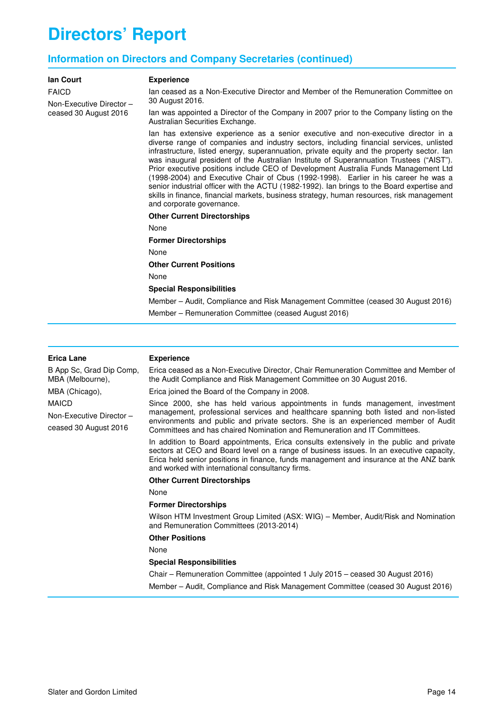## **Information on Directors and Company Secretaries (continued)**

| lan Court                                                        | <b>Experience</b>                                                                                                                                                                                                                                                                                                                                                                                                                                                                                                                                                                                                                                                                                                                                                             |
|------------------------------------------------------------------|-------------------------------------------------------------------------------------------------------------------------------------------------------------------------------------------------------------------------------------------------------------------------------------------------------------------------------------------------------------------------------------------------------------------------------------------------------------------------------------------------------------------------------------------------------------------------------------------------------------------------------------------------------------------------------------------------------------------------------------------------------------------------------|
| <b>FAICD</b><br>Non-Executive Director-<br>ceased 30 August 2016 | lan ceased as a Non-Executive Director and Member of the Remuneration Committee on<br>30 August 2016.                                                                                                                                                                                                                                                                                                                                                                                                                                                                                                                                                                                                                                                                         |
|                                                                  | lan was appointed a Director of the Company in 2007 prior to the Company listing on the<br>Australian Securities Exchange.                                                                                                                                                                                                                                                                                                                                                                                                                                                                                                                                                                                                                                                    |
|                                                                  | lan has extensive experience as a senior executive and non-executive director in a<br>diverse range of companies and industry sectors, including financial services, unlisted<br>infrastructure, listed energy, superannuation, private equity and the property sector. Ian<br>was inaugural president of the Australian Institute of Superannuation Trustees ("AIST").<br>Prior executive positions include CEO of Development Australia Funds Management Ltd<br>(1998-2004) and Executive Chair of Cbus (1992-1998). Earlier in his career he was a<br>senior industrial officer with the ACTU (1982-1992). Ian brings to the Board expertise and<br>skills in finance, financial markets, business strategy, human resources, risk management<br>and corporate governance. |
|                                                                  | <b>Other Current Directorships</b>                                                                                                                                                                                                                                                                                                                                                                                                                                                                                                                                                                                                                                                                                                                                            |
|                                                                  | None                                                                                                                                                                                                                                                                                                                                                                                                                                                                                                                                                                                                                                                                                                                                                                          |
|                                                                  | <b>Former Directorships</b>                                                                                                                                                                                                                                                                                                                                                                                                                                                                                                                                                                                                                                                                                                                                                   |
|                                                                  | None                                                                                                                                                                                                                                                                                                                                                                                                                                                                                                                                                                                                                                                                                                                                                                          |
|                                                                  | <b>Other Current Positions</b>                                                                                                                                                                                                                                                                                                                                                                                                                                                                                                                                                                                                                                                                                                                                                |
|                                                                  | None                                                                                                                                                                                                                                                                                                                                                                                                                                                                                                                                                                                                                                                                                                                                                                          |
|                                                                  | <b>Special Responsibilities</b>                                                                                                                                                                                                                                                                                                                                                                                                                                                                                                                                                                                                                                                                                                                                               |
|                                                                  | Member – Audit, Compliance and Risk Management Committee (ceased 30 August 2016)                                                                                                                                                                                                                                                                                                                                                                                                                                                                                                                                                                                                                                                                                              |
|                                                                  | Member - Remuneration Committee (ceased August 2016)                                                                                                                                                                                                                                                                                                                                                                                                                                                                                                                                                                                                                                                                                                                          |
|                                                                  |                                                                                                                                                                                                                                                                                                                                                                                                                                                                                                                                                                                                                                                                                                                                                                               |

| Erica Lane                                   | <b>Experience</b>                                                                                                                                                                                                                                                                                                                |  |  |
|----------------------------------------------|----------------------------------------------------------------------------------------------------------------------------------------------------------------------------------------------------------------------------------------------------------------------------------------------------------------------------------|--|--|
| B App Sc, Grad Dip Comp,<br>MBA (Melbourne), | Erica ceased as a Non-Executive Director, Chair Remuneration Committee and Member of<br>the Audit Compliance and Risk Management Committee on 30 August 2016.                                                                                                                                                                    |  |  |
| MBA (Chicago),                               | Erica joined the Board of the Company in 2008.                                                                                                                                                                                                                                                                                   |  |  |
| <b>MAICD</b>                                 | Since 2000, she has held various appointments in funds management, investment                                                                                                                                                                                                                                                    |  |  |
| Non-Executive Director-                      | management, professional services and healthcare spanning both listed and non-listed<br>environments and public and private sectors. She is an experienced member of Audit                                                                                                                                                       |  |  |
| ceased 30 August 2016                        | Committees and has chaired Nomination and Remuneration and IT Committees.                                                                                                                                                                                                                                                        |  |  |
|                                              | In addition to Board appointments, Erica consults extensively in the public and private<br>sectors at CEO and Board level on a range of business issues. In an executive capacity,<br>Erica held senior positions in finance, funds management and insurance at the ANZ bank<br>and worked with international consultancy firms. |  |  |
|                                              | <b>Other Current Directorships</b>                                                                                                                                                                                                                                                                                               |  |  |
|                                              | None                                                                                                                                                                                                                                                                                                                             |  |  |
|                                              | <b>Former Directorships</b>                                                                                                                                                                                                                                                                                                      |  |  |
|                                              | Wilson HTM Investment Group Limited (ASX: WIG) – Member, Audit/Risk and Nomination<br>and Remuneration Committees (2013-2014)                                                                                                                                                                                                    |  |  |
|                                              | <b>Other Positions</b>                                                                                                                                                                                                                                                                                                           |  |  |
|                                              | None                                                                                                                                                                                                                                                                                                                             |  |  |
|                                              | <b>Special Responsibilities</b>                                                                                                                                                                                                                                                                                                  |  |  |
|                                              | Chair - Remuneration Committee (appointed 1 July 2015 - ceased 30 August 2016)                                                                                                                                                                                                                                                   |  |  |
|                                              | Member - Audit, Compliance and Risk Management Committee (ceased 30 August 2016)                                                                                                                                                                                                                                                 |  |  |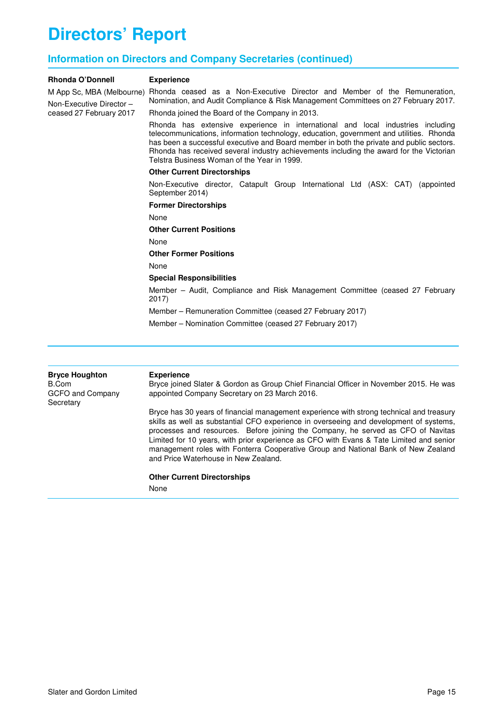## **Information on Directors and Company Secretaries (continued)**

#### **Rhonda O'Donnell**

#### **Experience**

Non-Executive Director – ceased 27 February 2017

M App Sc, MBA (Melbourne) Rhonda ceased as a Non-Executive Director and Member of the Remuneration, Nomination, and Audit Compliance & Risk Management Committees on 27 February 2017.

Rhonda joined the Board of the Company in 2013.

Rhonda has extensive experience in international and local industries including telecommunications, information technology, education, government and utilities. Rhonda has been a successful executive and Board member in both the private and public sectors. Rhonda has received several industry achievements including the award for the Victorian Telstra Business Woman of the Year in 1999.

#### **Other Current Directorships**

Non-Executive director, Catapult Group International Ltd (ASX: CAT) (appointed September 2014)

#### **Former Directorships**

None

**Other Current Positions** 

None

#### **Other Former Positions**

None

#### **Special Responsibilities**

Member – Audit, Compliance and Risk Management Committee (ceased 27 February 2017)

Member – Remuneration Committee (ceased 27 February 2017)

Member – Nomination Committee (ceased 27 February 2017)

| <b>Experience</b><br>Bryce joined Slater & Gordon as Group Chief Financial Officer in November 2015. He was<br>appointed Company Secretary on 23 March 2016.                                                                                                                                                                                                                                                                                                                                   |
|------------------------------------------------------------------------------------------------------------------------------------------------------------------------------------------------------------------------------------------------------------------------------------------------------------------------------------------------------------------------------------------------------------------------------------------------------------------------------------------------|
|                                                                                                                                                                                                                                                                                                                                                                                                                                                                                                |
| Bryce has 30 years of financial management experience with strong technical and treasury<br>skills as well as substantial CFO experience in overseeing and development of systems,<br>processes and resources. Before joining the Company, he served as CFO of Navitas<br>Limited for 10 years, with prior experience as CFO with Evans & Tate Limited and senior<br>management roles with Fonterra Cooperative Group and National Bank of New Zealand<br>and Price Waterhouse in New Zealand. |
|                                                                                                                                                                                                                                                                                                                                                                                                                                                                                                |

#### **Other Current Directorships**

None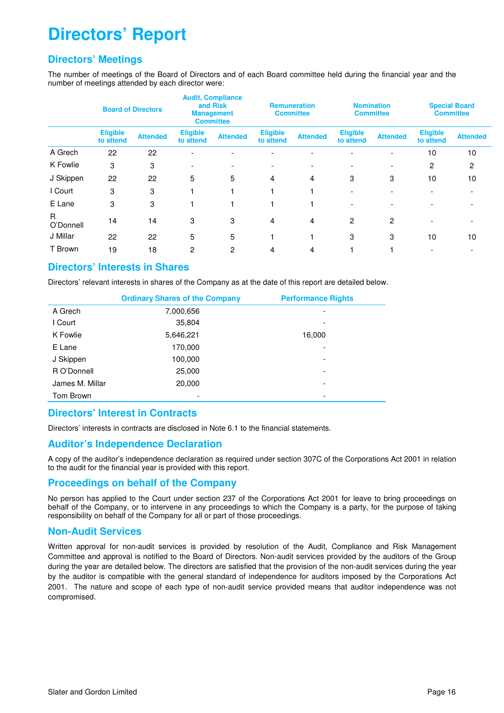## **Directors' Meetings**

The number of meetings of the Board of Directors and of each Board committee held during the financial year and the number of meetings attended by each director were:

|                 | <b>Board of Directors</b>    |                 | <b>Audit, Compliance</b><br>and Risk<br><b>Management</b><br><b>Committee</b> |                          | <b>Remuneration</b><br><b>Committee</b> |                 | <b>Nomination</b><br><b>Committee</b> |                          | <b>Special Board</b><br><b>Committee</b> |                 |
|-----------------|------------------------------|-----------------|-------------------------------------------------------------------------------|--------------------------|-----------------------------------------|-----------------|---------------------------------------|--------------------------|------------------------------------------|-----------------|
|                 | <b>Eligible</b><br>to attend | <b>Attended</b> | <b>Eligible</b><br>to attend                                                  | <b>Attended</b>          | <b>Eligible</b><br>to attend            | <b>Attended</b> | <b>Eligible</b><br>to attend          | <b>Attended</b>          | <b>Eligible</b><br>to attend             | <b>Attended</b> |
| A Grech         | 22                           | 22              | $\overline{\phantom{0}}$                                                      |                          |                                         |                 |                                       | ٠                        | 10                                       | 10              |
| K Fowlie        | 3                            | 3               | $\overline{\phantom{a}}$                                                      | $\overline{\phantom{a}}$ |                                         |                 | $\overline{\phantom{a}}$              | $\overline{\phantom{0}}$ | $\overline{c}$                           | 2               |
| J Skippen       | 22                           | 22              | 5                                                                             | 5                        | 4                                       | 4               | 3                                     | 3                        | 10                                       | 10              |
| I Court         | 3                            | 3               |                                                                               |                          |                                         |                 | $\overline{\phantom{0}}$              |                          |                                          |                 |
| E Lane          | 3                            | 3               |                                                                               |                          |                                         |                 | $\overline{\phantom{a}}$              |                          |                                          |                 |
| R.<br>O'Donnell | 14                           | 14              | 3                                                                             | 3                        | 4                                       | 4               | 2                                     | 2                        |                                          |                 |
| J Millar        | 22                           | 22              | 5                                                                             | 5                        |                                         |                 | 3                                     | 3                        | 10                                       | 10              |
| T Brown         | 19                           | 18              | 2                                                                             | 2                        | 4                                       | 4               |                                       |                          |                                          |                 |

### **Directors' Interests in Shares**

Directors' relevant interests in shares of the Company as at the date of this report are detailed below.

|                 | <b>Ordinary Shares of the Company</b> | <b>Performance Rights</b> |
|-----------------|---------------------------------------|---------------------------|
| A Grech         | 7,000,656                             |                           |
| I Court         | 35,804                                |                           |
| K Fowlie        | 5,646,221                             | 16,000                    |
| E Lane          | 170,000                               | -                         |
| J Skippen       | 100,000                               | -                         |
| R O'Donnell     | 25,000                                | -                         |
| James M. Millar | 20,000                                |                           |
| Tom Brown       |                                       |                           |

### **Directors' Interest in Contracts**

Directors' interests in contracts are disclosed in Note 6.1 to the financial statements.

### **Auditor's Independence Declaration**

A copy of the auditor's independence declaration as required under section 307C of the Corporations Act 2001 in relation to the audit for the financial year is provided with this report.

### **Proceedings on behalf of the Company**

No person has applied to the Court under section 237 of the Corporations Act 2001 for leave to bring proceedings on behalf of the Company, or to intervene in any proceedings to which the Company is a party, for the purpose of taking responsibility on behalf of the Company for all or part of those proceedings.

### **Non-Audit Services**

Written approval for non-audit services is provided by resolution of the Audit, Compliance and Risk Management Committee and approval is notified to the Board of Directors. Non-audit services provided by the auditors of the Group during the year are detailed below. The directors are satisfied that the provision of the non-audit services during the year by the auditor is compatible with the general standard of independence for auditors imposed by the Corporations Act 2001. The nature and scope of each type of non-audit service provided means that auditor independence was not compromised.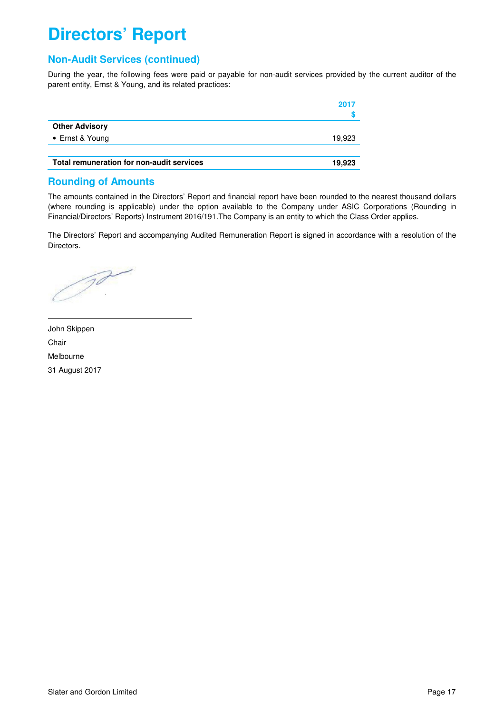## **Non-Audit Services (continued)**

During the year, the following fees were paid or payable for non-audit services provided by the current auditor of the parent entity, Ernst & Young, and its related practices:

|                                           | 2017   |
|-------------------------------------------|--------|
|                                           |        |
| <b>Other Advisory</b>                     |        |
| • Ernst & Young                           | 19,923 |
|                                           |        |
| Total remuneration for non-audit services | 19,923 |

## **Rounding of Amounts**

The amounts contained in the Directors' Report and financial report have been rounded to the nearest thousand dollars (where rounding is applicable) under the option available to the Company under ASIC Corporations (Rounding in Financial/Directors' Reports) Instrument 2016/191.The Company is an entity to which the Class Order applies.

The Directors' Report and accompanying Audited Remuneration Report is signed in accordance with a resolution of the Directors.

10

John Skippen Chair Melbourne 31 August 2017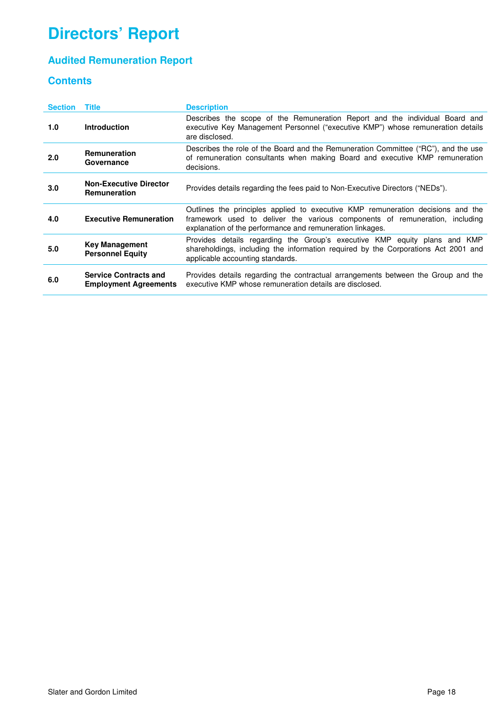## **Audited Remuneration Report**

## **Contents**

| <b>Section</b> | <b>Title</b>                                                 | <b>Description</b>                                                                                                                                                                                                          |
|----------------|--------------------------------------------------------------|-----------------------------------------------------------------------------------------------------------------------------------------------------------------------------------------------------------------------------|
| 1.0            | Introduction                                                 | Describes the scope of the Remuneration Report and the individual Board and<br>executive Key Management Personnel ("executive KMP") whose remuneration details<br>are disclosed.                                            |
| 2.0            | <b>Remuneration</b><br>Governance                            | Describes the role of the Board and the Remuneration Committee ("RC"), and the use<br>of remuneration consultants when making Board and executive KMP remuneration<br>decisions.                                            |
| 3.0            | <b>Non-Executive Director</b><br><b>Remuneration</b>         | Provides details regarding the fees paid to Non-Executive Directors ("NEDs").                                                                                                                                               |
| 4.0            | <b>Executive Remuneration</b>                                | Outlines the principles applied to executive KMP remuneration decisions and the<br>framework used to deliver the various components of remuneration, including<br>explanation of the performance and remuneration linkages. |
| 5.0            | <b>Key Management</b><br><b>Personnel Equity</b>             | Provides details regarding the Group's executive KMP equity plans and KMP<br>shareholdings, including the information required by the Corporations Act 2001 and<br>applicable accounting standards.                         |
| 6.0            | <b>Service Contracts and</b><br><b>Employment Agreements</b> | Provides details regarding the contractual arrangements between the Group and the<br>executive KMP whose remuneration details are disclosed.                                                                                |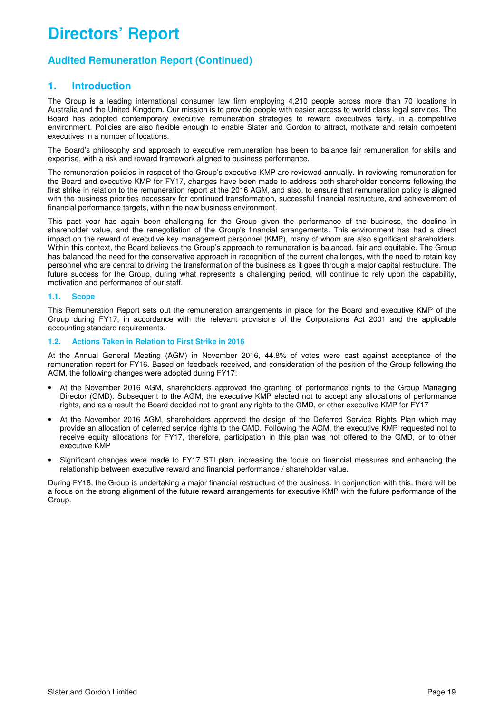## **Audited Remuneration Report (Continued)**

## **1. Introduction**

The Group is a leading international consumer law firm employing 4,210 people across more than 70 locations in Australia and the United Kingdom. Our mission is to provide people with easier access to world class legal services. The Board has adopted contemporary executive remuneration strategies to reward executives fairly, in a competitive environment. Policies are also flexible enough to enable Slater and Gordon to attract, motivate and retain competent executives in a number of locations.

The Board's philosophy and approach to executive remuneration has been to balance fair remuneration for skills and expertise, with a risk and reward framework aligned to business performance.

The remuneration policies in respect of the Group's executive KMP are reviewed annually. In reviewing remuneration for the Board and executive KMP for FY17, changes have been made to address both shareholder concerns following the first strike in relation to the remuneration report at the 2016 AGM, and also, to ensure that remuneration policy is aligned with the business priorities necessary for continued transformation, successful financial restructure, and achievement of financial performance targets, within the new business environment.

This past year has again been challenging for the Group given the performance of the business, the decline in shareholder value, and the renegotiation of the Group's financial arrangements. This environment has had a direct impact on the reward of executive key management personnel (KMP), many of whom are also significant shareholders. Within this context, the Board believes the Group's approach to remuneration is balanced, fair and equitable. The Group has balanced the need for the conservative approach in recognition of the current challenges, with the need to retain key personnel who are central to driving the transformation of the business as it goes through a major capital restructure. The future success for the Group, during what represents a challenging period, will continue to rely upon the capability, motivation and performance of our staff.

#### **1.1. Scope**

This Remuneration Report sets out the remuneration arrangements in place for the Board and executive KMP of the Group during FY17, in accordance with the relevant provisions of the Corporations Act 2001 and the applicable accounting standard requirements.

#### **1.2. Actions Taken in Relation to First Strike in 2016**

At the Annual General Meeting (AGM) in November 2016, 44.8% of votes were cast against acceptance of the remuneration report for FY16. Based on feedback received, and consideration of the position of the Group following the AGM, the following changes were adopted during FY17:

- At the November 2016 AGM, shareholders approved the granting of performance rights to the Group Managing Director (GMD). Subsequent to the AGM, the executive KMP elected not to accept any allocations of performance rights, and as a result the Board decided not to grant any rights to the GMD, or other executive KMP for FY17
- At the November 2016 AGM, shareholders approved the design of the Deferred Service Rights Plan which may provide an allocation of deferred service rights to the GMD. Following the AGM, the executive KMP requested not to receive equity allocations for FY17, therefore, participation in this plan was not offered to the GMD, or to other executive KMP
- Significant changes were made to FY17 STI plan, increasing the focus on financial measures and enhancing the relationship between executive reward and financial performance / shareholder value.

During FY18, the Group is undertaking a major financial restructure of the business. In conjunction with this, there will be a focus on the strong alignment of the future reward arrangements for executive KMP with the future performance of the Group.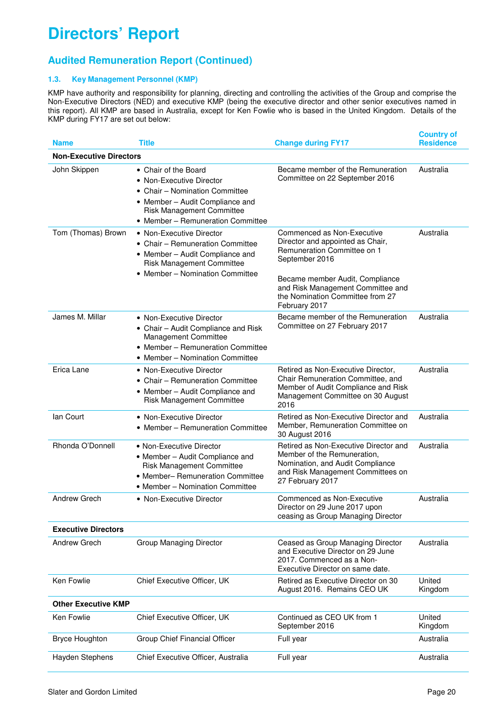## **Audited Remuneration Report (Continued)**

### **1.3. Key Management Personnel (KMP)**

KMP have authority and responsibility for planning, directing and controlling the activities of the Group and comprise the Non-Executive Directors (NED) and executive KMP (being the executive director and other senior executives named in this report). All KMP are based in Australia, except for Ken Fowlie who is based in the United Kingdom. Details of the KMP during FY17 are set out below:

|                                | <b>Title</b>                                                                                                                                                                                   |                                                                                                                                                                                                                                              | <b>Country of</b> |
|--------------------------------|------------------------------------------------------------------------------------------------------------------------------------------------------------------------------------------------|----------------------------------------------------------------------------------------------------------------------------------------------------------------------------------------------------------------------------------------------|-------------------|
| <b>Name</b>                    |                                                                                                                                                                                                | <b>Change during FY17</b>                                                                                                                                                                                                                    | <b>Residence</b>  |
| <b>Non-Executive Directors</b> |                                                                                                                                                                                                |                                                                                                                                                                                                                                              |                   |
| John Skippen                   | • Chair of the Board<br>• Non-Executive Director<br>• Chair - Nomination Committee<br>• Member – Audit Compliance and<br><b>Risk Management Committee</b><br>• Member - Remuneration Committee | Became member of the Remuneration<br>Committee on 22 September 2016                                                                                                                                                                          | Australia         |
| Tom (Thomas) Brown             | • Non-Executive Director<br>• Chair - Remuneration Committee<br>• Member - Audit Compliance and<br><b>Risk Management Committee</b><br>• Member - Nomination Committee                         | Commenced as Non-Executive<br>Director and appointed as Chair,<br>Remuneration Committee on 1<br>September 2016<br>Became member Audit, Compliance<br>and Risk Management Committee and<br>the Nomination Committee from 27<br>February 2017 | Australia         |
| James M. Millar                | • Non-Executive Director<br>• Chair - Audit Compliance and Risk<br>Management Committee<br>• Member – Remuneration Committee<br>• Member - Nomination Committee                                | Became member of the Remuneration<br>Committee on 27 February 2017                                                                                                                                                                           | Australia         |
| Erica Lane                     | • Non-Executive Director<br>• Chair - Remuneration Committee<br>• Member - Audit Compliance and<br><b>Risk Management Committee</b>                                                            | Retired as Non-Executive Director,<br>Chair Remuneration Committee, and<br>Member of Audit Compliance and Risk<br>Management Committee on 30 August<br>2016                                                                                  | Australia         |
| lan Court                      | • Non-Executive Director<br>• Member – Remuneration Committee                                                                                                                                  | Retired as Non-Executive Director and<br>Member, Remuneration Committee on<br>30 August 2016                                                                                                                                                 | Australia         |
| Rhonda O'Donnell               | • Non-Executive Director<br>• Member - Audit Compliance and<br><b>Risk Management Committee</b><br>• Member- Remuneration Committee<br>• Member - Nomination Committee                         | Retired as Non-Executive Director and<br>Member of the Remuneration,<br>Nomination, and Audit Compliance<br>and Risk Management Committees on<br>27 February 2017                                                                            | Australia         |
| Andrew Grech                   | • Non-Executive Director                                                                                                                                                                       | Commenced as Non-Executive<br>Director on 29 June 2017 upon<br>ceasing as Group Managing Director                                                                                                                                            | Australia         |
| <b>Executive Directors</b>     |                                                                                                                                                                                                |                                                                                                                                                                                                                                              |                   |
| Andrew Grech                   | <b>Group Managing Director</b>                                                                                                                                                                 | Ceased as Group Managing Director<br>and Executive Director on 29 June<br>2017. Commenced as a Non-<br>Executive Director on same date.                                                                                                      | Australia         |
| Ken Fowlie                     | Chief Executive Officer, UK                                                                                                                                                                    | Retired as Executive Director on 30<br>August 2016. Remains CEO UK                                                                                                                                                                           | United<br>Kingdom |
| <b>Other Executive KMP</b>     |                                                                                                                                                                                                |                                                                                                                                                                                                                                              |                   |
| Ken Fowlie                     | Chief Executive Officer, UK                                                                                                                                                                    | Continued as CEO UK from 1<br>September 2016                                                                                                                                                                                                 | United<br>Kingdom |
| <b>Bryce Houghton</b>          | Group Chief Financial Officer                                                                                                                                                                  | Full year                                                                                                                                                                                                                                    | Australia         |
| Hayden Stephens                | Chief Executive Officer, Australia                                                                                                                                                             | Full year                                                                                                                                                                                                                                    | Australia         |

**Country of**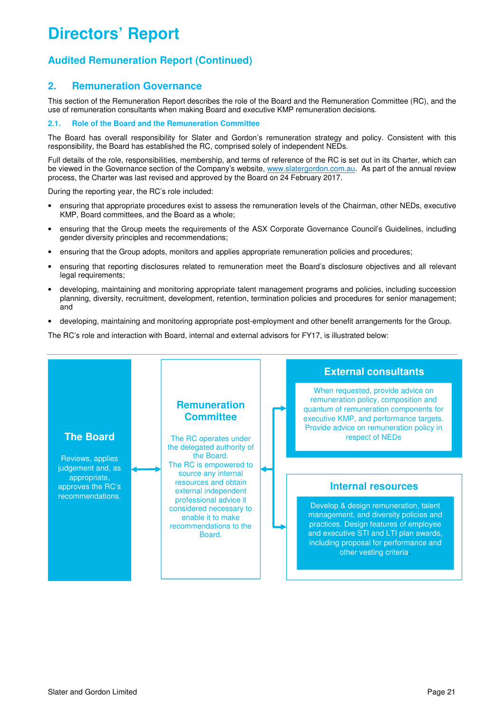## **Audited Remuneration Report (Continued)**

## **2. Remuneration Governance**

This section of the Remuneration Report describes the role of the Board and the Remuneration Committee (RC), and the use of remuneration consultants when making Board and executive KMP remuneration decisions.

#### **2.1. Role of the Board and the Remuneration Committee**

The Board has overall responsibility for Slater and Gordon's remuneration strategy and policy. Consistent with this responsibility, the Board has established the RC, comprised solely of independent NEDs.

Full details of the role, responsibilities, membership, and terms of reference of the RC is set out in its Charter, which can be viewed in the Governance section of the Company's website, www.slatergordon.com.au. As part of the annual review process, the Charter was last revised and approved by the Board on 24 February 2017.

During the reporting year, the RC's role included:

- ensuring that appropriate procedures exist to assess the remuneration levels of the Chairman, other NEDs, executive KMP, Board committees, and the Board as a whole;
- ensuring that the Group meets the requirements of the ASX Corporate Governance Council's Guidelines, including gender diversity principles and recommendations;
- ensuring that the Group adopts, monitors and applies appropriate remuneration policies and procedures;
- ensuring that reporting disclosures related to remuneration meet the Board's disclosure objectives and all relevant legal requirements;
- developing, maintaining and monitoring appropriate talent management programs and policies, including succession planning, diversity, recruitment, development, retention, termination policies and procedures for senior management; and
- developing, maintaining and monitoring appropriate post-employment and other benefit arrangements for the Group.

The RC's role and interaction with Board, internal and external advisors for FY17, is illustrated below:

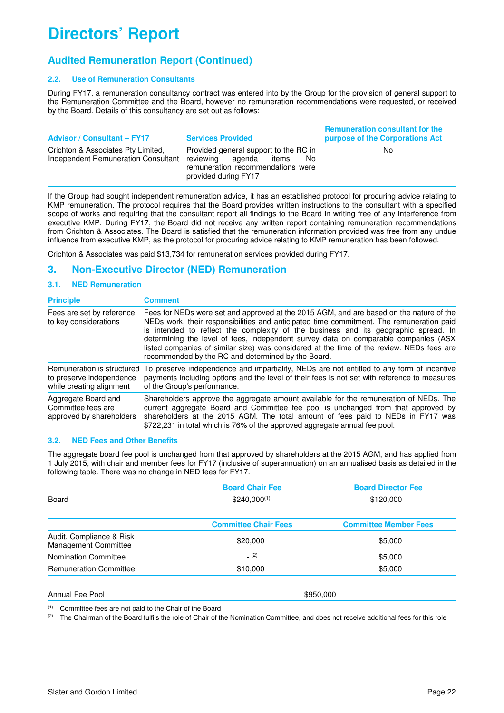## **Audited Remuneration Report (Continued)**

#### **2.2. Use of Remuneration Consultants**

During FY17, a remuneration consultancy contract was entered into by the Group for the provision of general support to the Remuneration Committee and the Board, however no remuneration recommendations were requested, or received by the Board. Details of this consultancy are set out as follows:

| <b>Advisor / Consultant - FY17</b>                                        | <b>Services Provided</b>                                                                                                                   | <b>Remuneration consultant for the</b><br>purpose of the Corporations Act |
|---------------------------------------------------------------------------|--------------------------------------------------------------------------------------------------------------------------------------------|---------------------------------------------------------------------------|
| Crichton & Associates Pty Limited.<br>Independent Remuneration Consultant | Provided general support to the RC in<br>aqenda<br>reviewing<br>items.<br>No.<br>remuneration recommendations were<br>provided during FY17 | No.                                                                       |

If the Group had sought independent remuneration advice, it has an established protocol for procuring advice relating to KMP remuneration. The protocol requires that the Board provides written instructions to the consultant with a specified scope of works and requiring that the consultant report all findings to the Board in writing free of any interference from executive KMP. During FY17, the Board did not receive any written report containing remuneration recommendations from Crichton & Associates. The Board is satisfied that the remuneration information provided was free from any undue influence from executive KMP, as the protocol for procuring advice relating to KMP remuneration has been followed.

Crichton & Associates was paid \$13,734 for remuneration services provided during FY17.

## **3. Non-Executive Director (NED) Remuneration**

#### **3.1. NED Remuneration**

| <b>Principle</b>                                                                   | <b>Comment</b>                                                                                                                                                                                                                                                                                                                                                                                                                                                                                                        |
|------------------------------------------------------------------------------------|-----------------------------------------------------------------------------------------------------------------------------------------------------------------------------------------------------------------------------------------------------------------------------------------------------------------------------------------------------------------------------------------------------------------------------------------------------------------------------------------------------------------------|
| Fees are set by reference<br>to key considerations                                 | Fees for NEDs were set and approved at the 2015 AGM, and are based on the nature of the<br>NEDs work, their responsibilities and anticipated time commitment. The remuneration paid<br>is intended to reflect the complexity of the business and its geographic spread. In<br>determining the level of fees, independent survey data on comparable companies (ASX)<br>listed companies of similar size) was considered at the time of the review. NEDs fees are<br>recommended by the RC and determined by the Board. |
| Remuneration is structured<br>to preserve independence<br>while creating alignment | To preserve independence and impartiality, NEDs are not entitled to any form of incentive<br>payments including options and the level of their fees is not set with reference to measures<br>of the Group's performance.                                                                                                                                                                                                                                                                                              |
| Aggregate Board and<br>Committee fees are<br>approved by shareholders              | Shareholders approve the aggregate amount available for the remuneration of NEDs. The<br>current aggregate Board and Committee fee pool is unchanged from that approved by<br>shareholders at the 2015 AGM. The total amount of fees paid to NEDs in FY17 was<br>\$722,231 in total which is 76% of the approved aggregate annual fee pool.                                                                                                                                                                           |

#### **3.2. NED Fees and Other Benefits**

The aggregate board fee pool is unchanged from that approved by shareholders at the 2015 AGM, and has applied from 1 July 2015, with chair and member fees for FY17 (inclusive of superannuation) on an annualised basis as detailed in the following table. There was no change in NED fees for FY17.

|                                                  | <b>Board Chair Fee</b>      | <b>Board Director Fee</b>    |
|--------------------------------------------------|-----------------------------|------------------------------|
| Board                                            | $$240,000^{(1)}$            | \$120,000                    |
|                                                  | <b>Committee Chair Fees</b> | <b>Committee Member Fees</b> |
| Audit, Compliance & Risk<br>Management Committee | \$20,000                    | \$5,000                      |
| Nomination Committee                             | (2)                         | \$5,000                      |
| <b>Remuneration Committee</b>                    | \$10,000                    | \$5,000                      |
| Annual Fee Pool                                  |                             | \$950,000                    |

Committee fees are not paid to the Chair of the Board

(2) The Chairman of the Board fulfils the role of Chair of the Nomination Committee, and does not receive additional fees for this role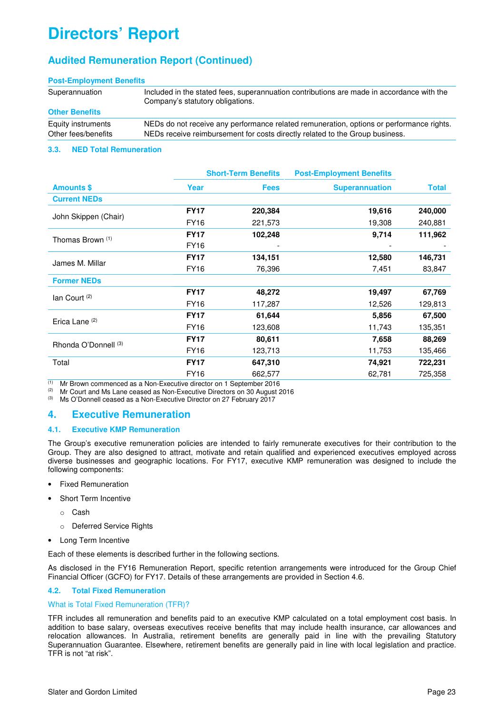## **Audited Remuneration Report (Continued)**

#### **Post-Employment Benefits**

| Superannuation        | Included in the stated fees, superannuation contributions are made in accordance with the<br>Company's statutory obligations. |
|-----------------------|-------------------------------------------------------------------------------------------------------------------------------|
| <b>Other Benefits</b> |                                                                                                                               |
| Equity instruments    | NEDs do not receive any performance related remuneration, options or performance rights.                                      |
| Other fees/benefits   | NEDs receive reimbursement for costs directly related to the Group business.                                                  |

#### **3.3. NED Total Remuneration**

|                                 |             | <b>Short-Term Benefits</b> | <b>Post-Employment Benefits</b> |              |  |
|---------------------------------|-------------|----------------------------|---------------------------------|--------------|--|
| <b>Amounts \$</b>               | Year        | <b>Fees</b>                | <b>Superannuation</b>           | <b>Total</b> |  |
| <b>Current NEDs</b>             |             |                            |                                 |              |  |
|                                 | <b>FY17</b> | 220,384                    | 19,616                          | 240,000      |  |
| John Skippen (Chair)            | <b>FY16</b> | 221,573                    | 19,308                          | 240,881      |  |
| Thomas Brown (1)                | <b>FY17</b> | 102,248                    | 9,714                           | 111,962      |  |
|                                 | FY16        |                            |                                 |              |  |
| James M. Millar                 | <b>FY17</b> | 134,151                    | 12,580                          | 146,731      |  |
|                                 | FY16        | 76,396                     | 7,451                           | 83,847       |  |
| <b>Former NEDs</b>              |             |                            |                                 |              |  |
| lan Court <sup>(2)</sup>        | <b>FY17</b> | 48,272                     | 19,497                          | 67,769       |  |
|                                 | <b>FY16</b> | 117,287                    | 12,526                          | 129,813      |  |
| Erica Lane <sup>(2)</sup>       | <b>FY17</b> | 61,644                     | 5,856                           | 67,500       |  |
|                                 | <b>FY16</b> | 123,608                    | 11,743                          | 135,351      |  |
|                                 | <b>FY17</b> | 80,611                     | 7,658                           | 88,269       |  |
| Rhonda O'Donnell <sup>(3)</sup> | <b>FY16</b> | 123,713                    | 11,753                          | 135,466      |  |
| Total                           | <b>FY17</b> | 647,310                    | 74,921                          | 722,231      |  |
| $\sqrt{4}$                      | FY16        | 662,577                    | 62,781                          | 725,358      |  |

(1) Mr Brown commenced as a Non-Executive director on 1 September 2016

(2) Mr Court and Ms Lane ceased as Non-Executive Directors on 30 August 2016<br>(3) Ms O'Donnell ceased as a Non-Executive Director on 27 February 2017

Ms O'Donnell ceased as a Non-Executive Director on 27 February 2017

### **4. Executive Remuneration**

#### **4.1. Executive KMP Remuneration**

The Group's executive remuneration policies are intended to fairly remunerate executives for their contribution to the Group. They are also designed to attract, motivate and retain qualified and experienced executives employed across diverse businesses and geographic locations. For FY17, executive KMP remuneration was designed to include the following components:

- Fixed Remuneration
- Short Term Incentive
	- o Cash
	- o Deferred Service Rights
- Long Term Incentive

Each of these elements is described further in the following sections.

As disclosed in the FY16 Remuneration Report, specific retention arrangements were introduced for the Group Chief Financial Officer (GCFO) for FY17. Details of these arrangements are provided in Section 4.6.

#### **4.2. Total Fixed Remuneration**

#### What is Total Fixed Remuneration (TFR)?

TFR includes all remuneration and benefits paid to an executive KMP calculated on a total employment cost basis. In addition to base salary, overseas executives receive benefits that may include health insurance, car allowances and relocation allowances. In Australia, retirement benefits are generally paid in line with the prevailing Statutory Superannuation Guarantee. Elsewhere, retirement benefits are generally paid in line with local legislation and practice. TFR is not "at risk".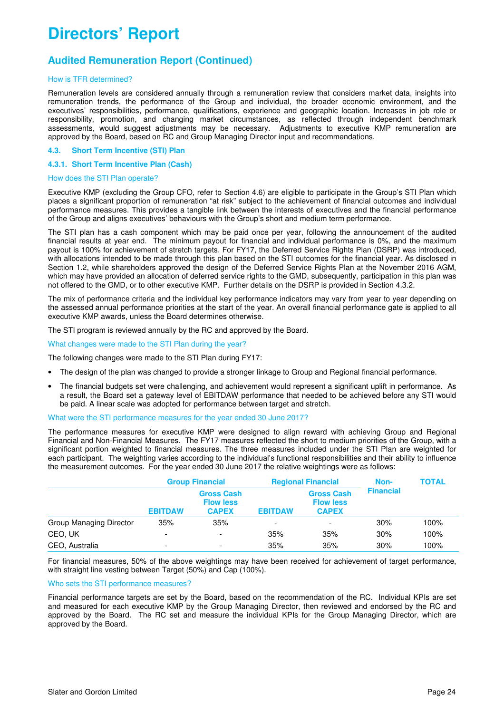## **Audited Remuneration Report (Continued)**

#### How is TFR determined?

Remuneration levels are considered annually through a remuneration review that considers market data, insights into remuneration trends, the performance of the Group and individual, the broader economic environment, and the executives' responsibilities, performance, qualifications, experience and geographic location. Increases in job role or responsibility, promotion, and changing market circumstances, as reflected through independent benchmark assessments, would suggest adjustments may be necessary. Adjustments to executive KMP remuneration are approved by the Board, based on RC and Group Managing Director input and recommendations.

#### **4.3. Short Term Incentive (STI) Plan**

#### **4.3.1. Short Term Incentive Plan (Cash)**

#### How does the STI Plan operate?

Executive KMP (excluding the Group CFO, refer to Section 4.6) are eligible to participate in the Group's STI Plan which places a significant proportion of remuneration "at risk" subject to the achievement of financial outcomes and individual performance measures. This provides a tangible link between the interests of executives and the financial performance of the Group and aligns executives' behaviours with the Group's short and medium term performance.

The STI plan has a cash component which may be paid once per year, following the announcement of the audited financial results at year end. The minimum payout for financial and individual performance is 0%, and the maximum payout is 100% for achievement of stretch targets. For FY17, the Deferred Service Rights Plan (DSRP) was introduced, with allocations intended to be made through this plan based on the STI outcomes for the financial year. As disclosed in Section 1.2, while shareholders approved the design of the Deferred Service Rights Plan at the November 2016 AGM, which may have provided an allocation of deferred service rights to the GMD, subsequently, participation in this plan was not offered to the GMD, or to other executive KMP. Further details on the DSRP is provided in Section 4.3.2.

The mix of performance criteria and the individual key performance indicators may vary from year to year depending on the assessed annual performance priorities at the start of the year. An overall financial performance gate is applied to all executive KMP awards, unless the Board determines otherwise.

The STI program is reviewed annually by the RC and approved by the Board.

#### What changes were made to the STI Plan during the year?

The following changes were made to the STI Plan during FY17:

- The design of the plan was changed to provide a stronger linkage to Group and Regional financial performance.
- The financial budgets set were challenging, and achievement would represent a significant uplift in performance. As a result, the Board set a gateway level of EBITDAW performance that needed to be achieved before any STI would be paid. A linear scale was adopted for performance between target and stretch.

#### What were the STI performance measures for the year ended 30 June 2017?

The performance measures for executive KMP were designed to align reward with achieving Group and Regional Financial and Non-Financial Measures. The FY17 measures reflected the short to medium priorities of the Group, with a significant portion weighted to financial measures. The three measures included under the STI Plan are weighted for each participant. The weighting varies according to the individual's functional responsibilities and their ability to influence the measurement outcomes. For the year ended 30 June 2017 the relative weightings were as follows:

|                         | <b>Group Financial</b>   |                                                       |                          | <b>Regional Financial</b>                             |                  | <b>TOTAL</b> |
|-------------------------|--------------------------|-------------------------------------------------------|--------------------------|-------------------------------------------------------|------------------|--------------|
|                         | <b>EBITDAW</b>           | <b>Gross Cash</b><br><b>Flow less</b><br><b>CAPEX</b> | <b>EBITDAW</b>           | <b>Gross Cash</b><br><b>Flow less</b><br><b>CAPEX</b> | <b>Financial</b> |              |
| Group Managing Director | 35%                      | 35%                                                   | $\overline{\phantom{0}}$ | $\overline{\phantom{a}}$                              | 30%              | 100%         |
| CEO, UK                 | $\overline{\phantom{0}}$ | $\overline{\phantom{a}}$                              | 35%                      | 35%                                                   | 30%              | 100%         |
| CEO, Australia          | $\overline{\phantom{0}}$ | $\overline{\phantom{a}}$                              | 35%                      | 35%                                                   | 30%              | 100%         |

For financial measures, 50% of the above weightings may have been received for achievement of target performance, with straight line vesting between Target (50%) and Cap (100%).

#### Who sets the STI performance measures?

Financial performance targets are set by the Board, based on the recommendation of the RC. Individual KPIs are set and measured for each executive KMP by the Group Managing Director, then reviewed and endorsed by the RC and approved by the Board. The RC set and measure the individual KPIs for the Group Managing Director, which are approved by the Board.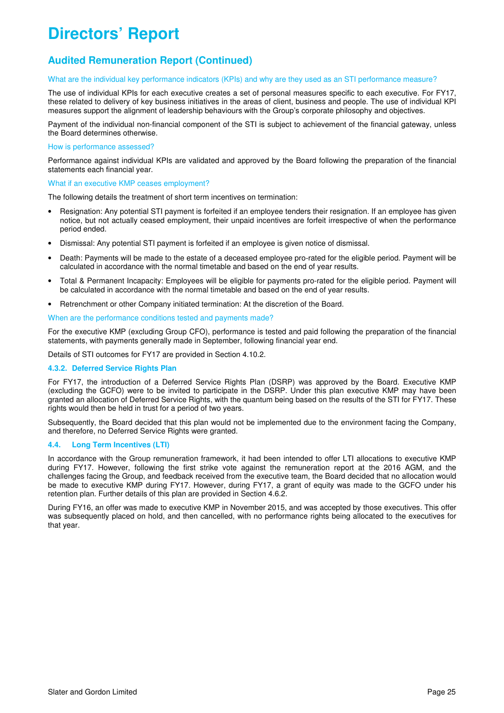## **Audited Remuneration Report (Continued)**

#### What are the individual key performance indicators (KPIs) and why are they used as an STI performance measure?

The use of individual KPIs for each executive creates a set of personal measures specific to each executive. For FY17, these related to delivery of key business initiatives in the areas of client, business and people. The use of individual KPI measures support the alignment of leadership behaviours with the Group's corporate philosophy and objectives.

Payment of the individual non-financial component of the STI is subject to achievement of the financial gateway, unless the Board determines otherwise.

#### How is performance assessed?

Performance against individual KPIs are validated and approved by the Board following the preparation of the financial statements each financial year.

#### What if an executive KMP ceases employment?

The following details the treatment of short term incentives on termination:

- Resignation: Any potential STI payment is forfeited if an employee tenders their resignation. If an employee has given notice, but not actually ceased employment, their unpaid incentives are forfeit irrespective of when the performance period ended.
- Dismissal: Any potential STI payment is forfeited if an employee is given notice of dismissal.
- Death: Payments will be made to the estate of a deceased employee pro-rated for the eligible period. Payment will be calculated in accordance with the normal timetable and based on the end of year results.
- Total & Permanent Incapacity: Employees will be eligible for payments pro-rated for the eligible period. Payment will be calculated in accordance with the normal timetable and based on the end of year results.
- Retrenchment or other Company initiated termination: At the discretion of the Board.

#### When are the performance conditions tested and payments made?

For the executive KMP (excluding Group CFO), performance is tested and paid following the preparation of the financial statements, with payments generally made in September, following financial year end.

Details of STI outcomes for FY17 are provided in Section 4.10.2.

#### **4.3.2. Deferred Service Rights Plan**

For FY17, the introduction of a Deferred Service Rights Plan (DSRP) was approved by the Board. Executive KMP (excluding the GCFO) were to be invited to participate in the DSRP. Under this plan executive KMP may have been granted an allocation of Deferred Service Rights, with the quantum being based on the results of the STI for FY17. These rights would then be held in trust for a period of two years.

Subsequently, the Board decided that this plan would not be implemented due to the environment facing the Company, and therefore, no Deferred Service Rights were granted.

#### **4.4. Long Term Incentives (LTI)**

In accordance with the Group remuneration framework, it had been intended to offer LTI allocations to executive KMP during FY17. However, following the first strike vote against the remuneration report at the 2016 AGM, and the challenges facing the Group, and feedback received from the executive team, the Board decided that no allocation would be made to executive KMP during FY17. However, during FY17, a grant of equity was made to the GCFO under his retention plan. Further details of this plan are provided in Section 4.6.2.

During FY16, an offer was made to executive KMP in November 2015, and was accepted by those executives. This offer was subsequently placed on hold, and then cancelled, with no performance rights being allocated to the executives for that year.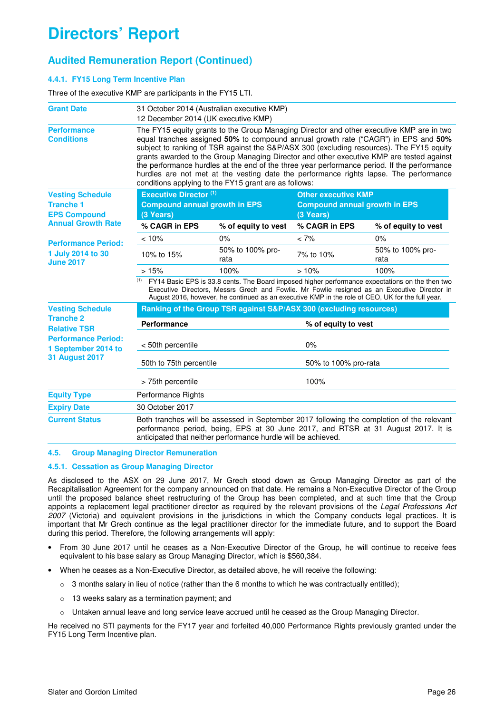## **Audited Remuneration Report (Continued)**

#### **4.4.1. FY15 Long Term Incentive Plan**

Three of the executive KMP are participants in the FY15 LTI.

| <b>Grant Date</b>                                 |                                                                                                                                                                                                                                                                                                                                                                                                                                                                                                                                                                                                                         | 31 October 2014 (Australian executive KMP)<br>12 December 2014 (UK executive KMP) |                                      |                          |  |  |
|---------------------------------------------------|-------------------------------------------------------------------------------------------------------------------------------------------------------------------------------------------------------------------------------------------------------------------------------------------------------------------------------------------------------------------------------------------------------------------------------------------------------------------------------------------------------------------------------------------------------------------------------------------------------------------------|-----------------------------------------------------------------------------------|--------------------------------------|--------------------------|--|--|
| <b>Performance</b><br><b>Conditions</b>           | The FY15 equity grants to the Group Managing Director and other executive KMP are in two<br>equal tranches assigned 50% to compound annual growth rate ("CAGR") in EPS and 50%<br>subject to ranking of TSR against the S&P/ASX 300 (excluding resources). The FY15 equity<br>grants awarded to the Group Managing Director and other executive KMP are tested against<br>the performance hurdles at the end of the three year performance period. If the performance<br>hurdles are not met at the vesting date the performance rights lapse. The performance<br>conditions applying to the FY15 grant are as follows: |                                                                                   |                                      |                          |  |  |
| <b>Vesting Schedule</b>                           | <b>Executive Director (1)</b>                                                                                                                                                                                                                                                                                                                                                                                                                                                                                                                                                                                           |                                                                                   | <b>Other executive KMP</b>           |                          |  |  |
| <b>Tranche 1</b>                                  | <b>Compound annual growth in EPS</b>                                                                                                                                                                                                                                                                                                                                                                                                                                                                                                                                                                                    |                                                                                   | <b>Compound annual growth in EPS</b> |                          |  |  |
| <b>EPS Compound</b>                               | (3 Years)                                                                                                                                                                                                                                                                                                                                                                                                                                                                                                                                                                                                               |                                                                                   | (3 Years)                            |                          |  |  |
| <b>Annual Growth Rate</b>                         | % CAGR in EPS                                                                                                                                                                                                                                                                                                                                                                                                                                                                                                                                                                                                           | % of equity to vest                                                               | % CAGR in EPS                        | % of equity to vest      |  |  |
| <b>Performance Period:</b>                        | < 10%                                                                                                                                                                                                                                                                                                                                                                                                                                                                                                                                                                                                                   | 0%                                                                                | $< 7\%$                              | $0\%$                    |  |  |
| 1 July 2014 to 30<br><b>June 2017</b>             | 10% to 15%                                                                                                                                                                                                                                                                                                                                                                                                                                                                                                                                                                                                              | 50% to 100% pro-<br>rata                                                          | 7% to 10%                            | 50% to 100% pro-<br>rata |  |  |
|                                                   | >15%                                                                                                                                                                                                                                                                                                                                                                                                                                                                                                                                                                                                                    | 100%                                                                              | >10%                                 | 100%                     |  |  |
|                                                   | (1)<br>FY14 Basic EPS is 33.8 cents. The Board imposed higher performance expectations on the then two<br>Executive Directors, Messrs Grech and Fowlie. Mr Fowlie resigned as an Executive Director in<br>August 2016, however, he continued as an executive KMP in the role of CEO, UK for the full year.                                                                                                                                                                                                                                                                                                              |                                                                                   |                                      |                          |  |  |
| <b>Vesting Schedule</b>                           | Ranking of the Group TSR against S&P/ASX 300 (excluding resources)                                                                                                                                                                                                                                                                                                                                                                                                                                                                                                                                                      |                                                                                   |                                      |                          |  |  |
| <b>Tranche 2</b><br><b>Relative TSR</b>           | <b>Performance</b>                                                                                                                                                                                                                                                                                                                                                                                                                                                                                                                                                                                                      |                                                                                   | % of equity to vest                  |                          |  |  |
| <b>Performance Period:</b><br>1 September 2014 to | < 50th percentile                                                                                                                                                                                                                                                                                                                                                                                                                                                                                                                                                                                                       |                                                                                   | 0%                                   |                          |  |  |
| <b>31 August 2017</b>                             | 50th to 75th percentile                                                                                                                                                                                                                                                                                                                                                                                                                                                                                                                                                                                                 |                                                                                   | 50% to 100% pro-rata                 |                          |  |  |
|                                                   | > 75th percentile                                                                                                                                                                                                                                                                                                                                                                                                                                                                                                                                                                                                       |                                                                                   |                                      |                          |  |  |
| <b>Equity Type</b>                                | Performance Rights                                                                                                                                                                                                                                                                                                                                                                                                                                                                                                                                                                                                      |                                                                                   |                                      |                          |  |  |
| <b>Expiry Date</b>                                | 30 October 2017                                                                                                                                                                                                                                                                                                                                                                                                                                                                                                                                                                                                         |                                                                                   |                                      |                          |  |  |
| <b>Current Status</b>                             | Both tranches will be assessed in September 2017 following the completion of the relevant<br>performance period, being, EPS at 30 June 2017, and RTSR at 31 August 2017. It is<br>anticipated that neither performance hurdle will be achieved.                                                                                                                                                                                                                                                                                                                                                                         |                                                                                   |                                      |                          |  |  |

#### **4.5. Group Managing Director Remuneration**

#### **4.5.1. Cessation as Group Managing Director**

As disclosed to the ASX on 29 June 2017, Mr Grech stood down as Group Managing Director as part of the Recapitalisation Agreement for the company announced on that date. He remains a Non-Executive Director of the Group until the proposed balance sheet restructuring of the Group has been completed, and at such time that the Group appoints a replacement legal practitioner director as required by the relevant provisions of the Legal Professions Act 2007 (Victoria) and equivalent provisions in the jurisdictions in which the Company conducts legal practices. It is important that Mr Grech continue as the legal practitioner director for the immediate future, and to support the Board during this period. Therefore, the following arrangements will apply:

- From 30 June 2017 until he ceases as a Non-Executive Director of the Group, he will continue to receive fees equivalent to his base salary as Group Managing Director, which is \$560,384.
- When he ceases as a Non-Executive Director, as detailed above, he will receive the following:
	- $\circ$  3 months salary in lieu of notice (rather than the 6 months to which he was contractually entitled);
	- o 13 weeks salary as a termination payment; and
	- o Untaken annual leave and long service leave accrued until he ceased as the Group Managing Director.

He received no STI payments for the FY17 year and forfeited 40,000 Performance Rights previously granted under the FY15 Long Term Incentive plan.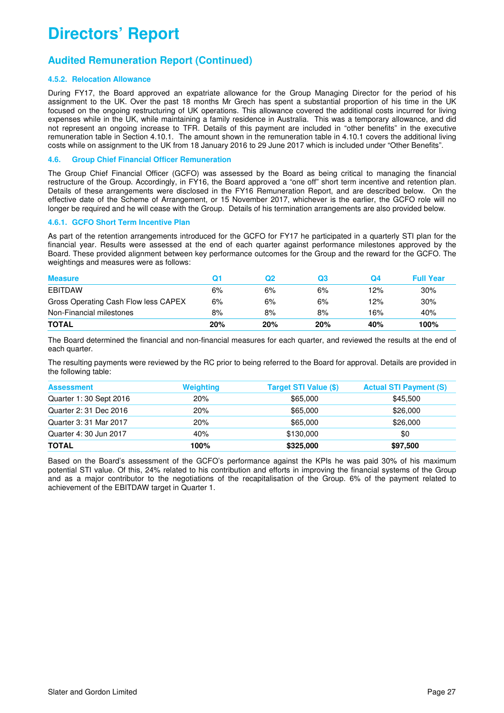## **Audited Remuneration Report (Continued)**

#### **4.5.2. Relocation Allowance**

During FY17, the Board approved an expatriate allowance for the Group Managing Director for the period of his assignment to the UK. Over the past 18 months Mr Grech has spent a substantial proportion of his time in the UK focused on the ongoing restructuring of UK operations. This allowance covered the additional costs incurred for living expenses while in the UK, while maintaining a family residence in Australia. This was a temporary allowance, and did not represent an ongoing increase to TFR. Details of this payment are included in "other benefits" in the executive remuneration table in Section 4.10.1. The amount shown in the remuneration table in 4.10.1 covers the additional living costs while on assignment to the UK from 18 January 2016 to 29 June 2017 which is included under "Other Benefits".

#### **4.6. Group Chief Financial Officer Remuneration**

The Group Chief Financial Officer (GCFO) was assessed by the Board as being critical to managing the financial restructure of the Group. Accordingly, in FY16, the Board approved a "one off" short term incentive and retention plan. Details of these arrangements were disclosed in the FY16 Remuneration Report, and are described below. On the effective date of the Scheme of Arrangement, or 15 November 2017, whichever is the earlier, the GCFO role will no longer be required and he will cease with the Group. Details of his termination arrangements are also provided below.

#### **4.6.1. GCFO Short Term Incentive Plan**

As part of the retention arrangements introduced for the GCFO for FY17 he participated in a quarterly STI plan for the financial year. Results were assessed at the end of each quarter against performance milestones approved by the Board. These provided alignment between key performance outcomes for the Group and the reward for the GCFO. The weightings and measures were as follows:

| <b>Measure</b>                       |     | Q2  | Ω3  | Q4  | <b>Full Year</b> |
|--------------------------------------|-----|-----|-----|-----|------------------|
| EBITDAW                              | 6%  | 6%  | 6%  | 12% | 30%              |
| Gross Operating Cash Flow less CAPEX | 6%  | 6%  | 6%  | 12% | 30%              |
| Non-Financial milestones             | 8%  | 8%  | 8%  | 16% | 40%              |
| <b>TOTAL</b>                         | 20% | 20% | 20% | 40% | 100%             |

The Board determined the financial and non-financial measures for each quarter, and reviewed the results at the end of each quarter.

The resulting payments were reviewed by the RC prior to being referred to the Board for approval. Details are provided in the following table:

| <b>Assessment</b>      | <b>Weighting</b> | <b>Target STI Value (\$)</b> | <b>Actual STI Payment (S)</b> |
|------------------------|------------------|------------------------------|-------------------------------|
| Quarter 1:30 Sept 2016 | 20%              | \$65,000                     | \$45,500                      |
| Quarter 2: 31 Dec 2016 | 20%              | \$65,000                     | \$26,000                      |
| Quarter 3:31 Mar 2017  | 20%              | \$65,000                     | \$26,000                      |
| Quarter 4: 30 Jun 2017 | 40%              | \$130,000                    | \$0                           |
| <b>TOTAL</b>           | 100%             | \$325,000                    | \$97,500                      |

Based on the Board's assessment of the GCFO's performance against the KPIs he was paid 30% of his maximum potential STI value. Of this, 24% related to his contribution and efforts in improving the financial systems of the Group and as a major contributor to the negotiations of the recapitalisation of the Group. 6% of the payment related to achievement of the EBITDAW target in Quarter 1.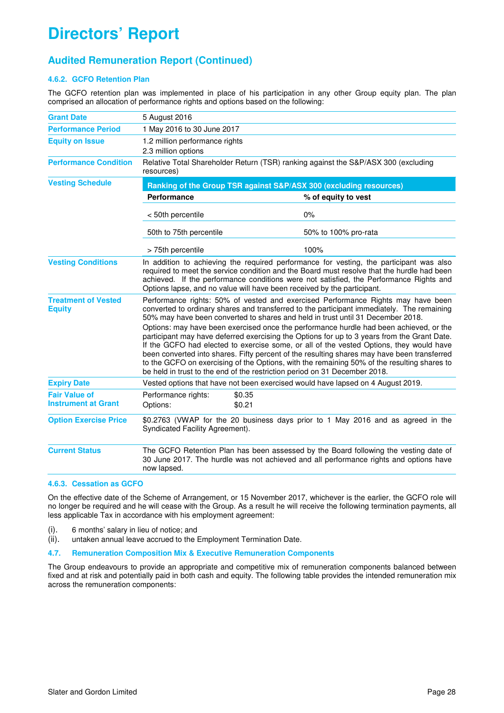## **Audited Remuneration Report (Continued)**

#### **4.6.2. GCFO Retention Plan**

The GCFO retention plan was implemented in place of his participation in any other Group equity plan. The plan comprised an allocation of performance rights and options based on the following:

| <b>Grant Date</b>                                  | 5 August 2016                                                                                                                                                                                                                                                                                                                                                                                                                                                                                                                                                                                                                                                                                                                                                                                                                     |                                                                                                                                                                               |  |  |  |
|----------------------------------------------------|-----------------------------------------------------------------------------------------------------------------------------------------------------------------------------------------------------------------------------------------------------------------------------------------------------------------------------------------------------------------------------------------------------------------------------------------------------------------------------------------------------------------------------------------------------------------------------------------------------------------------------------------------------------------------------------------------------------------------------------------------------------------------------------------------------------------------------------|-------------------------------------------------------------------------------------------------------------------------------------------------------------------------------|--|--|--|
| <b>Performance Period</b>                          | 1 May 2016 to 30 June 2017                                                                                                                                                                                                                                                                                                                                                                                                                                                                                                                                                                                                                                                                                                                                                                                                        |                                                                                                                                                                               |  |  |  |
| <b>Equity on Issue</b>                             | 1.2 million performance rights                                                                                                                                                                                                                                                                                                                                                                                                                                                                                                                                                                                                                                                                                                                                                                                                    |                                                                                                                                                                               |  |  |  |
|                                                    | 2.3 million options                                                                                                                                                                                                                                                                                                                                                                                                                                                                                                                                                                                                                                                                                                                                                                                                               |                                                                                                                                                                               |  |  |  |
| <b>Performance Condition</b>                       | Relative Total Shareholder Return (TSR) ranking against the S&P/ASX 300 (excluding<br>resources)                                                                                                                                                                                                                                                                                                                                                                                                                                                                                                                                                                                                                                                                                                                                  |                                                                                                                                                                               |  |  |  |
| <b>Vesting Schedule</b>                            |                                                                                                                                                                                                                                                                                                                                                                                                                                                                                                                                                                                                                                                                                                                                                                                                                                   | Ranking of the Group TSR against S&P/ASX 300 (excluding resources)                                                                                                            |  |  |  |
|                                                    | <b>Performance</b>                                                                                                                                                                                                                                                                                                                                                                                                                                                                                                                                                                                                                                                                                                                                                                                                                | % of equity to vest                                                                                                                                                           |  |  |  |
|                                                    | < 50th percentile                                                                                                                                                                                                                                                                                                                                                                                                                                                                                                                                                                                                                                                                                                                                                                                                                 | 0%                                                                                                                                                                            |  |  |  |
|                                                    | 50th to 75th percentile                                                                                                                                                                                                                                                                                                                                                                                                                                                                                                                                                                                                                                                                                                                                                                                                           | 50% to 100% pro-rata                                                                                                                                                          |  |  |  |
|                                                    | > 75th percentile                                                                                                                                                                                                                                                                                                                                                                                                                                                                                                                                                                                                                                                                                                                                                                                                                 | 100%                                                                                                                                                                          |  |  |  |
| <b>Vesting Conditions</b>                          | In addition to achieving the required performance for vesting, the participant was also<br>required to meet the service condition and the Board must resolve that the hurdle had been<br>achieved. If the performance conditions were not satisfied, the Performance Rights and<br>Options lapse, and no value will have been received by the participant.                                                                                                                                                                                                                                                                                                                                                                                                                                                                        |                                                                                                                                                                               |  |  |  |
| <b>Treatment of Vested</b><br><b>Equity</b>        | Performance rights: 50% of vested and exercised Performance Rights may have been<br>converted to ordinary shares and transferred to the participant immediately. The remaining<br>50% may have been converted to shares and held in trust until 31 December 2018.<br>Options: may have been exercised once the performance hurdle had been achieved, or the<br>participant may have deferred exercising the Options for up to 3 years from the Grant Date.<br>If the GCFO had elected to exercise some, or all of the vested Options, they would have<br>been converted into shares. Fifty percent of the resulting shares may have been transferred<br>to the GCFO on exercising of the Options, with the remaining 50% of the resulting shares to<br>be held in trust to the end of the restriction period on 31 December 2018. |                                                                                                                                                                               |  |  |  |
| <b>Expiry Date</b>                                 |                                                                                                                                                                                                                                                                                                                                                                                                                                                                                                                                                                                                                                                                                                                                                                                                                                   | Vested options that have not been exercised would have lapsed on 4 August 2019.                                                                                               |  |  |  |
| <b>Fair Value of</b><br><b>Instrument at Grant</b> | \$0.35<br>Performance rights:<br>Options:<br>\$0.21                                                                                                                                                                                                                                                                                                                                                                                                                                                                                                                                                                                                                                                                                                                                                                               |                                                                                                                                                                               |  |  |  |
| <b>Option Exercise Price</b>                       | Syndicated Facility Agreement).                                                                                                                                                                                                                                                                                                                                                                                                                                                                                                                                                                                                                                                                                                                                                                                                   | \$0.2763 (VWAP for the 20 business days prior to 1 May 2016 and as agreed in the                                                                                              |  |  |  |
| <b>Current Status</b>                              | now lapsed.                                                                                                                                                                                                                                                                                                                                                                                                                                                                                                                                                                                                                                                                                                                                                                                                                       | The GCFO Retention Plan has been assessed by the Board following the vesting date of<br>30 June 2017. The hurdle was not achieved and all performance rights and options have |  |  |  |

#### **4.6.3. Cessation as GCFO**

On the effective date of the Scheme of Arrangement, or 15 November 2017, whichever is the earlier, the GCFO role will no longer be required and he will cease with the Group. As a result he will receive the following termination payments, all less applicable Tax in accordance with his employment agreement:

- (i). 6 months' salary in lieu of notice; and
- (ii). untaken annual leave accrued to the Employment Termination Date.
- **4.7. Remuneration Composition Mix & Executive Remuneration Components**

The Group endeavours to provide an appropriate and competitive mix of remuneration components balanced between fixed and at risk and potentially paid in both cash and equity. The following table provides the intended remuneration mix across the remuneration components: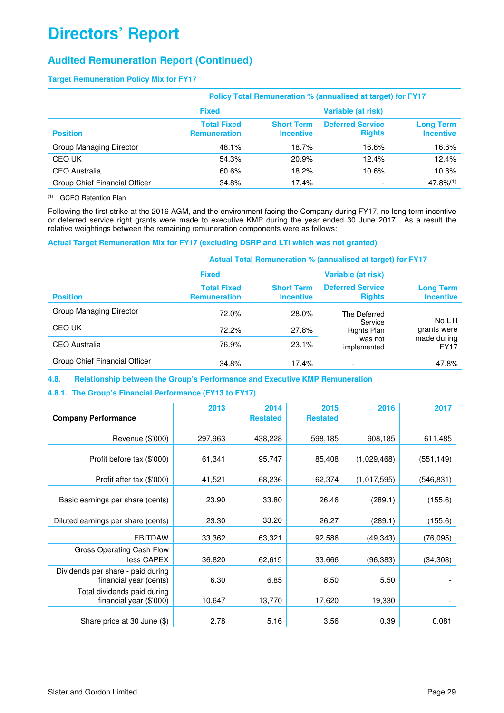## **Audited Remuneration Report (Continued)**

#### **Target Remuneration Policy Mix for FY17**

|                               | Policy Total Remuneration % (annualised at target) for FY17 |                                       |                                          |                                      |  |  |
|-------------------------------|-------------------------------------------------------------|---------------------------------------|------------------------------------------|--------------------------------------|--|--|
|                               | <b>Fixed</b>                                                |                                       | Variable (at risk)                       |                                      |  |  |
| <b>Position</b>               | <b>Total Fixed</b><br><b>Remuneration</b>                   | <b>Short Term</b><br><b>Incentive</b> | <b>Deferred Service</b><br><b>Rights</b> | <b>Long Term</b><br><b>Incentive</b> |  |  |
| Group Managing Director       | 48.1%                                                       | 18.7%                                 | 16.6%                                    | 16.6%                                |  |  |
| CEO UK                        | 54.3%                                                       | 20.9%                                 | 12.4%                                    | 12.4%                                |  |  |
| <b>CEO</b> Australia          | 60.6%                                                       | 18.2%                                 | 10.6%                                    | 10.6%                                |  |  |
| Group Chief Financial Officer | 34.8%                                                       | 17.4%                                 |                                          | $47.8\%^{(1)}$                       |  |  |

(1) GCFO Retention Plan

Following the first strike at the 2016 AGM, and the environment facing the Company during FY17, no long term incentive or deferred service right grants were made to executive KMP during the year ended 30 June 2017. As a result the relative weightings between the remaining remuneration components were as follows:

#### **Actual Target Remuneration Mix for FY17 (excluding DSRP and LTI which was not granted)**

|                               | Actual Total Remuneration % (annualised at target) for FY17 |                                       |                                          |                                      |  |
|-------------------------------|-------------------------------------------------------------|---------------------------------------|------------------------------------------|--------------------------------------|--|
|                               | <b>Fixed</b>                                                |                                       | Variable (at risk)                       |                                      |  |
| <b>Position</b>               | <b>Total Fixed</b><br><b>Remuneration</b>                   | <b>Short Term</b><br><b>Incentive</b> | <b>Deferred Service</b><br><b>Rights</b> | <b>Long Term</b><br><b>Incentive</b> |  |
| Group Managing Director       | 72.0%                                                       | 28.0%                                 | The Deferred                             |                                      |  |
| CEO UK                        | 72.2%                                                       | 27.8%                                 | Service<br><b>Rights Plan</b>            | No LTI<br>grants were                |  |
| CEO Australia                 | 76.9%                                                       | 23.1%                                 | was not<br>implemented                   | made during<br><b>FY17</b>           |  |
| Group Chief Financial Officer | 34.8%                                                       | 17.4%                                 | -                                        | 47.8%                                |  |

**4.8. Relationship between the Group's Performance and Executive KMP Remuneration**

#### **4.8.1. The Group's Financial Performance (FY13 to FY17)**

| <b>Company Performance</b>                                  | 2013    | 2014<br><b>Restated</b> | 2015<br><b>Restated</b> | 2016        | 2017       |
|-------------------------------------------------------------|---------|-------------------------|-------------------------|-------------|------------|
|                                                             |         |                         |                         |             |            |
| Revenue (\$'000)                                            | 297,963 | 438,228                 | 598,185                 | 908,185     | 611,485    |
| Profit before tax (\$'000)                                  | 61,341  | 95,747                  | 85,408                  | (1,029,468) | (551, 149) |
| Profit after tax (\$'000)                                   | 41,521  | 68,236                  | 62,374                  | (1,017,595) | (546, 831) |
| Basic earnings per share (cents)                            | 23.90   | 33.80                   | 26.46                   | (289.1)     | (155.6)    |
| Diluted earnings per share (cents)                          | 23.30   | 33.20                   | 26.27                   | (289.1)     | (155.6)    |
| <b>EBITDAW</b>                                              | 33,362  | 63,321                  | 92,586                  | (49, 343)   | (76, 095)  |
| Gross Operating Cash Flow<br>less CAPEX                     | 36,820  | 62,615                  | 33,666                  | (96, 383)   | (34, 308)  |
| Dividends per share - paid during<br>financial year (cents) | 6.30    | 6.85                    | 8.50                    | 5.50        |            |
| Total dividends paid during<br>financial year (\$'000)      | 10,647  | 13,770                  | 17,620                  | 19,330      |            |
| Share price at 30 June (\$)                                 | 2.78    | 5.16                    | 3.56                    | 0.39        | 0.081      |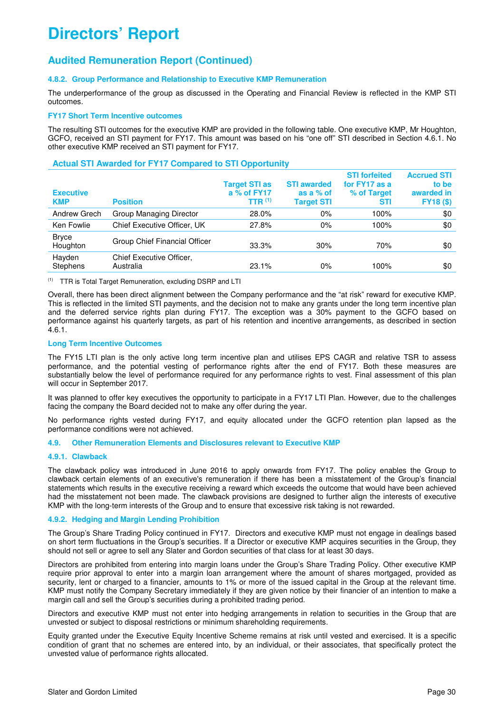## **Audited Remuneration Report (Continued)**

#### **4.8.2. Group Performance and Relationship to Executive KMP Remuneration**

The underperformance of the group as discussed in the Operating and Financial Review is reflected in the KMP STI outcomes.

#### **FY17 Short Term Incentive outcomes**

The resulting STI outcomes for the executive KMP are provided in the following table. One executive KMP, Mr Houghton, GCFO, received an STI payment for FY17. This amount was based on his "one off" STI described in Section 4.6.1. No other executive KMP received an STI payment for FY17.

#### **Actual STI Awarded for FY17 Compared to STI Opportunity**

| <b>Executive</b><br><b>KMP</b> | <b>Position</b>                       | <b>Target STI as</b><br>a % of FY17<br><b>TTR</b> (1) | <b>STI</b> awarded<br>as a $%$ of<br><b>Target STI</b> | <b>STI</b> forfeited<br>for FY17 as a<br>% of Target<br><b>STI</b> | <b>Accrued STI</b><br>to be<br>awarded in<br>$FY18($ \$) |
|--------------------------------|---------------------------------------|-------------------------------------------------------|--------------------------------------------------------|--------------------------------------------------------------------|----------------------------------------------------------|
| Andrew Grech                   | Group Managing Director               | 28.0%                                                 | 0%                                                     | 100%                                                               | \$0                                                      |
| Ken Fowlie                     | <b>Chief Executive Officer, UK</b>    | 27.8%                                                 | $0\%$                                                  | 100%                                                               | \$0                                                      |
| <b>Bryce</b><br>Houghton       | Group Chief Financial Officer         | 33.3%                                                 | 30%                                                    | 70%                                                                | \$0                                                      |
| Hayden<br><b>Stephens</b>      | Chief Executive Officer,<br>Australia | 23.1%                                                 | $0\%$                                                  | 100%                                                               | \$0                                                      |

(1) TTR is Total Target Remuneration, excluding DSRP and LTI

Overall, there has been direct alignment between the Company performance and the "at risk" reward for executive KMP. This is reflected in the limited STI payments, and the decision not to make any grants under the long term incentive plan and the deferred service rights plan during FY17. The exception was a 30% payment to the GCFO based on performance against his quarterly targets, as part of his retention and incentive arrangements, as described in section 4.6.1.

#### **Long Term Incentive Outcomes**

The FY15 LTI plan is the only active long term incentive plan and utilises EPS CAGR and relative TSR to assess performance, and the potential vesting of performance rights after the end of FY17. Both these measures are substantially below the level of performance required for any performance rights to vest. Final assessment of this plan will occur in September 2017.

It was planned to offer key executives the opportunity to participate in a FY17 LTI Plan. However, due to the challenges facing the company the Board decided not to make any offer during the year.

No performance rights vested during FY17, and equity allocated under the GCFO retention plan lapsed as the performance conditions were not achieved.

#### **4.9. Other Remuneration Elements and Disclosures relevant to Executive KMP**

#### **4.9.1. Clawback**

The clawback policy was introduced in June 2016 to apply onwards from FY17. The policy enables the Group to clawback certain elements of an executive's remuneration if there has been a misstatement of the Group's financial statements which results in the executive receiving a reward which exceeds the outcome that would have been achieved had the misstatement not been made. The clawback provisions are designed to further align the interests of executive KMP with the long-term interests of the Group and to ensure that excessive risk taking is not rewarded.

#### **4.9.2. Hedging and Margin Lending Prohibition**

The Group's Share Trading Policy continued in FY17. Directors and executive KMP must not engage in dealings based on short term fluctuations in the Group's securities. If a Director or executive KMP acquires securities in the Group, they should not sell or agree to sell any Slater and Gordon securities of that class for at least 30 days.

Directors are prohibited from entering into margin loans under the Group's Share Trading Policy. Other executive KMP require prior approval to enter into a margin loan arrangement where the amount of shares mortgaged, provided as security, lent or charged to a financier, amounts to 1% or more of the issued capital in the Group at the relevant time. KMP must notify the Company Secretary immediately if they are given notice by their financier of an intention to make a margin call and sell the Group's securities during a prohibited trading period.

Directors and executive KMP must not enter into hedging arrangements in relation to securities in the Group that are unvested or subject to disposal restrictions or minimum shareholding requirements.

Equity granted under the Executive Equity Incentive Scheme remains at risk until vested and exercised. It is a specific condition of grant that no schemes are entered into, by an individual, or their associates, that specifically protect the unvested value of performance rights allocated.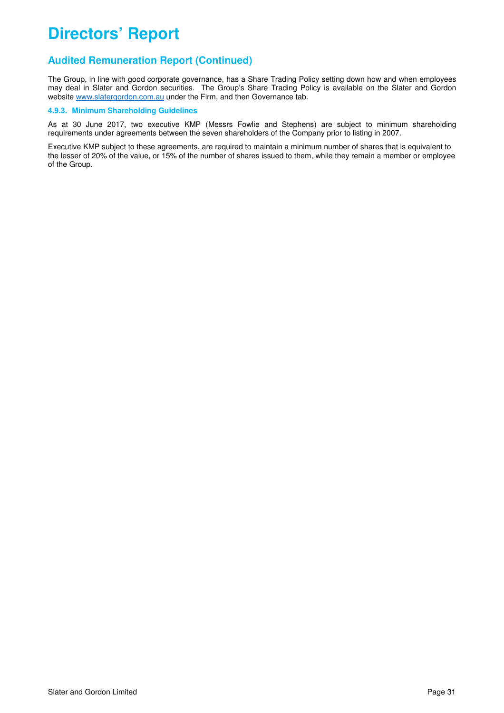## **Audited Remuneration Report (Continued)**

The Group, in line with good corporate governance, has a Share Trading Policy setting down how and when employees may deal in Slater and Gordon securities. The Group's Share Trading Policy is available on the Slater and Gordon website www.slatergordon.com.au under the Firm, and then Governance tab.

#### **4.9.3. Minimum Shareholding Guidelines**

As at 30 June 2017, two executive KMP (Messrs Fowlie and Stephens) are subject to minimum shareholding requirements under agreements between the seven shareholders of the Company prior to listing in 2007.

Executive KMP subject to these agreements, are required to maintain a minimum number of shares that is equivalent to the lesser of 20% of the value, or 15% of the number of shares issued to them, while they remain a member or employee of the Group.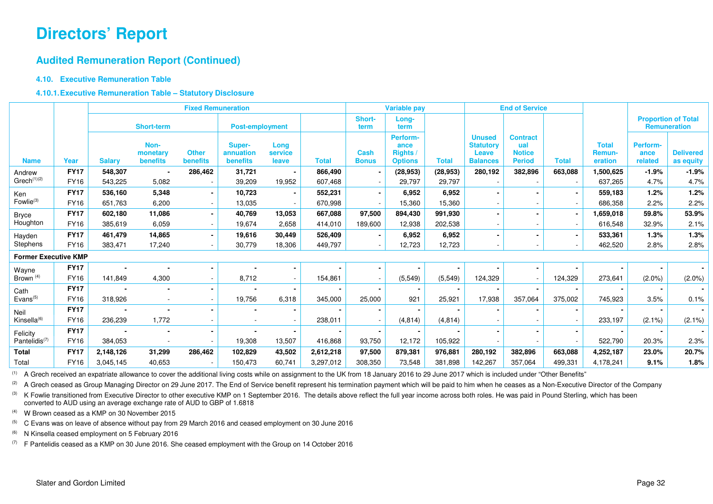## **Audited Remuneration Report (Continued)**

#### **4.10. Executive Remuneration Table**

#### **4.10.1. Executive Remuneration Table – Statutory Disclosure**

|                                 |             | <b>Fixed Remuneration</b> |                              |                          |                                        |                          | <b>Variable pay</b> |                          |                                                | <b>End of Service</b> |                                                               |                                                                 |              |                                                   |                             |                               |
|---------------------------------|-------------|---------------------------|------------------------------|--------------------------|----------------------------------------|--------------------------|---------------------|--------------------------|------------------------------------------------|-----------------------|---------------------------------------------------------------|-----------------------------------------------------------------|--------------|---------------------------------------------------|-----------------------------|-------------------------------|
|                                 |             | <b>Short-term</b>         |                              |                          | <b>Post-employment</b>                 |                          |                     | Short-<br>term           | Long-<br>term                                  |                       |                                                               |                                                                 |              | <b>Proportion of Total</b><br><b>Remuneration</b> |                             |                               |
| <b>Name</b>                     | Year        | <b>Salarv</b>             | Non-<br>monetary<br>benefits | <b>Other</b><br>benefits | Super-<br>annuation<br><b>benefits</b> | Long<br>service<br>leave | <b>Total</b>        | Cash<br><b>Bonus</b>     | Perform-<br>ance<br>Rights /<br><b>Options</b> | <b>Total</b>          | <b>Unused</b><br><b>Statutory</b><br>Leave<br><b>Balances</b> | <b>Contract</b><br><b>ual</b><br><b>Notice</b><br><b>Period</b> | <b>Total</b> | <b>Total</b><br>Remun-<br>eration                 | Perform-<br>ance<br>related | <b>Delivered</b><br>as equity |
| Andrew<br>$Grech^{(1)(2)}$      | <b>FY17</b> | 548,307                   | $\blacksquare$               | 286,462                  | 31,721                                 | $\blacksquare$           | 866,490             | $\overline{\phantom{a}}$ | (28, 953)                                      | (28, 953)             | 280,192                                                       | 382,896                                                         | 663,088      | 1,500,625                                         | $-1.9%$                     | $-1.9%$                       |
|                                 | <b>FY16</b> | 543,225                   | 5,082                        |                          | 39,209                                 | 19,952                   | 607,468             |                          | 29,797                                         | 29,797                |                                                               | $\overline{\phantom{a}}$                                        |              | 637,265                                           | 4.7%                        | 4.7%                          |
| Ken<br>Fowlie <sup>(3)</sup>    | <b>FY17</b> | 536,160                   | 5,348                        | $\blacksquare$           | 10,723                                 | $\blacksquare$           | 552,231             | $\overline{\phantom{a}}$ | 6,952                                          | 6,952                 | $\sim$                                                        | $\blacksquare$                                                  |              | 559.183                                           | 1.2%                        | 1.2%                          |
|                                 | <b>FY16</b> | 651.763                   | 6,200                        |                          | 13,035                                 | $\overline{\phantom{a}}$ | 670,998             |                          | 15,360                                         | 15,360                | $\sim$                                                        |                                                                 |              | 686,358                                           | 2.2%                        | 2.2%                          |
| <b>Bryce</b><br>Houghton        | <b>FY17</b> | 602.180                   | 11.086                       | $\blacksquare$           | 40,769                                 | 13.053                   | 667,088             | 97,500                   | 894,430                                        | 991,930               | $\blacksquare$                                                | $\blacksquare$                                                  |              | 1,659,018                                         | 59.8%                       | 53.9%                         |
|                                 | <b>FY16</b> | 385,619                   | 6,059                        |                          | 19,674                                 | 2.658                    | 414,010             | 189,600                  | 12,938                                         | 202,538               | $\sim$                                                        |                                                                 |              | 616,548                                           | 32.9%                       | 2.1%                          |
| Hayden<br>Stephens              | <b>FY17</b> | 461.479                   | 14.865                       | $\blacksquare$           | 19,616                                 | 30.449                   | 526,409             | $\blacksquare$           | 6,952                                          | 6,952                 | $\sim$                                                        |                                                                 |              | 533,361                                           | 1.3%                        | 1.3%                          |
|                                 | FY16        | 383.471                   | 17.240                       |                          | 30,779                                 | 18,306                   | 449,797             |                          | 12,723                                         | 12,723                | $\sim$                                                        |                                                                 |              | 462,520                                           | 2.8%                        | 2.8%                          |
| <b>Former Executive KMP</b>     |             |                           |                              |                          |                                        |                          |                     |                          |                                                |                       |                                                               |                                                                 |              |                                                   |                             |                               |
| Wayne<br>Brown <sup>(4)</sup>   | <b>FY17</b> |                           |                              |                          |                                        | $\blacksquare$           | $\blacksquare$      | $\blacksquare$           |                                                | $\blacksquare$        |                                                               | $\blacksquare$                                                  |              |                                                   | $\blacksquare$              |                               |
|                                 | <b>FY16</b> | 141,849                   | 4,300                        |                          | 8,712                                  | $\overline{\phantom{a}}$ | 154,861             |                          | (5,549)                                        | (5,549)               | 124,329                                                       | $\sim$                                                          | 124,329      | 273,641                                           | $(2.0\%)$                   | $(2.0\%)$                     |
| Cath<br>$Evars^{(5)}$           | <b>FY17</b> | $\blacksquare$            | $\blacksquare$               | $\overline{\phantom{a}}$ |                                        | $\blacksquare$           | $\blacksquare$      | $\blacksquare$           |                                                |                       | $\blacksquare$                                                | $\blacksquare$                                                  |              |                                                   | $\blacksquare$              | $\sim$                        |
|                                 | <b>FY16</b> | 318,926                   |                              |                          | 19,756                                 | 6,318                    | 345,000             | 25,000                   | 921                                            | 25,921                | 17,938                                                        | 357,064                                                         | 375,002      | 745,923                                           | 3.5%                        | 0.1%                          |
| Neil<br>Kinsella <sup>(6)</sup> | <b>FY17</b> | $\blacksquare$            |                              |                          |                                        |                          |                     |                          |                                                |                       |                                                               |                                                                 |              |                                                   |                             | $\sim$                        |
|                                 | <b>FY16</b> | 236,239                   | 1,772                        |                          |                                        |                          | 238,011             |                          | (4, 814)                                       | (4, 814)              |                                                               |                                                                 |              | 233,197                                           | $(2.1\%)$                   | $(2.1\%)$                     |
| Felicity<br>Pantelidis(7)       | <b>FY17</b> |                           | $\overline{\phantom{0}}$     | $\overline{\phantom{a}}$ |                                        | $\blacksquare$           |                     |                          |                                                |                       |                                                               | $\blacksquare$                                                  |              |                                                   |                             |                               |
|                                 | <b>FY16</b> | 384,053                   |                              |                          | 19,308                                 | 13,507                   | 416.868             | 93,750                   | 12,172                                         | 105,922               |                                                               |                                                                 |              | 522.790                                           | 20.3%                       | 2.3%                          |
| <b>Total</b>                    | <b>FY17</b> | 2,148,126                 | 31,299                       | 286,462                  | 102,829                                | 43,502                   | 2,612,218           | 97,500                   | 879,381                                        | 976,881               | 280,192                                                       | 382,896                                                         | 663,088      | 4,252,187                                         | 23.0%                       | 20.7%                         |
| Total                           | <b>FY16</b> | 3,045,145                 | 40,653                       |                          | 150,473                                | 60,741                   | 3,297,012           | 308,350                  | 73,548                                         | 381,898               | 142,267                                                       | 357,064                                                         | 499,331      | 4,178,241                                         | 9.1%                        | 1.8%                          |

<sup>(1)</sup> A Grech received an expatriate allowance to cover the additional living costs while on assignment to the UK from 18 January 2016 to 29 June 2017 which is included under "Other Benefits"

(2) A Grech ceased as Group Managing Director on 29 June 2017. The End of Service benefit represent his termination payment which will be paid to him when he ceases as a Non-Executive Director of the Company

(3) K Fowlie transitioned from Executive Director to other executive KMP on 1 September 2016. The details above reflect the full year income across both roles. He was paid in Pound Sterling, which has been converted to AUD using an average exchange rate of AUD to GBP of 1.6818

(4) W Brown ceased as a KMP on 30 November 2015

 $(5)$  C Evans was on leave of absence without pay from 29 March 2016 and ceased employment on 30 June 2016

(6) N Kinsella ceased employment on 5 February 2016

 $(7)$  F Pantelidis ceased as a KMP on 30 June 2016. She ceased employment with the Group on 14 October 2016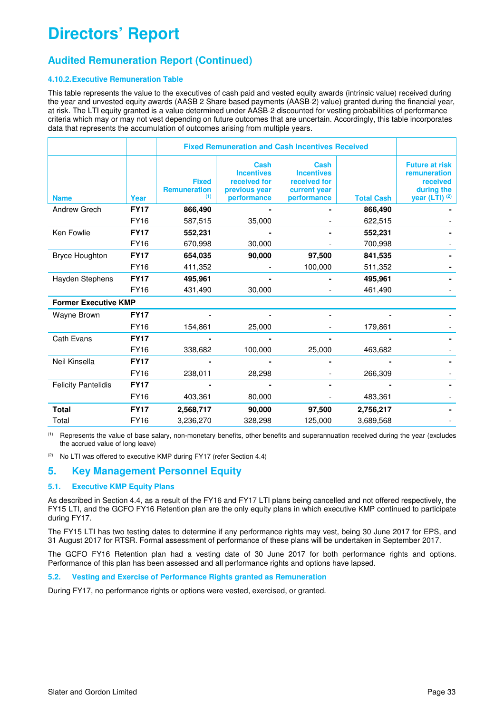## **Audited Remuneration Report (Continued)**

#### **4.10.2. Executive Remuneration Table**

This table represents the value to the executives of cash paid and vested equity awards (intrinsic value) received during the year and unvested equity awards (AASB 2 Share based payments (AASB-2) value) granted during the financial year, at risk. The LTI equity granted is a value determined under AASB-2 discounted for vesting probabilities of performance criteria which may or may not vest depending on future outcomes that are uncertain. Accordingly, this table incorporates data that represents the accumulation of outcomes arising from multiple years.

|                             |             | <b>Fixed Remuneration and Cash Incentives Received</b> |                                                                                  |                                                                          |                   |                                                                                     |
|-----------------------------|-------------|--------------------------------------------------------|----------------------------------------------------------------------------------|--------------------------------------------------------------------------|-------------------|-------------------------------------------------------------------------------------|
| <b>Name</b>                 | Year        | <b>Fixed</b><br><b>Remuneration</b><br>(1)             | <b>Cash</b><br><b>Incentives</b><br>received for<br>previous year<br>performance | Cash<br><b>Incentives</b><br>received for<br>current year<br>performance | <b>Total Cash</b> | <b>Future at risk</b><br>remuneration<br>received<br>during the<br>year (LTI) $(2)$ |
| Andrew Grech                | <b>FY17</b> | 866,490                                                |                                                                                  |                                                                          | 866,490           |                                                                                     |
|                             | <b>FY16</b> | 587,515                                                | 35,000                                                                           |                                                                          | 622,515           |                                                                                     |
| Ken Fowlie                  | <b>FY17</b> | 552,231                                                |                                                                                  |                                                                          | 552,231           |                                                                                     |
|                             | <b>FY16</b> | 670,998                                                | 30,000                                                                           |                                                                          | 700,998           |                                                                                     |
| <b>Bryce Houghton</b>       | <b>FY17</b> | 654,035                                                | 90,000                                                                           | 97,500                                                                   | 841,535           |                                                                                     |
|                             | <b>FY16</b> | 411,352                                                |                                                                                  | 100,000                                                                  | 511,352           |                                                                                     |
| Hayden Stephens             | <b>FY17</b> | 495,961                                                |                                                                                  |                                                                          | 495,961           |                                                                                     |
|                             | <b>FY16</b> | 431,490                                                | 30,000                                                                           |                                                                          | 461,490           |                                                                                     |
| <b>Former Executive KMP</b> |             |                                                        |                                                                                  |                                                                          |                   |                                                                                     |
| Wayne Brown                 | <b>FY17</b> |                                                        |                                                                                  |                                                                          |                   |                                                                                     |
|                             | <b>FY16</b> | 154,861                                                | 25,000                                                                           |                                                                          | 179,861           |                                                                                     |
| Cath Evans                  | <b>FY17</b> |                                                        |                                                                                  |                                                                          |                   |                                                                                     |
|                             | <b>FY16</b> | 338,682                                                | 100,000                                                                          | 25,000                                                                   | 463,682           |                                                                                     |
| Neil Kinsella               | <b>FY17</b> |                                                        |                                                                                  |                                                                          |                   |                                                                                     |
|                             | <b>FY16</b> | 238,011                                                | 28,298                                                                           |                                                                          | 266,309           |                                                                                     |
| <b>Felicity Pantelidis</b>  | <b>FY17</b> |                                                        |                                                                                  |                                                                          |                   |                                                                                     |
|                             | <b>FY16</b> | 403,361                                                | 80,000                                                                           |                                                                          | 483,361           |                                                                                     |
| <b>Total</b>                | <b>FY17</b> | 2,568,717                                              | 90,000                                                                           | 97,500                                                                   | 2,756,217         |                                                                                     |
| Total                       | <b>FY16</b> | 3,236,270                                              | 328,298                                                                          | 125,000                                                                  | 3,689,568         |                                                                                     |

(1) Represents the value of base salary, non-monetary benefits, other benefits and superannuation received during the year (excludes the accrued value of long leave)

 $(2)$  No LTI was offered to executive KMP during FY17 (refer Section 4.4)

### **5. Key Management Personnel Equity**

#### **5.1. Executive KMP Equity Plans**

As described in Section 4.4, as a result of the FY16 and FY17 LTI plans being cancelled and not offered respectively, the FY15 LTI, and the GCFO FY16 Retention plan are the only equity plans in which executive KMP continued to participate during FY17.

The FY15 LTI has two testing dates to determine if any performance rights may vest, being 30 June 2017 for EPS, and 31 August 2017 for RTSR. Formal assessment of performance of these plans will be undertaken in September 2017.

The GCFO FY16 Retention plan had a vesting date of 30 June 2017 for both performance rights and options. Performance of this plan has been assessed and all performance rights and options have lapsed.

#### **5.2. Vesting and Exercise of Performance Rights granted as Remuneration**

During FY17, no performance rights or options were vested, exercised, or granted.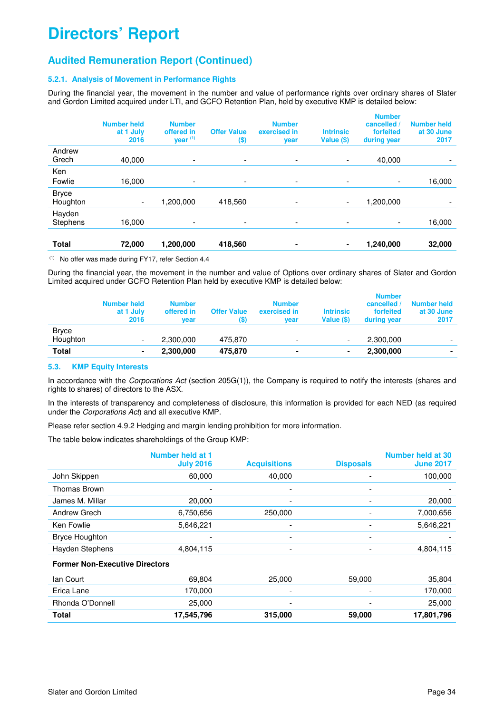## **Directors' Report**

### **Audited Remuneration Report (Continued)**

#### **5.2.1. Analysis of Movement in Performance Rights**

During the financial year, the movement in the number and value of performance rights over ordinary shares of Slater and Gordon Limited acquired under LTI, and GCFO Retention Plan, held by executive KMP is detailed below:

|                          | <b>Number held</b><br>at 1 July<br>2016 | <b>Number</b><br>offered in<br>year $(1)$ | <b>Offer Value</b><br>\$) | <b>Number</b><br>exercised in<br>year | <b>Intrinsic</b><br>Value $(\$)$ | <b>Number</b><br>cancelled<br>forfeited<br>during year | <b>Number held</b><br>at 30 June<br>2017 |
|--------------------------|-----------------------------------------|-------------------------------------------|---------------------------|---------------------------------------|----------------------------------|--------------------------------------------------------|------------------------------------------|
| Andrew<br>Grech          | 40,000                                  | ٠                                         | $\overline{\phantom{a}}$  | $\overline{\phantom{a}}$              | -                                | 40,000                                                 |                                          |
| Ken<br>Fowlie            | 16,000                                  | $\overline{\phantom{a}}$                  | -                         | $\overline{\phantom{0}}$              | -                                | $\overline{\phantom{a}}$                               | 16,000                                   |
| <b>Bryce</b><br>Houghton | $\overline{\phantom{a}}$                | 1,200,000                                 | 418,560                   | $\overline{\phantom{0}}$              | $\overline{\phantom{a}}$         | 1,200,000                                              |                                          |
| Hayden<br>Stephens       | 16,000                                  | $\overline{\phantom{a}}$                  | $\overline{\phantom{a}}$  | $\overline{\phantom{a}}$              | -                                | -                                                      | 16,000                                   |
| <b>Total</b>             | 72,000                                  | 1,200,000                                 | 418,560                   | $\blacksquare$                        |                                  | 1,240,000                                              | 32,000                                   |

(1) No offer was made during FY17, refer Section 4.4

During the financial year, the movement in the number and value of Options over ordinary shares of Slater and Gordon Limited acquired under GCFO Retention Plan held by executive KMP is detailed below:

|                          | <b>Number held</b><br>at 1 July<br>2016 | <b>Number</b><br>offered in<br>vear | <b>Offer Value</b><br>(\$) | <b>Number</b><br>exercised in<br>vear | <b>Intrinsic</b><br>Value (\$) | <b>Number</b><br>cancelled /<br>forfeited<br>during year | <b>Number held</b><br>at 30 June<br>2017 |
|--------------------------|-----------------------------------------|-------------------------------------|----------------------------|---------------------------------------|--------------------------------|----------------------------------------------------------|------------------------------------------|
| <b>Bryce</b><br>Houghton | -                                       | 2,300,000                           | 475,870                    | $\overline{\phantom{0}}$              |                                | 2,300,000                                                |                                          |
| Total                    | $\blacksquare$                          | 2,300,000                           | 475,870                    | $\blacksquare$                        | $\blacksquare$                 | 2,300,000                                                | $\sim$                                   |

#### **5.3. KMP Equity Interests**

In accordance with the Corporations Act (section 205G(1)), the Company is required to notify the interests (shares and rights to shares) of directors to the ASX.

In the interests of transparency and completeness of disclosure, this information is provided for each NED (as required under the Corporations Act) and all executive KMP.

Please refer section 4.9.2 Hedging and margin lending prohibition for more information.

The table below indicates shareholdings of the Group KMP:

|                                       | Number held at 1<br><b>July 2016</b> | <b>Acquisitions</b>      | <b>Disposals</b> | Number held at 30<br><b>June 2017</b> |
|---------------------------------------|--------------------------------------|--------------------------|------------------|---------------------------------------|
| John Skippen                          | 60,000                               | 40,000                   | -                | 100,000                               |
| Thomas Brown                          |                                      | $\overline{\phantom{a}}$ |                  |                                       |
| James M. Millar                       | 20,000                               | $\overline{\phantom{a}}$ | -                | 20,000                                |
| Andrew Grech                          | 6,750,656                            | 250,000                  |                  | 7,000,656                             |
| Ken Fowlie                            | 5,646,221                            | $\overline{\phantom{a}}$ |                  | 5,646,221                             |
| <b>Bryce Houghton</b>                 |                                      | $\overline{\phantom{a}}$ | -                |                                       |
| Hayden Stephens                       | 4,804,115                            | $\overline{\phantom{a}}$ |                  | 4,804,115                             |
| <b>Former Non-Executive Directors</b> |                                      |                          |                  |                                       |
| lan Court                             | 69,804                               | 25,000                   | 59,000           | 35,804                                |
| Erica Lane                            | 170,000                              | $\overline{\phantom{a}}$ |                  | 170,000                               |
| Rhonda O'Donnell                      | 25,000                               | $\overline{\phantom{a}}$ |                  | 25,000                                |
| Total                                 | 17,545,796                           | 315,000                  | 59,000           | 17,801,796                            |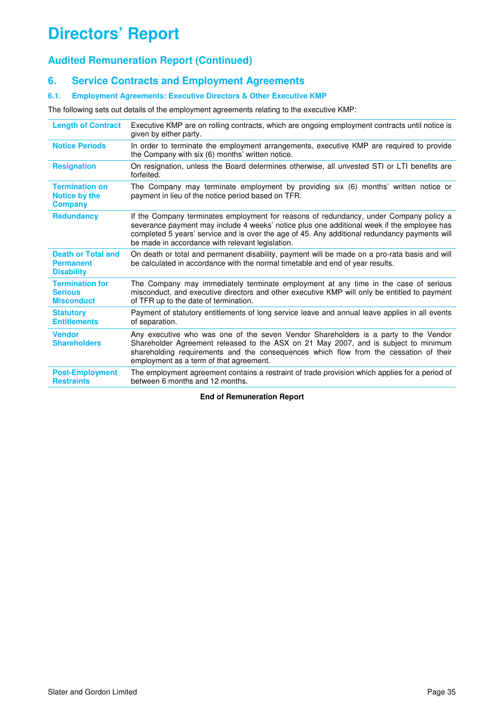# **Directors' Report**

### **Audited Remuneration Report (Continued)**

### **6. Service Contracts and Employment Agreements**

### **6.1. Employment Agreements: Executive Directors & Other Executive KMP**

The following sets out details of the employment agreements relating to the executive KMP:

| <b>Length of Contract</b>                                          | Executive KMP are on rolling contracts, which are ongoing employment contracts until notice is<br>given by either party.                                                                                                                                                                                                                  |
|--------------------------------------------------------------------|-------------------------------------------------------------------------------------------------------------------------------------------------------------------------------------------------------------------------------------------------------------------------------------------------------------------------------------------|
| <b>Notice Periods</b>                                              | In order to terminate the employment arrangements, executive KMP are required to provide<br>the Company with six (6) months' written notice.                                                                                                                                                                                              |
| <b>Resignation</b>                                                 | On resignation, unless the Board determines otherwise, all unvested STI or LTI benefits are<br>forfeited.                                                                                                                                                                                                                                 |
| <b>Termination on</b><br>Notice by the<br><b>Company</b>           | The Company may terminate employment by providing six (6) months' written notice or<br>payment in lieu of the notice period based on TFR.                                                                                                                                                                                                 |
| <b>Redundancy</b>                                                  | If the Company terminates employment for reasons of redundancy, under Company policy a<br>severance payment may include 4 weeks' notice plus one additional week if the employee has<br>completed 5 years' service and is over the age of 45. Any additional redundancy payments will<br>be made in accordance with relevant legislation. |
| <b>Death or Total and</b><br><b>Permanent</b><br><b>Disability</b> | On death or total and permanent disability, payment will be made on a pro-rata basis and will<br>be calculated in accordance with the normal timetable and end of year results.                                                                                                                                                           |
| <b>Termination for</b><br><b>Serious</b><br><b>Misconduct</b>      | The Company may immediately terminate employment at any time in the case of serious<br>misconduct, and executive directors and other executive KMP will only be entitled to payment<br>of TFR up to the date of termination.                                                                                                              |
| <b>Statutory</b><br><b>Entitlements</b>                            | Payment of statutory entitlements of long service leave and annual leave applies in all events<br>of separation.                                                                                                                                                                                                                          |
| <b>Vendor</b><br><b>Shareholders</b>                               | Any executive who was one of the seven Vendor Shareholders is a party to the Vendor<br>Shareholder Agreement released to the ASX on 21 May 2007, and is subject to minimum<br>shareholding requirements and the consequences which flow from the cessation of their<br>employment as a term of that agreement.                            |
| <b>Post-Employment</b><br><b>Restraints</b>                        | The employment agreement contains a restraint of trade provision which applies for a period of<br>between 6 months and 12 months.                                                                                                                                                                                                         |

**End of Remuneration Report**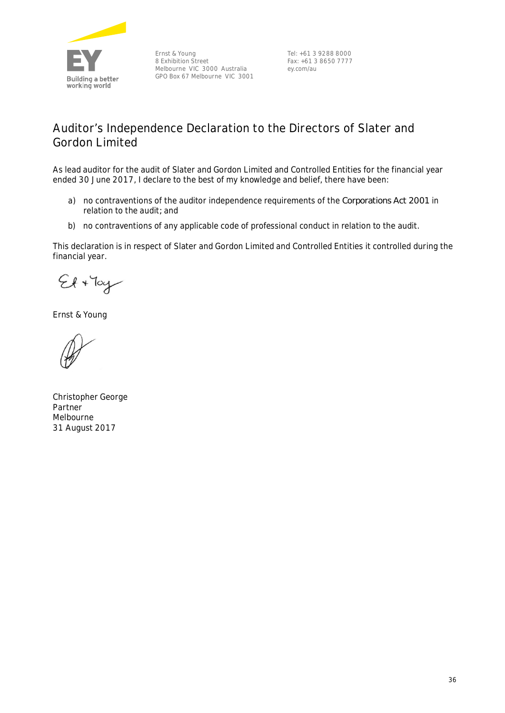

Ernst & Young 8 Exhibition Street Melbourne VIC 3000 Australia GPO Box 67 Melbourne VIC 3001

Tel: +61 3 9288 8000 Fax: +61 3 8650 7777 ey.com/au

### **Auditor's Independence Declaration to the Directors of Slater and Gordon Limited**

As lead auditor for the audit of Slater and Gordon Limited and Controlled Entities for the financial year ended 30 June 2017, I declare to the best of my knowledge and belief, there have been:

- a) no contraventions of the auditor independence requirements of the *Corporations Act 2001* in relation to the audit*;* and
- b) no contraventions of any applicable code of professional conduct in relation to the audit.

This declaration is in respect of Slater and Gordon Limited and Controlled Entities it controlled during the financial year.

 $E4 + 70y$ 

Ernst & Young

Christopher George Partner Melbourne 31 August 2017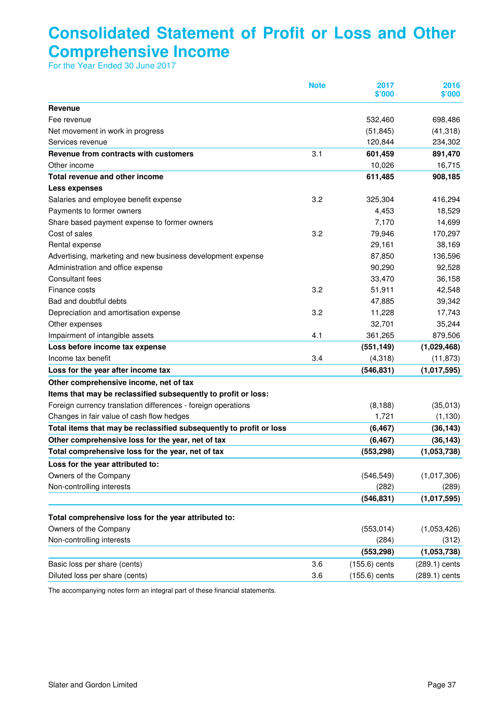## **Consolidated Statement of Profit or Loss and Other Comprehensive Income**

For the Year Ended 30 June 2017

|                                                                     | <b>Note</b> | 2017<br>\$'000  | 2016<br>\$'000  |
|---------------------------------------------------------------------|-------------|-----------------|-----------------|
| Revenue                                                             |             |                 |                 |
| Fee revenue                                                         |             | 532,460         | 698,486         |
| Net movement in work in progress                                    |             | (51, 845)       | (41, 318)       |
| Services revenue                                                    |             | 120,844         | 234,302         |
| Revenue from contracts with customers                               | 3.1         | 601,459         | 891,470         |
| Other income                                                        |             | 10,026          | 16,715          |
| Total revenue and other income                                      |             | 611,485         | 908,185         |
| Less expenses                                                       |             |                 |                 |
| Salaries and employee benefit expense                               | 3.2         | 325,304         | 416,294         |
| Payments to former owners                                           |             | 4,453           | 18,529          |
| Share based payment expense to former owners                        |             | 7,170           | 14,699          |
| Cost of sales                                                       | 3.2         | 79,946          | 170,297         |
| Rental expense                                                      |             | 29,161          | 38,169          |
| Advertising, marketing and new business development expense         |             | 87,850          | 136,596         |
| Administration and office expense                                   |             | 90,290          | 92,528          |
| Consultant fees                                                     |             | 33,470          | 36,158          |
| Finance costs                                                       | 3.2         | 51,911          | 42,548          |
| Bad and doubtful debts                                              |             | 47,885          | 39,342          |
| Depreciation and amortisation expense                               | 3.2         | 11,228          | 17,743          |
| Other expenses                                                      |             | 32,701          | 35,244          |
| Impairment of intangible assets                                     | 4.1         | 361,265         | 879,506         |
| Loss before income tax expense                                      |             | (551, 149)      | (1,029,468)     |
| Income tax benefit                                                  | 3.4         | (4,318)         | (11, 873)       |
| Loss for the year after income tax                                  |             | (546, 831)      | (1,017,595)     |
| Other comprehensive income, net of tax                              |             |                 |                 |
| Items that may be reclassified subsequently to profit or loss:      |             |                 |                 |
| Foreign currency translation differences - foreign operations       |             | (8, 188)        | (35, 013)       |
| Changes in fair value of cash flow hedges                           |             | 1,721           | (1, 130)        |
| Total items that may be reclassified subsequently to profit or loss |             | (6, 467)        | (36, 143)       |
| Other comprehensive loss for the year, net of tax                   |             | (6, 467)        | (36, 143)       |
| Total comprehensive loss for the year, net of tax                   |             | (553, 298)      | (1,053,738)     |
| Loss for the year attributed to:                                    |             |                 |                 |
| Owners of the Company                                               |             | (546, 549)      | (1,017,306)     |
| Non-controlling interests                                           |             | (282)           | (289)           |
|                                                                     |             | (546, 831)      | (1,017,595)     |
| Total comprehensive loss for the year attributed to:                |             |                 |                 |
| Owners of the Company                                               |             | (553, 014)      | (1,053,426)     |
| Non-controlling interests                                           |             | (284)           | (312)           |
|                                                                     |             | (553, 298)      | (1,053,738)     |
|                                                                     | 3.6         |                 |                 |
| Basic loss per share (cents)                                        |             | $(155.6)$ cents | $(289.1)$ cents |
| Diluted loss per share (cents)                                      | 3.6         | $(155.6)$ cents | (289.1) cents   |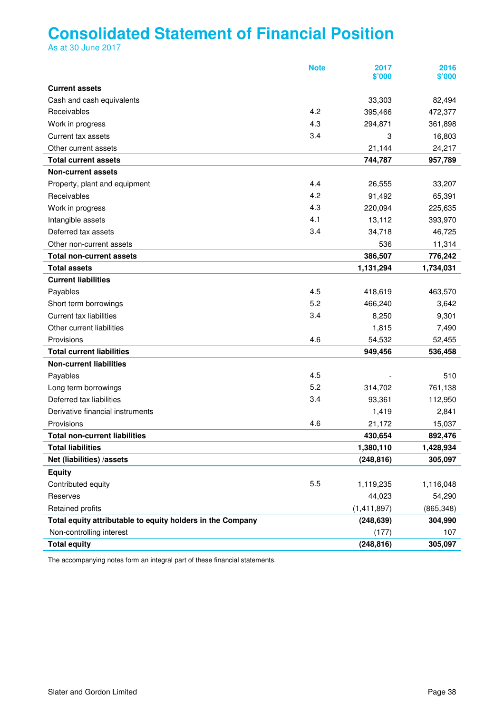## **Consolidated Statement of Financial Position**

As at 30 June 2017

|                                                            | <b>Note</b> | 2017<br>\$'000 | 2016<br>\$'000 |
|------------------------------------------------------------|-------------|----------------|----------------|
| <b>Current assets</b>                                      |             |                |                |
| Cash and cash equivalents                                  |             | 33,303         | 82,494         |
| Receivables                                                | 4.2         | 395,466        | 472,377        |
| Work in progress                                           | 4.3         | 294,871        | 361,898        |
| Current tax assets                                         | 3.4         | 3              | 16,803         |
| Other current assets                                       |             | 21,144         | 24,217         |
| <b>Total current assets</b>                                |             | 744,787        | 957,789        |
| <b>Non-current assets</b>                                  |             |                |                |
| Property, plant and equipment                              | 4.4         | 26,555         | 33,207         |
| Receivables                                                | 4.2         | 91,492         | 65,391         |
| Work in progress                                           | 4.3         | 220,094        | 225,635        |
| Intangible assets                                          | 4.1         | 13,112         | 393,970        |
| Deferred tax assets                                        | 3.4         | 34,718         | 46,725         |
| Other non-current assets                                   |             | 536            | 11,314         |
| <b>Total non-current assets</b>                            |             | 386,507        | 776,242        |
| <b>Total assets</b>                                        |             | 1,131,294      | 1,734,031      |
| <b>Current liabilities</b>                                 |             |                |                |
| Payables                                                   | 4.5         | 418,619        | 463,570        |
| Short term borrowings                                      | 5.2         | 466,240        | 3,642          |
| <b>Current tax liabilities</b>                             | 3.4         | 8,250          | 9,301          |
| Other current liabilities                                  |             | 1,815          | 7,490          |
| Provisions                                                 | 4.6         | 54,532         | 52,455         |
| <b>Total current liabilities</b>                           |             | 949,456        | 536,458        |
| <b>Non-current liabilities</b>                             |             |                |                |
| Payables                                                   | 4.5         |                | 510            |
| Long term borrowings                                       | 5.2         | 314,702        | 761,138        |
| Deferred tax liabilities                                   | 3.4         | 93,361         | 112,950        |
| Derivative financial instruments                           |             | 1,419          | 2,841          |
| Provisions                                                 | 4.6         | 21,172         | 15,037         |
| <b>Total non-current liabilities</b>                       |             | 430,654        | 892,476        |
| <b>Total liabilities</b>                                   |             | 1,380,110      | 1,428,934      |
| Net (liabilities) /assets                                  |             | (248, 816)     | 305,097        |
| <b>Equity</b>                                              |             |                |                |
| Contributed equity                                         | 5.5         | 1,119,235      | 1,116,048      |
| Reserves                                                   |             | 44,023         | 54,290         |
| Retained profits                                           |             | (1,411,897)    | (865, 348)     |
| Total equity attributable to equity holders in the Company |             | (248, 639)     | 304,990        |
| Non-controlling interest                                   |             | (177)          | 107            |
| <b>Total equity</b>                                        |             | (248, 816)     | 305,097        |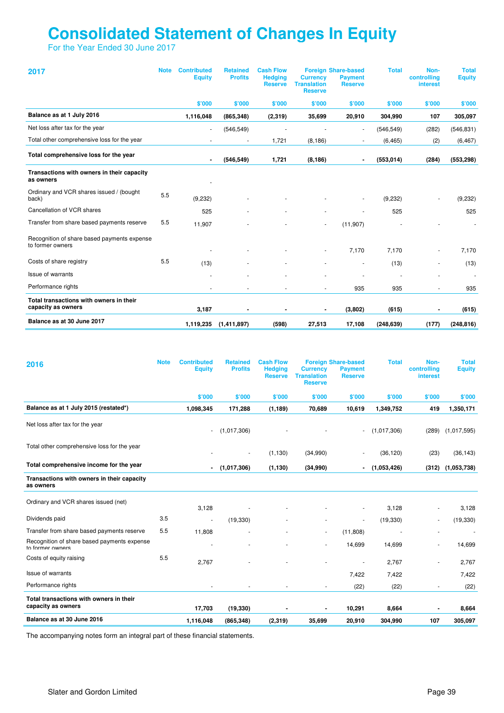# **Consolidated Statement of Changes In Equity**

For the Year Ended 30 June 2017

| 2017                                                            | <b>Note</b> | <b>Contributed</b><br><b>Equity</b> | <b>Retained</b><br><b>Profits</b> | <b>Cash Flow</b><br><b>Hedging</b><br><b>Reserve</b> | <b>Currency</b><br><b>Translation</b><br><b>Reserve</b> | <b>Foreign Share-based</b><br><b>Payment</b><br><b>Reserve</b> | <b>Total</b> | Non-<br>controlling<br>interest | <b>Total</b><br><b>Equity</b> |
|-----------------------------------------------------------------|-------------|-------------------------------------|-----------------------------------|------------------------------------------------------|---------------------------------------------------------|----------------------------------------------------------------|--------------|---------------------------------|-------------------------------|
|                                                                 |             | \$'000                              | \$'000                            | \$'000                                               | \$'000                                                  | \$'000                                                         | \$'000       | \$'000                          | \$'000                        |
| Balance as at 1 July 2016                                       |             | 1,116,048                           | (865, 348)                        | (2, 319)                                             | 35,699                                                  | 20,910                                                         | 304,990      | 107                             | 305,097                       |
| Net loss after tax for the year                                 |             | $\blacksquare$                      | (546, 549)                        |                                                      |                                                         |                                                                | (546, 549)   | (282)                           | (546, 831)                    |
| Total other comprehensive loss for the year                     |             |                                     |                                   | 1,721                                                | (8, 186)                                                |                                                                | (6, 465)     | (2)                             | (6, 467)                      |
| Total comprehensive loss for the year                           |             | $\blacksquare$                      | (546, 549)                        | 1,721                                                | (8, 186)                                                |                                                                | (553, 014)   | (284)                           | (553, 298)                    |
| Transactions with owners in their capacity<br>as owners         |             |                                     |                                   |                                                      |                                                         |                                                                |              |                                 |                               |
| Ordinary and VCR shares issued / (bought<br>back)               | 5.5         | (9,232)                             |                                   |                                                      |                                                         |                                                                | (9,232)      |                                 | (9,232)                       |
| Cancellation of VCR shares                                      |             | 525                                 |                                   |                                                      |                                                         |                                                                | 525          |                                 | 525                           |
| Transfer from share based payments reserve                      | 5.5         | 11,907                              |                                   |                                                      | $\sim$                                                  | (11, 907)                                                      |              |                                 |                               |
| Recognition of share based payments expense<br>to former owners |             |                                     |                                   |                                                      |                                                         | 7,170                                                          | 7,170        | ٠                               | 7,170                         |
| Costs of share registry                                         | 5.5         |                                     |                                   |                                                      |                                                         |                                                                |              |                                 |                               |
| <b>Issue of warrants</b>                                        |             | (13)                                |                                   |                                                      |                                                         |                                                                | (13)         |                                 | (13)                          |
|                                                                 |             |                                     |                                   |                                                      |                                                         |                                                                |              |                                 |                               |
| Performance rights                                              |             |                                     |                                   |                                                      |                                                         | 935                                                            | 935          |                                 | 935                           |
| Total transactions with owners in their<br>capacity as owners   |             | 3,187                               |                                   |                                                      | $\blacksquare$                                          | (3,802)                                                        | (615)        |                                 | (615)                         |
| Balance as at 30 June 2017                                      |             | 1,119,235                           | (1,411,897)                       | (598)                                                | 27,513                                                  | 17,108                                                         | (248, 639)   | (177)                           | (248, 816)                    |

| 2016                                                            | <b>Note</b> | <b>Contributed</b><br><b>Equity</b> | <b>Retained</b><br><b>Profits</b> | <b>Cash Flow</b><br><b>Hedging</b><br><b>Reserve</b> | <b>Currency</b><br><b>Translation</b><br><b>Reserve</b> | <b>Foreign Share-based</b><br><b>Payment</b><br><b>Reserve</b> | <b>Total</b> | Non-<br>controlling<br><i>interest</i> | <b>Total</b><br><b>Equity</b> |
|-----------------------------------------------------------------|-------------|-------------------------------------|-----------------------------------|------------------------------------------------------|---------------------------------------------------------|----------------------------------------------------------------|--------------|----------------------------------------|-------------------------------|
|                                                                 |             | \$'000                              | \$'000                            | \$'000                                               | \$'000                                                  | \$'000                                                         | \$'000       | \$'000                                 | \$'000                        |
| Balance as at 1 July 2015 (restated*)                           |             | 1,098,345                           | 171,288                           | (1, 189)                                             | 70,689                                                  | 10,619                                                         | 1,349,752    | 419                                    | 1,350,171                     |
| Net loss after tax for the year                                 |             | $\sim$                              | (1,017,306)                       |                                                      |                                                         |                                                                | (1,017,306)  | (289)                                  | (1,017,595)                   |
| Total other comprehensive loss for the year                     |             |                                     |                                   | (1, 130)                                             | (34,990)                                                |                                                                | (36, 120)    | (23)                                   | (36, 143)                     |
| Total comprehensive income for the year                         |             |                                     | (1,017,306)                       | (1, 130)                                             | (34,990)                                                |                                                                | (1,053,426)  | (312)                                  | (1,053,738)                   |
| Transactions with owners in their capacity<br>as owners         |             |                                     |                                   |                                                      |                                                         |                                                                |              |                                        |                               |
| Ordinary and VCR shares issued (net)                            |             | 3,128                               |                                   |                                                      |                                                         |                                                                | 3,128        |                                        | 3,128                         |
| Dividends paid                                                  | 3.5         |                                     | (19, 330)                         |                                                      |                                                         | $\sim$                                                         | (19, 330)    | ٠                                      | (19, 330)                     |
| Transfer from share based payments reserve                      | 5.5         | 11,808                              |                                   |                                                      | ٠                                                       | (11, 808)                                                      |              |                                        |                               |
| Recognition of share based payments expense<br>to former owners |             |                                     |                                   |                                                      |                                                         | 14,699                                                         | 14,699       |                                        | 14,699                        |
| Costs of equity raising                                         | 5.5         | 2,767                               |                                   |                                                      |                                                         |                                                                | 2,767        |                                        | 2,767                         |
| <b>Issue of warrants</b>                                        |             |                                     |                                   |                                                      |                                                         | 7,422                                                          | 7,422        |                                        | 7,422                         |
| Performance rights                                              |             |                                     |                                   |                                                      |                                                         | (22)                                                           | (22)         |                                        | (22)                          |
| Total transactions with owners in their<br>capacity as owners   |             | 17,703                              | (19, 330)                         |                                                      |                                                         | 10,291                                                         | 8,664        |                                        | 8,664                         |
| Balance as at 30 June 2016                                      |             | 1,116,048                           | (865, 348)                        | (2,319)                                              | 35,699                                                  | 20,910                                                         | 304,990      | 107                                    | 305,097                       |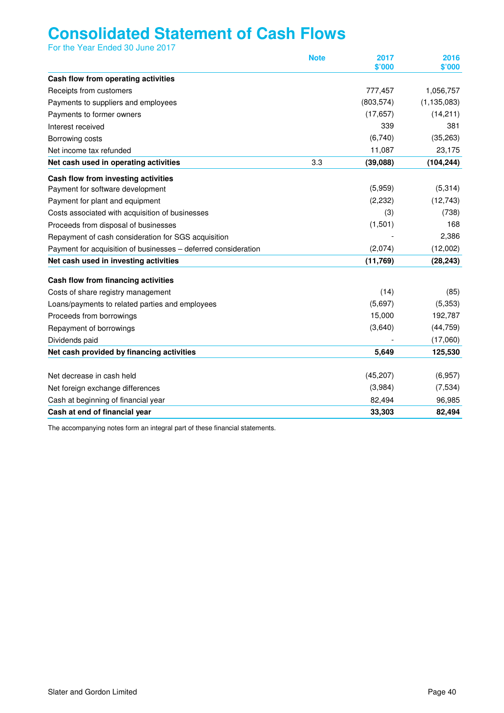# **Consolidated Statement of Cash Flows**

For the Year Ended 30 June 2017

|                                                                | <b>Note</b> | 2017<br>\$'000 | 2016<br>\$'000 |
|----------------------------------------------------------------|-------------|----------------|----------------|
| Cash flow from operating activities                            |             |                |                |
| Receipts from customers                                        |             | 777,457        | 1,056,757      |
| Payments to suppliers and employees                            |             | (803, 574)     | (1, 135, 083)  |
| Payments to former owners                                      |             | (17, 657)      | (14,211)       |
| Interest received                                              |             | 339            | 381            |
| Borrowing costs                                                |             | (6,740)        | (35, 263)      |
| Net income tax refunded                                        |             | 11,087         | 23,175         |
| Net cash used in operating activities                          | 3.3         | (39,088)       | (104, 244)     |
| Cash flow from investing activities                            |             |                |                |
| Payment for software development                               |             | (5,959)        | (5,314)        |
| Payment for plant and equipment                                |             | (2,232)        | (12, 743)      |
| Costs associated with acquisition of businesses                |             | (3)            | (738)          |
| Proceeds from disposal of businesses                           |             | (1,501)        | 168            |
| Repayment of cash consideration for SGS acquisition            |             |                | 2,386          |
| Payment for acquisition of businesses - deferred consideration |             | (2,074)        | (12,002)       |
| Net cash used in investing activities                          |             | (11,769)       | (28, 243)      |
| Cash flow from financing activities                            |             |                |                |
| Costs of share registry management                             |             | (14)           | (85)           |
| Loans/payments to related parties and employees                |             | (5,697)        | (5,353)        |
| Proceeds from borrowings                                       |             | 15,000         | 192,787        |
| Repayment of borrowings                                        |             | (3,640)        | (44, 759)      |
| Dividends paid                                                 |             |                | (17,060)       |
| Net cash provided by financing activities                      |             | 5,649          | 125,530        |
|                                                                |             |                |                |
| Net decrease in cash held                                      |             | (45, 207)      | (6,957)        |
| Net foreign exchange differences                               |             | (3,984)        | (7, 534)       |
| Cash at beginning of financial year                            |             | 82,494         | 96,985         |
| Cash at end of financial year                                  |             | 33,303         | 82,494         |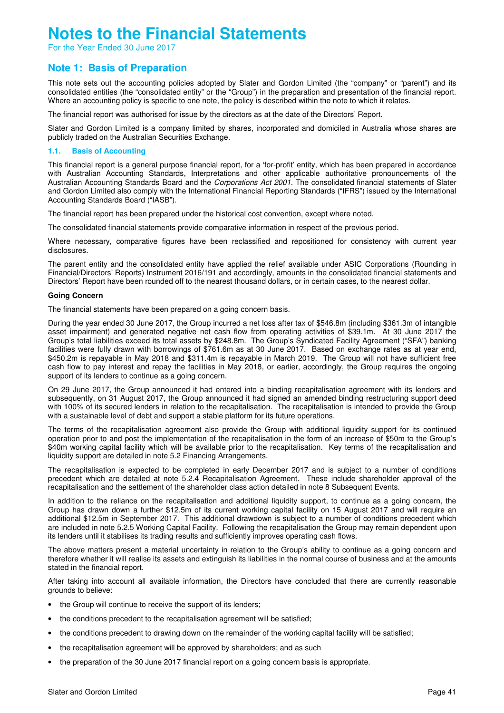For the Year Ended 30 June 2017

### **Note 1: Basis of Preparation**

This note sets out the accounting policies adopted by Slater and Gordon Limited (the "company" or "parent") and its consolidated entities (the "consolidated entity" or the "Group") in the preparation and presentation of the financial report. Where an accounting policy is specific to one note, the policy is described within the note to which it relates.

The financial report was authorised for issue by the directors as at the date of the Directors' Report.

Slater and Gordon Limited is a company limited by shares, incorporated and domiciled in Australia whose shares are publicly traded on the Australian Securities Exchange.

#### **1.1. Basis of Accounting**

This financial report is a general purpose financial report, for a 'for-profit' entity, which has been prepared in accordance with Australian Accounting Standards, Interpretations and other applicable authoritative pronouncements of the Australian Accounting Standards Board and the Corporations Act 2001. The consolidated financial statements of Slater and Gordon Limited also comply with the International Financial Reporting Standards ("IFRS") issued by the International Accounting Standards Board ("IASB").

The financial report has been prepared under the historical cost convention, except where noted.

The consolidated financial statements provide comparative information in respect of the previous period.

Where necessary, comparative figures have been reclassified and repositioned for consistency with current year disclosures.

The parent entity and the consolidated entity have applied the relief available under ASIC Corporations (Rounding in Financial/Directors' Reports) Instrument 2016/191 and accordingly, amounts in the consolidated financial statements and Directors' Report have been rounded off to the nearest thousand dollars, or in certain cases, to the nearest dollar.

#### **Going Concern**

The financial statements have been prepared on a going concern basis.

During the year ended 30 June 2017, the Group incurred a net loss after tax of \$546.8m (including \$361.3m of intangible asset impairment) and generated negative net cash flow from operating activities of \$39.1m. At 30 June 2017 the Group's total liabilities exceed its total assets by \$248.8m. The Group's Syndicated Facility Agreement ("SFA") banking facilities were fully drawn with borrowings of \$761.6m as at 30 June 2017. Based on exchange rates as at year end, \$450.2m is repayable in May 2018 and \$311.4m is repayable in March 2019. The Group will not have sufficient free cash flow to pay interest and repay the facilities in May 2018, or earlier, accordingly, the Group requires the ongoing support of its lenders to continue as a going concern.

On 29 June 2017, the Group announced it had entered into a binding recapitalisation agreement with its lenders and subsequently, on 31 August 2017, the Group announced it had signed an amended binding restructuring support deed with 100% of its secured lenders in relation to the recapitalisation. The recapitalisation is intended to provide the Group with a sustainable level of debt and support a stable platform for its future operations.

The terms of the recapitalisation agreement also provide the Group with additional liquidity support for its continued operation prior to and post the implementation of the recapitalisation in the form of an increase of \$50m to the Group's \$40m working capital facility which will be available prior to the recapitalisation. Key terms of the recapitalisation and liquidity support are detailed in note 5.2 Financing Arrangements.

The recapitalisation is expected to be completed in early December 2017 and is subject to a number of conditions precedent which are detailed at note 5.2.4 Recapitalisation Agreement. These include shareholder approval of the recapitalisation and the settlement of the shareholder class action detailed in note 8 Subsequent Events.

In addition to the reliance on the recapitalisation and additional liquidity support, to continue as a going concern, the Group has drawn down a further \$12.5m of its current working capital facility on 15 August 2017 and will require an additional \$12.5m in September 2017. This additional drawdown is subject to a number of conditions precedent which are included in note 5.2.5 Working Capital Facility. Following the recapitalisation the Group may remain dependent upon its lenders until it stabilises its trading results and sufficiently improves operating cash flows.

The above matters present a material uncertainty in relation to the Group's ability to continue as a going concern and therefore whether it will realise its assets and extinguish its liabilities in the normal course of business and at the amounts stated in the financial report.

After taking into account all available information, the Directors have concluded that there are currently reasonable grounds to believe:

- the Group will continue to receive the support of its lenders;
- the conditions precedent to the recapitalisation agreement will be satisfied;
- the conditions precedent to drawing down on the remainder of the working capital facility will be satisfied;
- the recapitalisation agreement will be approved by shareholders; and as such
- the preparation of the 30 June 2017 financial report on a going concern basis is appropriate.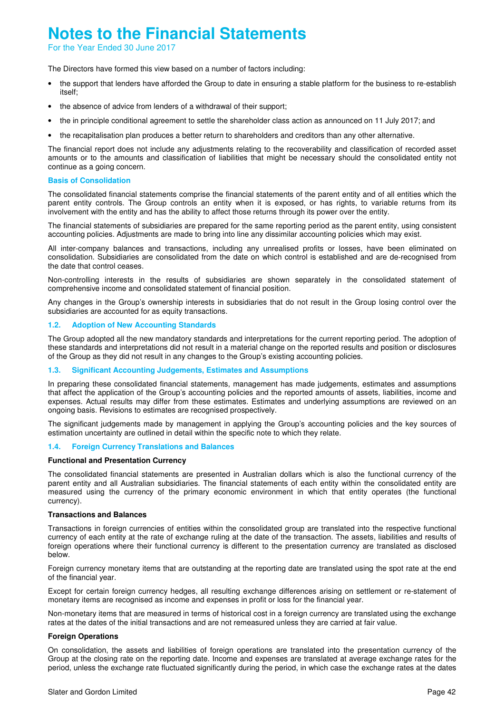For the Year Ended 30 June 20

The Directors have formed this view based on a number of factors including:

- the support that lenders have afforded the Group to date in ensuring a stable platform for the business to re-establish itself;
- the absence of advice from lenders of a withdrawal of their support;
- the in principle conditional agreement to settle the shareholder class action as announced on 11 July 2017; and
- the recapitalisation plan produces a better return to shareholders and creditors than any other alternative.

The financial report does not include any adjustments relating to the recoverability and classification of recorded asset amounts or to the amounts and classification of liabilities that might be necessary should the consolidated entity not continue as a going concern.

#### **Basis of Consolidation**

The consolidated financial statements comprise the financial statements of the parent entity and of all entities which the parent entity controls. The Group controls an entity when it is exposed, or has rights, to variable returns from its involvement with the entity and has the ability to affect those returns through its power over the entity.

The financial statements of subsidiaries are prepared for the same reporting period as the parent entity, using consistent accounting policies. Adjustments are made to bring into line any dissimilar accounting policies which may exist.

All inter-company balances and transactions, including any unrealised profits or losses, have been eliminated on consolidation. Subsidiaries are consolidated from the date on which control is established and are de-recognised from the date that control ceases.

Non-controlling interests in the results of subsidiaries are shown separately in the consolidated statement of comprehensive income and consolidated statement of financial position.

Any changes in the Group's ownership interests in subsidiaries that do not result in the Group losing control over the subsidiaries are accounted for as equity transactions.

#### **1.2. Adoption of New Accounting Standards**

The Group adopted all the new mandatory standards and interpretations for the current reporting period. The adoption of these standards and interpretations did not result in a material change on the reported results and position or disclosures of the Group as they did not result in any changes to the Group's existing accounting policies.

#### **1.3. Significant Accounting Judgements, Estimates and Assumptions**

In preparing these consolidated financial statements, management has made judgements, estimates and assumptions that affect the application of the Group's accounting policies and the reported amounts of assets, liabilities, income and expenses. Actual results may differ from these estimates. Estimates and underlying assumptions are reviewed on an ongoing basis. Revisions to estimates are recognised prospectively.

The significant judgements made by management in applying the Group's accounting policies and the key sources of estimation uncertainty are outlined in detail within the specific note to which they relate.

#### **1.4. Foreign Currency Translations and Balances**

#### **Functional and Presentation Currency**

The consolidated financial statements are presented in Australian dollars which is also the functional currency of the parent entity and all Australian subsidiaries. The financial statements of each entity within the consolidated entity are measured using the currency of the primary economic environment in which that entity operates (the functional currency).

#### **Transactions and Balances**

Transactions in foreign currencies of entities within the consolidated group are translated into the respective functional currency of each entity at the rate of exchange ruling at the date of the transaction. The assets, liabilities and results of foreign operations where their functional currency is different to the presentation currency are translated as disclosed below.

Foreign currency monetary items that are outstanding at the reporting date are translated using the spot rate at the end of the financial year.

Except for certain foreign currency hedges, all resulting exchange differences arising on settlement or re-statement of monetary items are recognised as income and expenses in profit or loss for the financial year.

Non-monetary items that are measured in terms of historical cost in a foreign currency are translated using the exchange rates at the dates of the initial transactions and are not remeasured unless they are carried at fair value.

#### **Foreign Operations**

On consolidation, the assets and liabilities of foreign operations are translated into the presentation currency of the Group at the closing rate on the reporting date. Income and expenses are translated at average exchange rates for the period, unless the exchange rate fluctuated significantly during the period, in which case the exchange rates at the dates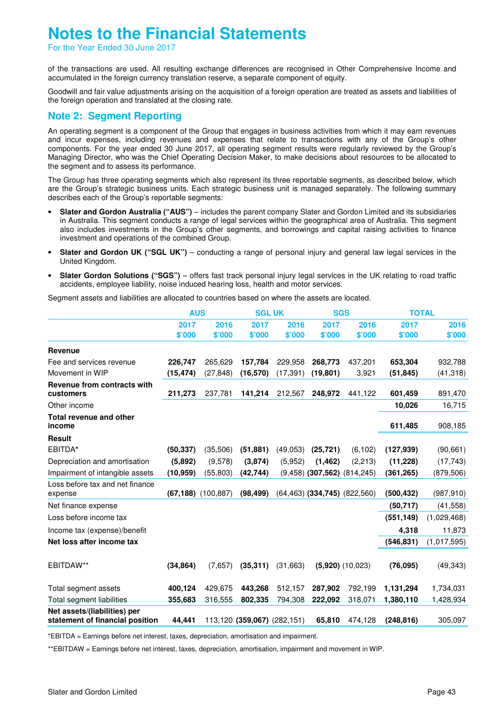For the Year Ended 30 June 2017

of the transactions are used. All resulting exchange differences are recognised in Other Comprehensive Income and accumulated in the foreign currency translation reserve, a separate component of equity.

Goodwill and fair value adjustments arising on the acquisition of a foreign operation are treated as assets and liabilities of the foreign operation and translated at the closing rate.

### **Note 2: Segment Reporting**

An operating segment is a component of the Group that engages in business activities from which it may earn revenues and incur expenses, including revenues and expenses that relate to transactions with any of the Group's other components. For the year ended 30 June 2017, all operating segment results were regularly reviewed by the Group's Managing Director, who was the Chief Operating Decision Maker, to make decisions about resources to be allocated to the segment and to assess its performance.

The Group has three operating segments which also represent its three reportable segments, as described below, which are the Group's strategic business units. Each strategic business unit is managed separately. The following summary describes each of the Group's reportable segments:

- **Slater and Gordon Australia ("AUS")** includes the parent company Slater and Gordon Limited and its subsidiaries in Australia. This segment conducts a range of legal services within the geographical area of Australia. This segment also includes investments in the Group's other segments, and borrowings and capital raising activities to finance investment and operations of the combined Group.
- **Slater and Gordon UK ("SGL UK")** conducting a range of personal injury and general law legal services in the United Kingdom.
- **Slater Gordon Solutions ("SGS")**  offers fast track personal injury legal services in the UK relating to road traffic accidents, employee liability, noise induced hearing loss, health and motor services.

Segment assets and liabilities are allocated to countries based on where the assets are located.

|                                                                 | <b>AUS</b> |                          |                             | <b>SGL UK</b> |                                    | <b>SGS</b>           |            | <b>TOTAL</b> |  |
|-----------------------------------------------------------------|------------|--------------------------|-----------------------------|---------------|------------------------------------|----------------------|------------|--------------|--|
|                                                                 | 2017       | 2016                     | 2017                        | 2016          | 2017                               | 2016                 | 2017       | 2016         |  |
|                                                                 | \$'000     | \$'000                   | \$'000                      | \$'000        | \$'000                             | \$'000               | \$'000     | \$'000       |  |
| <b>Revenue</b>                                                  |            |                          |                             |               |                                    |                      |            |              |  |
| Fee and services revenue                                        | 226,747    | 265,629                  | 157,784                     | 229,958       | 268,773                            | 437,201              | 653,304    | 932,788      |  |
| Movement in WIP                                                 | (15, 474)  | (27, 848)                | (16, 570)                   | (17, 391)     | (19, 801)                          | 3,921                | (51, 845)  | (41, 318)    |  |
| Revenue from contracts with<br>customers                        | 211,273    | 237,781                  | 141,214                     | 212,567       | 248,972                            | 441,122              | 601,459    | 891,470      |  |
| Other income                                                    |            |                          |                             |               |                                    |                      | 10,026     | 16,715       |  |
| <b>Total revenue and other</b><br>income                        |            |                          |                             |               |                                    |                      | 611,485    | 908,185      |  |
| <b>Result</b>                                                   |            |                          |                             |               |                                    |                      |            |              |  |
| EBITDA*                                                         | (50, 337)  | (35,506)                 | (51, 881)                   | (49,053)      | (25, 721)                          | (6, 102)             | (127, 939) | (90, 661)    |  |
| Depreciation and amortisation                                   | (5,892)    | (9,578)                  | (3,874)                     | (5,952)       | (1, 462)                           | (2, 213)             | (11, 228)  | (17, 743)    |  |
| Impairment of intangible assets                                 | (10, 959)  | (55, 803)                | (42, 744)                   |               | $(9,458)$ (307,562) $(814,245)$    |                      | (361, 265) | (879, 506)   |  |
| Loss before tax and net finance<br>expense                      |            | $(67, 188)$ $(100, 887)$ | (98, 499)                   |               | $(64, 463)$ (334,745) $(822, 560)$ |                      | (500, 432) | (987, 910)   |  |
| Net finance expense                                             |            |                          |                             |               |                                    |                      | (50, 717)  | (41, 558)    |  |
| Loss before income tax                                          |            |                          |                             |               |                                    |                      | (551, 149) | (1,029,468)  |  |
| Income tax (expense)/benefit                                    |            |                          |                             |               |                                    |                      | 4,318      | 11,873       |  |
| Net loss after income tax                                       |            |                          |                             |               |                                    |                      | (546, 831) | (1,017,595)  |  |
|                                                                 |            |                          |                             |               |                                    |                      |            |              |  |
| EBITDAW**                                                       | (34, 864)  | (7.657)                  | (35, 311)                   | (31,663)      |                                    | $(5,920)$ $(10,023)$ | (76,095)   | (49, 343)    |  |
| Total segment assets                                            | 400.124    | 429,675                  | 443,268                     | 512,157       | 287,902                            | 792,199              | 1,131,294  | 1,734,031    |  |
| Total segment liabilities                                       | 355,683    | 316,555                  | 802,335                     | 794,308       | 222,092                            | 318,071              | 1,380,110  | 1,428,934    |  |
| Net assets/(liabilities) per<br>statement of financial position | 44,441     |                          | 113,120 (359,067) (282,151) |               | 65,810                             | 474,128              | (248, 816) | 305,097      |  |

\*EBITDA = Earnings before net interest, taxes, depreciation, amortisation and impairment.

\*\*EBITDAW = Earnings before net interest, taxes, depreciation, amortisation, impairment and movement in WIP.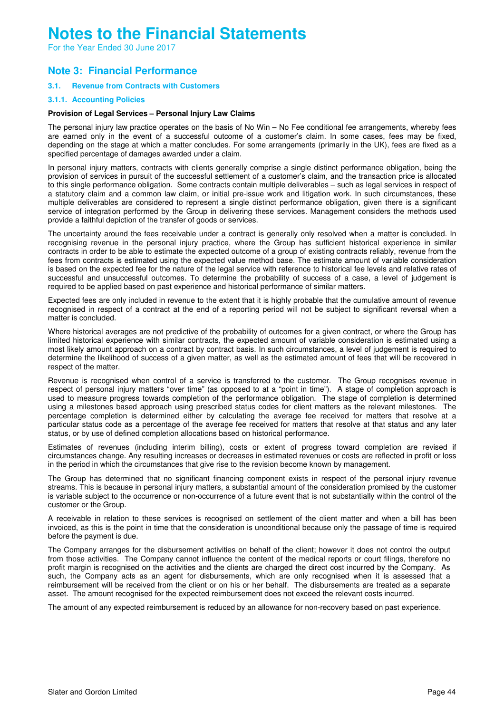For the Year Ended 30 June 2017

### **Note 3: Financial Performance**

#### **3.1. Revenue from Contracts with Customers**

#### **3.1.1. Accounting Policies**

#### **Provision of Legal Services – Personal Injury Law Claims**

The personal injury law practice operates on the basis of No Win – No Fee conditional fee arrangements, whereby fees are earned only in the event of a successful outcome of a customer's claim. In some cases, fees may be fixed, depending on the stage at which a matter concludes. For some arrangements (primarily in the UK), fees are fixed as a specified percentage of damages awarded under a claim.

In personal injury matters, contracts with clients generally comprise a single distinct performance obligation, being the provision of services in pursuit of the successful settlement of a customer's claim, and the transaction price is allocated to this single performance obligation. Some contracts contain multiple deliverables – such as legal services in respect of a statutory claim and a common law claim, or initial pre-issue work and litigation work. In such circumstances, these multiple deliverables are considered to represent a single distinct performance obligation, given there is a significant service of integration performed by the Group in delivering these services. Management considers the methods used provide a faithful depiction of the transfer of goods or services.

The uncertainty around the fees receivable under a contract is generally only resolved when a matter is concluded. In recognising revenue in the personal injury practice, where the Group has sufficient historical experience in similar contracts in order to be able to estimate the expected outcome of a group of existing contracts reliably, revenue from the fees from contracts is estimated using the expected value method base. The estimate amount of variable consideration is based on the expected fee for the nature of the legal service with reference to historical fee levels and relative rates of successful and unsuccessful outcomes. To determine the probability of success of a case, a level of judgement is required to be applied based on past experience and historical performance of similar matters.

Expected fees are only included in revenue to the extent that it is highly probable that the cumulative amount of revenue recognised in respect of a contract at the end of a reporting period will not be subject to significant reversal when a matter is concluded.

Where historical averages are not predictive of the probability of outcomes for a given contract, or where the Group has limited historical experience with similar contracts, the expected amount of variable consideration is estimated using a most likely amount approach on a contract by contract basis. In such circumstances, a level of judgement is required to determine the likelihood of success of a given matter, as well as the estimated amount of fees that will be recovered in respect of the matter.

Revenue is recognised when control of a service is transferred to the customer. The Group recognises revenue in respect of personal injury matters "over time" (as opposed to at a "point in time"). A stage of completion approach is used to measure progress towards completion of the performance obligation. The stage of completion is determined using a milestones based approach using prescribed status codes for client matters as the relevant milestones. The percentage completion is determined either by calculating the average fee received for matters that resolve at a particular status code as a percentage of the average fee received for matters that resolve at that status and any later status, or by use of defined completion allocations based on historical performance.

Estimates of revenues (including interim billing), costs or extent of progress toward completion are revised if circumstances change. Any resulting increases or decreases in estimated revenues or costs are reflected in profit or loss in the period in which the circumstances that give rise to the revision become known by management.

The Group has determined that no significant financing component exists in respect of the personal injury revenue streams. This is because in personal injury matters, a substantial amount of the consideration promised by the customer is variable subject to the occurrence or non-occurrence of a future event that is not substantially within the control of the customer or the Group.

A receivable in relation to these services is recognised on settlement of the client matter and when a bill has been invoiced, as this is the point in time that the consideration is unconditional because only the passage of time is required before the payment is due.

The Company arranges for the disbursement activities on behalf of the client; however it does not control the output from those activities. The Company cannot influence the content of the medical reports or court filings, therefore no profit margin is recognised on the activities and the clients are charged the direct cost incurred by the Company. As such, the Company acts as an agent for disbursements, which are only recognised when it is assessed that a reimbursement will be received from the client or on his or her behalf. The disbursements are treated as a separate asset. The amount recognised for the expected reimbursement does not exceed the relevant costs incurred.

The amount of any expected reimbursement is reduced by an allowance for non-recovery based on past experience.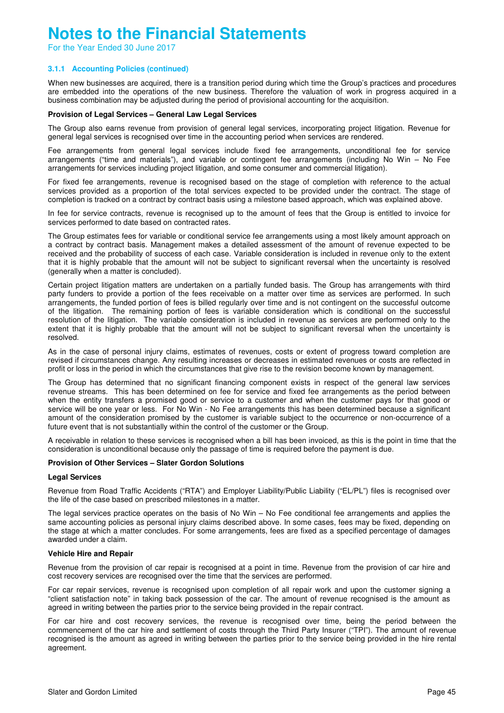For the Year Ended 30 June 2017

#### **3.1.1 Accounting Policies (continued)**

When new businesses are acquired, there is a transition period during which time the Group's practices and procedures are embedded into the operations of the new business. Therefore the valuation of work in progress acquired in a business combination may be adjusted during the period of provisional accounting for the acquisition.

#### **Provision of Legal Services – General Law Legal Services**

The Group also earns revenue from provision of general legal services, incorporating project litigation. Revenue for general legal services is recognised over time in the accounting period when services are rendered.

Fee arrangements from general legal services include fixed fee arrangements, unconditional fee for service arrangements ("time and materials"), and variable or contingent fee arrangements (including No Win – No Fee arrangements for services including project litigation, and some consumer and commercial litigation).

For fixed fee arrangements, revenue is recognised based on the stage of completion with reference to the actual services provided as a proportion of the total services expected to be provided under the contract. The stage of completion is tracked on a contract by contract basis using a milestone based approach, which was explained above.

In fee for service contracts, revenue is recognised up to the amount of fees that the Group is entitled to invoice for services performed to date based on contracted rates.

The Group estimates fees for variable or conditional service fee arrangements using a most likely amount approach on a contract by contract basis. Management makes a detailed assessment of the amount of revenue expected to be received and the probability of success of each case. Variable consideration is included in revenue only to the extent that it is highly probable that the amount will not be subject to significant reversal when the uncertainty is resolved (generally when a matter is concluded).

Certain project litigation matters are undertaken on a partially funded basis. The Group has arrangements with third party funders to provide a portion of the fees receivable on a matter over time as services are performed. In such arrangements, the funded portion of fees is billed regularly over time and is not contingent on the successful outcome of the litigation. The remaining portion of fees is variable consideration which is conditional on the successful resolution of the litigation. The variable consideration is included in revenue as services are performed only to the extent that it is highly probable that the amount will not be subject to significant reversal when the uncertainty is resolved.

As in the case of personal injury claims, estimates of revenues, costs or extent of progress toward completion are revised if circumstances change. Any resulting increases or decreases in estimated revenues or costs are reflected in profit or loss in the period in which the circumstances that give rise to the revision become known by management.

The Group has determined that no significant financing component exists in respect of the general law services revenue streams. This has been determined on fee for service and fixed fee arrangements as the period between when the entity transfers a promised good or service to a customer and when the customer pays for that good or service will be one year or less. For No Win - No Fee arrangements this has been determined because a significant amount of the consideration promised by the customer is variable subject to the occurrence or non-occurrence of a future event that is not substantially within the control of the customer or the Group.

A receivable in relation to these services is recognised when a bill has been invoiced, as this is the point in time that the consideration is unconditional because only the passage of time is required before the payment is due.

#### **Provision of Other Services – Slater Gordon Solutions**

#### **Legal Services**

Revenue from Road Traffic Accidents ("RTA") and Employer Liability/Public Liability ("EL/PL") files is recognised over the life of the case based on prescribed milestones in a matter.

The legal services practice operates on the basis of No Win – No Fee conditional fee arrangements and applies the same accounting policies as personal injury claims described above. In some cases, fees may be fixed, depending on the stage at which a matter concludes. For some arrangements, fees are fixed as a specified percentage of damages awarded under a claim.

#### **Vehicle Hire and Repair**

Revenue from the provision of car repair is recognised at a point in time. Revenue from the provision of car hire and cost recovery services are recognised over the time that the services are performed.

For car repair services, revenue is recognised upon completion of all repair work and upon the customer signing a "client satisfaction note" in taking back possession of the car. The amount of revenue recognised is the amount as agreed in writing between the parties prior to the service being provided in the repair contract.

For car hire and cost recovery services, the revenue is recognised over time, being the period between the commencement of the car hire and settlement of costs through the Third Party Insurer ("TPI"). The amount of revenue recognised is the amount as agreed in writing between the parties prior to the service being provided in the hire rental agreement.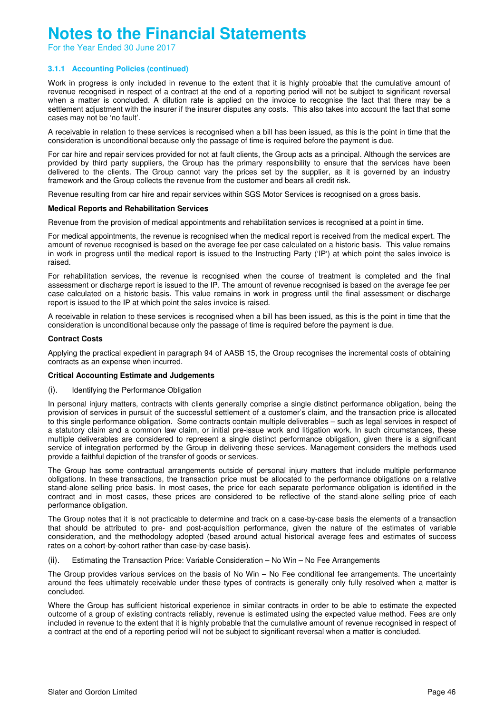For the Year Ended 30 June 2017

#### **3.1.1 Accounting Policies (continued)**

Work in progress is only included in revenue to the extent that it is highly probable that the cumulative amount of revenue recognised in respect of a contract at the end of a reporting period will not be subject to significant reversal when a matter is concluded. A dilution rate is applied on the invoice to recognise the fact that there may be a settlement adjustment with the insurer if the insurer disputes any costs. This also takes into account the fact that some cases may not be 'no fault'.

A receivable in relation to these services is recognised when a bill has been issued, as this is the point in time that the consideration is unconditional because only the passage of time is required before the payment is due.

For car hire and repair services provided for not at fault clients, the Group acts as a principal. Although the services are provided by third party suppliers, the Group has the primary responsibility to ensure that the services have been delivered to the clients. The Group cannot vary the prices set by the supplier, as it is governed by an industry framework and the Group collects the revenue from the customer and bears all credit risk.

Revenue resulting from car hire and repair services within SGS Motor Services is recognised on a gross basis.

#### **Medical Reports and Rehabilitation Services**

Revenue from the provision of medical appointments and rehabilitation services is recognised at a point in time.

For medical appointments, the revenue is recognised when the medical report is received from the medical expert. The amount of revenue recognised is based on the average fee per case calculated on a historic basis. This value remains in work in progress until the medical report is issued to the Instructing Party ('IP') at which point the sales invoice is raised.

For rehabilitation services, the revenue is recognised when the course of treatment is completed and the final assessment or discharge report is issued to the IP. The amount of revenue recognised is based on the average fee per case calculated on a historic basis. This value remains in work in progress until the final assessment or discharge report is issued to the IP at which point the sales invoice is raised.

A receivable in relation to these services is recognised when a bill has been issued, as this is the point in time that the consideration is unconditional because only the passage of time is required before the payment is due.

#### **Contract Costs**

Applying the practical expedient in paragraph 94 of AASB 15, the Group recognises the incremental costs of obtaining contracts as an expense when incurred.

#### **Critical Accounting Estimate and Judgements**

#### (i). Identifying the Performance Obligation

In personal injury matters, contracts with clients generally comprise a single distinct performance obligation, being the provision of services in pursuit of the successful settlement of a customer's claim, and the transaction price is allocated to this single performance obligation. Some contracts contain multiple deliverables – such as legal services in respect of a statutory claim and a common law claim, or initial pre-issue work and litigation work. In such circumstances, these multiple deliverables are considered to represent a single distinct performance obligation, given there is a significant service of integration performed by the Group in delivering these services. Management considers the methods used provide a faithful depiction of the transfer of goods or services.

The Group has some contractual arrangements outside of personal injury matters that include multiple performance obligations. In these transactions, the transaction price must be allocated to the performance obligations on a relative stand-alone selling price basis. In most cases, the price for each separate performance obligation is identified in the contract and in most cases, these prices are considered to be reflective of the stand-alone selling price of each performance obligation.

The Group notes that it is not practicable to determine and track on a case-by-case basis the elements of a transaction that should be attributed to pre- and post-acquisition performance, given the nature of the estimates of variable consideration, and the methodology adopted (based around actual historical average fees and estimates of success rates on a cohort-by-cohort rather than case-by-case basis).

#### (ii). Estimating the Transaction Price: Variable Consideration – No Win – No Fee Arrangements

The Group provides various services on the basis of No Win – No Fee conditional fee arrangements. The uncertainty around the fees ultimately receivable under these types of contracts is generally only fully resolved when a matter is concluded.

Where the Group has sufficient historical experience in similar contracts in order to be able to estimate the expected outcome of a group of existing contracts reliably, revenue is estimated using the expected value method. Fees are only included in revenue to the extent that it is highly probable that the cumulative amount of revenue recognised in respect of a contract at the end of a reporting period will not be subject to significant reversal when a matter is concluded.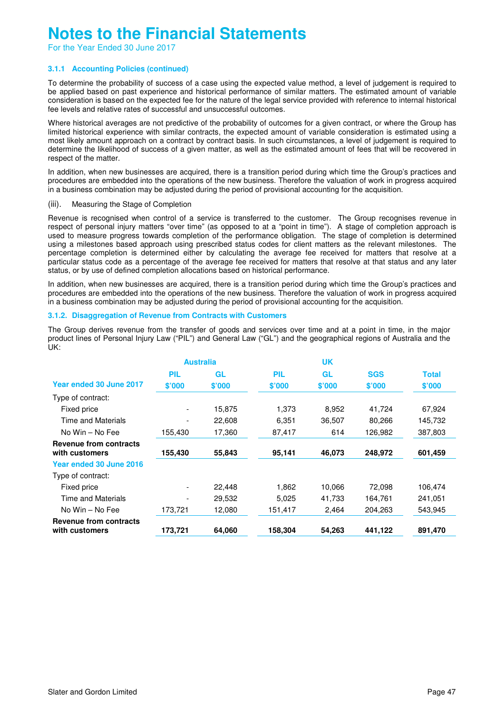For the Year Ended 30 June 2017

#### **3.1.1 Accounting Policies (continued)**

To determine the probability of success of a case using the expected value method, a level of judgement is required to be applied based on past experience and historical performance of similar matters. The estimated amount of variable consideration is based on the expected fee for the nature of the legal service provided with reference to internal historical fee levels and relative rates of successful and unsuccessful outcomes.

Where historical averages are not predictive of the probability of outcomes for a given contract, or where the Group has limited historical experience with similar contracts, the expected amount of variable consideration is estimated using a most likely amount approach on a contract by contract basis. In such circumstances, a level of judgement is required to determine the likelihood of success of a given matter, as well as the estimated amount of fees that will be recovered in respect of the matter.

In addition, when new businesses are acquired, there is a transition period during which time the Group's practices and procedures are embedded into the operations of the new business. Therefore the valuation of work in progress acquired in a business combination may be adjusted during the period of provisional accounting for the acquisition.

#### (iii). Measuring the Stage of Completion

Revenue is recognised when control of a service is transferred to the customer. The Group recognises revenue in respect of personal injury matters "over time" (as opposed to at a "point in time"). A stage of completion approach is used to measure progress towards completion of the performance obligation. The stage of completion is determined using a milestones based approach using prescribed status codes for client matters as the relevant milestones. The percentage completion is determined either by calculating the average fee received for matters that resolve at a particular status code as a percentage of the average fee received for matters that resolve at that status and any later status, or by use of defined completion allocations based on historical performance.

In addition, when new businesses are acquired, there is a transition period during which time the Group's practices and procedures are embedded into the operations of the new business. Therefore the valuation of work in progress acquired in a business combination may be adjusted during the period of provisional accounting for the acquisition.

#### **3.1.2. Disaggregation of Revenue from Contracts with Customers**

The Group derives revenue from the transfer of goods and services over time and at a point in time, in the major product lines of Personal Injury Law ("PIL") and General Law ("GL") and the geographical regions of Australia and the UK:

|                                                 | <b>Australia</b>         |        |            | UK     |            |         |
|-------------------------------------------------|--------------------------|--------|------------|--------|------------|---------|
|                                                 | <b>PIL</b>               | GL     | <b>PIL</b> | GL     | <b>SGS</b> | Total   |
| Year ended 30 June 2017                         | \$'000                   | \$'000 | \$'000     | \$'000 | \$'000     | \$'000  |
| Type of contract:                               |                          |        |            |        |            |         |
| Fixed price                                     | $\overline{\phantom{a}}$ | 15,875 | 1,373      | 8,952  | 41,724     | 67,924  |
| Time and Materials                              |                          | 22,608 | 6,351      | 36,507 | 80,266     | 145,732 |
| No Win - No Fee                                 | 155,430                  | 17,360 | 87,417     | 614    | 126,982    | 387,803 |
| <b>Revenue from contracts</b><br>with customers | 155.430                  | 55,843 | 95,141     | 46,073 | 248,972    | 601,459 |
| Year ended 30 June 2016                         |                          |        |            |        |            |         |
| Type of contract:                               |                          |        |            |        |            |         |
| Fixed price                                     | $\overline{\phantom{a}}$ | 22,448 | 1,862      | 10,066 | 72,098     | 106,474 |
| Time and Materials                              | $\overline{\phantom{a}}$ | 29,532 | 5,025      | 41,733 | 164,761    | 241,051 |
| No Win - No Fee                                 | 173.721                  | 12,080 | 151,417    | 2,464  | 204,263    | 543,945 |
| <b>Revenue from contracts</b><br>with customers | 173,721                  | 64,060 | 158,304    | 54,263 | 441,122    | 891,470 |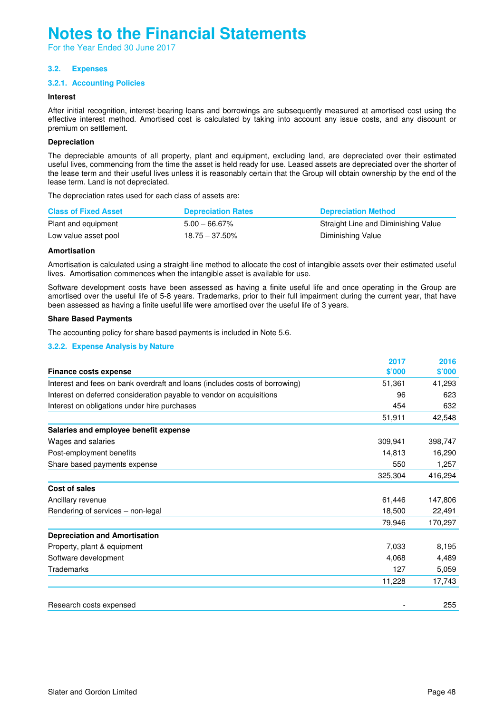For the Year Ended 30 June 2017

#### **3.2. Expenses**

#### **3.2.1. Accounting Policies**

#### **Interest**

After initial recognition, interest-bearing loans and borrowings are subsequently measured at amortised cost using the effective interest method. Amortised cost is calculated by taking into account any issue costs, and any discount or premium on settlement.

#### **Depreciation**

The depreciable amounts of all property, plant and equipment, excluding land, are depreciated over their estimated useful lives, commencing from the time the asset is held ready for use. Leased assets are depreciated over the shorter of the lease term and their useful lives unless it is reasonably certain that the Group will obtain ownership by the end of the lease term. Land is not depreciated.

The depreciation rates used for each class of assets are:

| <b>Class of Fixed Asset</b> | <b>Depreciation Rates</b> | <b>Depreciation Method</b>          |
|-----------------------------|---------------------------|-------------------------------------|
| Plant and equipment         | $5.00 - 66.67\%$          | Straight Line and Diminishing Value |
| Low value asset pool        | $18.75 - 37.50\%$         | Diminishing Value                   |

#### **Amortisation**

Amortisation is calculated using a straight-line method to allocate the cost of intangible assets over their estimated useful lives. Amortisation commences when the intangible asset is available for use.

Software development costs have been assessed as having a finite useful life and once operating in the Group are amortised over the useful life of 5-8 years. Trademarks, prior to their full impairment during the current year, that have been assessed as having a finite useful life were amortised over the useful life of 3 years.

#### **Share Based Payments**

The accounting policy for share based payments is included in Note 5.6.

#### **3.2.2. Expense Analysis by Nature**

|                                                                             | 2017    | 2016    |
|-----------------------------------------------------------------------------|---------|---------|
| <b>Finance costs expense</b>                                                | \$'000  | \$'000  |
| Interest and fees on bank overdraft and loans (includes costs of borrowing) | 51,361  | 41,293  |
| Interest on deferred consideration payable to vendor on acquisitions        | 96      | 623     |
| Interest on obligations under hire purchases                                | 454     | 632     |
|                                                                             | 51,911  | 42,548  |
| Salaries and employee benefit expense                                       |         |         |
| Wages and salaries                                                          | 309,941 | 398,747 |
| Post-employment benefits                                                    | 14,813  | 16,290  |
| Share based payments expense                                                | 550     | 1,257   |
|                                                                             | 325,304 | 416,294 |
| <b>Cost of sales</b>                                                        |         |         |
| Ancillary revenue                                                           | 61,446  | 147,806 |
| Rendering of services – non-legal                                           | 18,500  | 22,491  |
|                                                                             | 79,946  | 170,297 |
| <b>Depreciation and Amortisation</b>                                        |         |         |
| Property, plant & equipment                                                 | 7,033   | 8,195   |
| Software development                                                        | 4,068   | 4,489   |
| Trademarks                                                                  | 127     | 5,059   |
|                                                                             | 11,228  | 17,743  |
| Research costs expensed                                                     |         | 255     |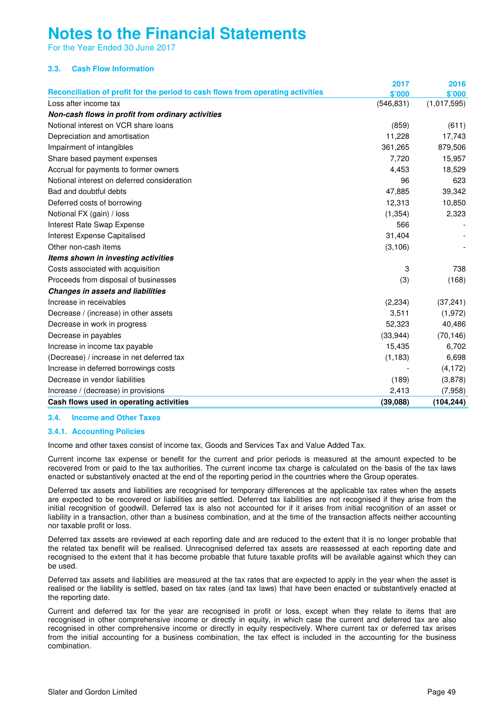For the Year Ended 30 June 2017

#### **3.3. Cash Flow Information**

|                                                                                 | 2017       | 2016        |
|---------------------------------------------------------------------------------|------------|-------------|
| Reconciliation of profit for the period to cash flows from operating activities | \$'000     | \$'000      |
| Loss after income tax                                                           | (546, 831) | (1,017,595) |
| Non-cash flows in profit from ordinary activities                               |            |             |
| Notional interest on VCR share loans                                            | (859)      | (611)       |
| Depreciation and amortisation                                                   | 11,228     | 17,743      |
| Impairment of intangibles                                                       | 361,265    | 879,506     |
| Share based payment expenses                                                    | 7,720      | 15,957      |
| Accrual for payments to former owners                                           | 4,453      | 18,529      |
| Notional interest on deferred consideration                                     | 96         | 623         |
| Bad and doubtful debts                                                          | 47,885     | 39,342      |
| Deferred costs of borrowing                                                     | 12,313     | 10,850      |
| Notional FX (gain) / loss                                                       | (1, 354)   | 2,323       |
| Interest Rate Swap Expense                                                      | 566        |             |
| Interest Expense Capitalised                                                    | 31,404     |             |
| Other non-cash items                                                            | (3, 106)   |             |
| Items shown in investing activities                                             |            |             |
| Costs associated with acquisition                                               | 3          | 738         |
| Proceeds from disposal of businesses                                            | (3)        | (168)       |
| <b>Changes in assets and liabilities</b>                                        |            |             |
| Increase in receivables                                                         | (2,234)    | (37, 241)   |
| Decrease / (increase) in other assets                                           | 3,511      | (1, 972)    |
| Decrease in work in progress                                                    | 52,323     | 40,486      |
| Decrease in payables                                                            | (33, 944)  | (70, 146)   |
| Increase in income tax payable                                                  | 15,435     | 6,702       |
| (Decrease) / increase in net deferred tax                                       | (1, 183)   | 6,698       |
| Increase in deferred borrowings costs                                           |            | (4, 172)    |
| Decrease in vendor liabilities                                                  | (189)      | (3,878)     |
| Increase / (decrease) in provisions                                             | 2,413      | (7,958)     |
| Cash flows used in operating activities                                         | (39,088)   | (104, 244)  |

#### **3.4. Income and Other Taxes**

#### **3.4.1. Accounting Policies**

Income and other taxes consist of income tax, Goods and Services Tax and Value Added Tax.

Current income tax expense or benefit for the current and prior periods is measured at the amount expected to be recovered from or paid to the tax authorities. The current income tax charge is calculated on the basis of the tax laws enacted or substantively enacted at the end of the reporting period in the countries where the Group operates.

Deferred tax assets and liabilities are recognised for temporary differences at the applicable tax rates when the assets are expected to be recovered or liabilities are settled. Deferred tax liabilities are not recognised if they arise from the initial recognition of goodwill. Deferred tax is also not accounted for if it arises from initial recognition of an asset or liability in a transaction, other than a business combination, and at the time of the transaction affects neither accounting nor taxable profit or loss.

Deferred tax assets are reviewed at each reporting date and are reduced to the extent that it is no longer probable that the related tax benefit will be realised. Unrecognised deferred tax assets are reassessed at each reporting date and recognised to the extent that it has become probable that future taxable profits will be available against which they can be used.

Deferred tax assets and liabilities are measured at the tax rates that are expected to apply in the year when the asset is realised or the liability is settled, based on tax rates (and tax laws) that have been enacted or substantively enacted at the reporting date.

Current and deferred tax for the year are recognised in profit or loss, except when they relate to items that are recognised in other comprehensive income or directly in equity, in which case the current and deferred tax are also recognised in other comprehensive income or directly in equity respectively. Where current tax or deferred tax arises from the initial accounting for a business combination, the tax effect is included in the accounting for the business combination.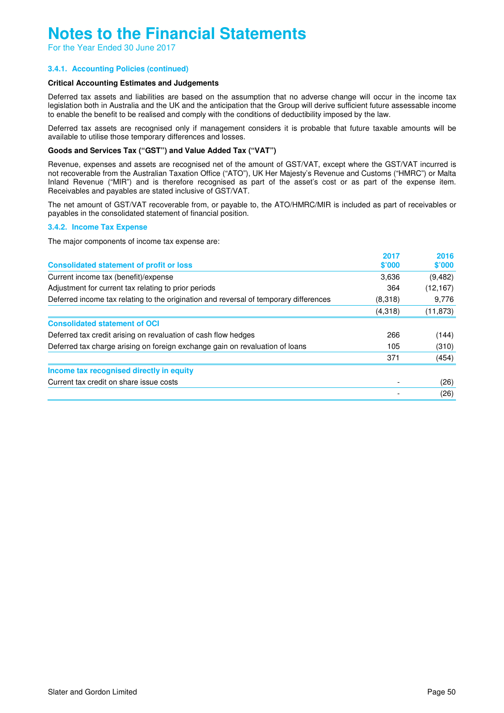For the Year Ended 30 June 2017

#### **3.4.1. Accounting Policies (continued)**

#### **Critical Accounting Estimates and Judgements**

Deferred tax assets and liabilities are based on the assumption that no adverse change will occur in the income tax legislation both in Australia and the UK and the anticipation that the Group will derive sufficient future assessable income to enable the benefit to be realised and comply with the conditions of deductibility imposed by the law.

Deferred tax assets are recognised only if management considers it is probable that future taxable amounts will be available to utilise those temporary differences and losses.

#### **Goods and Services Tax ("GST") and Value Added Tax ("VAT")**

Revenue, expenses and assets are recognised net of the amount of GST/VAT, except where the GST/VAT incurred is not recoverable from the Australian Taxation Office ("ATO"), UK Her Majesty's Revenue and Customs ("HMRC") or Malta Inland Revenue ("MIR") and is therefore recognised as part of the asset's cost or as part of the expense item. Receivables and payables are stated inclusive of GST/VAT.

The net amount of GST/VAT recoverable from, or payable to, the ATO/HMRC/MIR is included as part of receivables or payables in the consolidated statement of financial position.

#### **3.4.2. Income Tax Expense**

The major components of income tax expense are:

|                                                                                       | 2017    | 2016      |
|---------------------------------------------------------------------------------------|---------|-----------|
| <b>Consolidated statement of profit or loss</b>                                       | \$'000  | \$'000    |
| Current income tax (benefit)/expense                                                  | 3,636   | (9, 482)  |
| Adjustment for current tax relating to prior periods                                  | 364     | (12, 167) |
| Deferred income tax relating to the origination and reversal of temporary differences | (8,318) | 9,776     |
|                                                                                       | (4,318) | (11, 873) |
| <b>Consolidated statement of OCI</b>                                                  |         |           |
| Deferred tax credit arising on revaluation of cash flow hedges                        | 266     | (144)     |
| Deferred tax charge arising on foreign exchange gain on revaluation of loans          | 105     | (310)     |
|                                                                                       | 371     | (454)     |
| Income tax recognised directly in equity                                              |         |           |
| Current tax credit on share issue costs                                               |         | (26)      |
|                                                                                       |         | (26)      |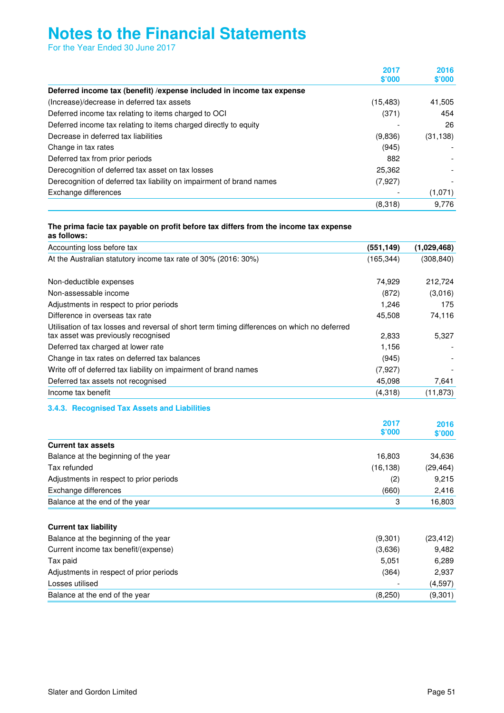For the Year Ended 30 June 2017

|                                                                        | 2017      | 2016      |
|------------------------------------------------------------------------|-----------|-----------|
|                                                                        | \$'000    | \$'000    |
| Deferred income tax (benefit) / expense included in income tax expense |           |           |
| (Increase)/decrease in deferred tax assets                             | (15, 483) | 41,505    |
| Deferred income tax relating to items charged to OCI                   | (371)     | 454       |
| Deferred income tax relating to items charged directly to equity       |           | 26        |
| Decrease in deferred tax liabilities                                   | (9,836)   | (31, 138) |
| Change in tax rates                                                    | (945)     |           |
| Deferred tax from prior periods                                        | 882       |           |
| Derecognition of deferred tax asset on tax losses                      | 25,362    |           |
| Derecognition of deferred tax liability on impairment of brand names   | (7, 927)  |           |
| Exchange differences                                                   |           | (1,071)   |
|                                                                        | (8,318)   | 9.776     |

#### **The prima facie tax payable on profit before tax differs from the income tax expense as follows:**

| Accounting loss before tax                                                                                                          | (551, 149) | (1,029,468) |
|-------------------------------------------------------------------------------------------------------------------------------------|------------|-------------|
| At the Australian statutory income tax rate of 30% (2016: 30%)                                                                      | (165, 344) | (308, 840)  |
| Non-deductible expenses                                                                                                             | 74,929     | 212,724     |
| Non-assessable income                                                                                                               | (872)      | (3,016)     |
| Adjustments in respect to prior periods                                                                                             | 1,246      | 175.        |
| Difference in overseas tax rate                                                                                                     | 45,508     | 74,116      |
| Utilisation of tax losses and reversal of short term timing differences on which no deferred<br>tax asset was previously recognised | 2,833      | 5,327       |
| Deferred tax charged at lower rate                                                                                                  | 1,156      |             |
| Change in tax rates on deferred tax balances                                                                                        | (945)      |             |
| Write off of deferred tax liability on impairment of brand names                                                                    | (7, 927)   |             |
| Deferred tax assets not recognised                                                                                                  | 45,098     | 7,641       |
| Income tax benefit                                                                                                                  | (4,318)    | (11, 873)   |
|                                                                                                                                     |            |             |

### **3.4.3. Recognised Tax Assets and Liabilities**

|                                         | 2017      | 2016      |
|-----------------------------------------|-----------|-----------|
|                                         | \$'000    | \$'000    |
| <b>Current tax assets</b>               |           |           |
| Balance at the beginning of the year    | 16,803    | 34,636    |
| Tax refunded                            | (16, 138) | (29, 464) |
| Adjustments in respect to prior periods | (2)       | 9,215     |
| Exchange differences                    | (660)     | 2,416     |
| Balance at the end of the year          | 3         | 16,803    |
| <b>Current tax liability</b>            |           |           |
| Balance at the beginning of the year    | (9,301)   | (23, 412) |
| Current income tax benefit/(expense)    | (3,636)   | 9,482     |
| Tax paid                                | 5,051     | 6,289     |
| Adjustments in respect of prior periods | (364)     | 2,937     |
| Losses utilised                         |           | (4,597)   |

Balance at the end of the year (9,301) (9,301)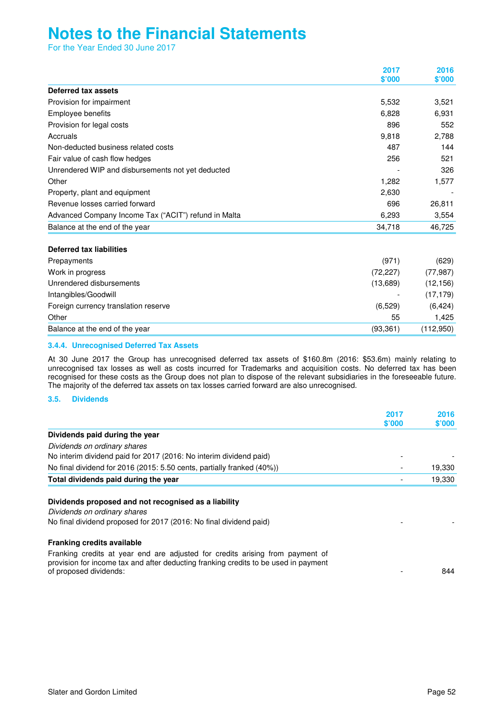For the Year Ended 30 June 2017

|                                                      | 2017      | 2016      |
|------------------------------------------------------|-----------|-----------|
|                                                      | \$'000    | \$'000    |
| <b>Deferred tax assets</b>                           |           |           |
| Provision for impairment                             | 5,532     | 3,521     |
| Employee benefits                                    | 6,828     | 6,931     |
| Provision for legal costs                            | 896       | 552       |
| Accruals                                             | 9,818     | 2,788     |
| Non-deducted business related costs                  | 487       | 144       |
| Fair value of cash flow hedges                       | 256       | 521       |
| Unrendered WIP and disbursements not yet deducted    |           | 326       |
| Other                                                | 1,282     | 1,577     |
| Property, plant and equipment                        | 2,630     |           |
| Revenue losses carried forward                       | 696       | 26,811    |
| Advanced Company Income Tax ("ACIT") refund in Malta | 6,293     | 3,554     |
| Balance at the end of the year                       | 34,718    | 46,725    |
| Deferred tax liabilities                             |           |           |
| Prepayments                                          | (971)     | (629)     |
| Work in progress                                     | (72, 227) | (77, 987) |
| Unrendered disbursements                             | (13,689)  | (12, 156) |
| Intangibles/Goodwill                                 |           | (17, 179) |
| Foreign currency translation reserve                 | (6, 529)  | (6, 424)  |
| Other                                                | 55        | 1,425     |
| Balance at the end of the year                       | (93, 361) | (112,950) |

#### **3.4.4. Unrecognised Deferred Tax Assets**

At 30 June 2017 the Group has unrecognised deferred tax assets of \$160.8m (2016: \$53.6m) mainly relating to unrecognised tax losses as well as costs incurred for Trademarks and acquisition costs. No deferred tax has been recognised for these costs as the Group does not plan to dispose of the relevant subsidiaries in the foreseeable future. The majority of the deferred tax assets on tax losses carried forward are also unrecognised.

#### **3.5. Dividends**

|                                                                                                                                                                                                | 2017   | 2016   |
|------------------------------------------------------------------------------------------------------------------------------------------------------------------------------------------------|--------|--------|
|                                                                                                                                                                                                | \$'000 | \$'000 |
| Dividends paid during the year                                                                                                                                                                 |        |        |
| Dividends on ordinary shares                                                                                                                                                                   |        |        |
| No interim dividend paid for 2017 (2016: No interim dividend paid)                                                                                                                             |        |        |
| No final dividend for 2016 (2015: 5.50 cents, partially franked (40%))                                                                                                                         |        | 19,330 |
| Total dividends paid during the year                                                                                                                                                           |        | 19,330 |
| Dividends proposed and not recognised as a liability<br>Dividends on ordinary shares<br>No final dividend proposed for 2017 (2016: No final dividend paid)                                     |        |        |
| <b>Franking credits available</b>                                                                                                                                                              |        |        |
| Franking credits at year end are adjusted for credits arising from payment of<br>provision for income tax and after deducting franking credits to be used in payment<br>of proposed dividends: |        | 844    |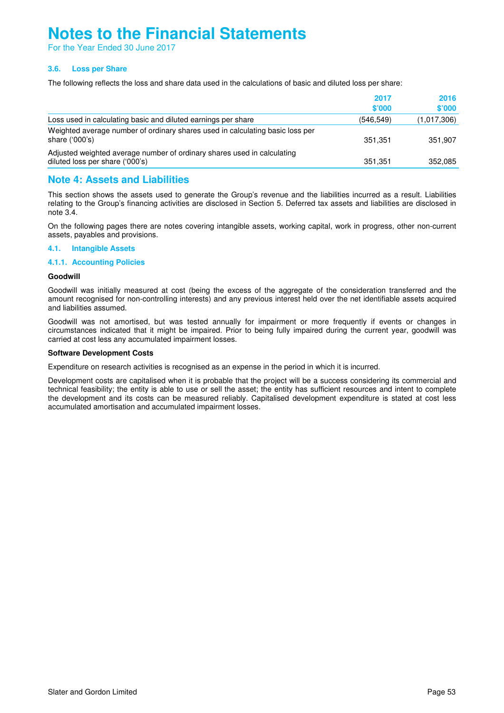For the Year Ended 30 June 2017

#### **3.6. Loss per Share**

The following reflects the loss and share data used in the calculations of basic and diluted loss per share:

|                                                                                                            | 2017      | 2016        |
|------------------------------------------------------------------------------------------------------------|-----------|-------------|
|                                                                                                            | \$'000    | \$'000      |
| Loss used in calculating basic and diluted earnings per share                                              | (546.549) | (1,017,306) |
| Weighted average number of ordinary shares used in calculating basic loss per<br>share $(000)$ s)          | 351.351   | 351,907     |
| Adjusted weighted average number of ordinary shares used in calculating<br>diluted loss per share ('000's) | 351.351   | 352.085     |

### **Note 4: Assets and Liabilities**

This section shows the assets used to generate the Group's revenue and the liabilities incurred as a result. Liabilities relating to the Group's financing activities are disclosed in Section 5. Deferred tax assets and liabilities are disclosed in note 3.4.

On the following pages there are notes covering intangible assets, working capital, work in progress, other non-current assets, payables and provisions.

#### **4.1. Intangible Assets**

#### **4.1.1. Accounting Policies**

#### **Goodwill**

Goodwill was initially measured at cost (being the excess of the aggregate of the consideration transferred and the amount recognised for non-controlling interests) and any previous interest held over the net identifiable assets acquired and liabilities assumed.

Goodwill was not amortised, but was tested annually for impairment or more frequently if events or changes in circumstances indicated that it might be impaired. Prior to being fully impaired during the current year, goodwill was carried at cost less any accumulated impairment losses.

#### **Software Development Costs**

Expenditure on research activities is recognised as an expense in the period in which it is incurred.

Development costs are capitalised when it is probable that the project will be a success considering its commercial and technical feasibility; the entity is able to use or sell the asset; the entity has sufficient resources and intent to complete the development and its costs can be measured reliably. Capitalised development expenditure is stated at cost less accumulated amortisation and accumulated impairment losses.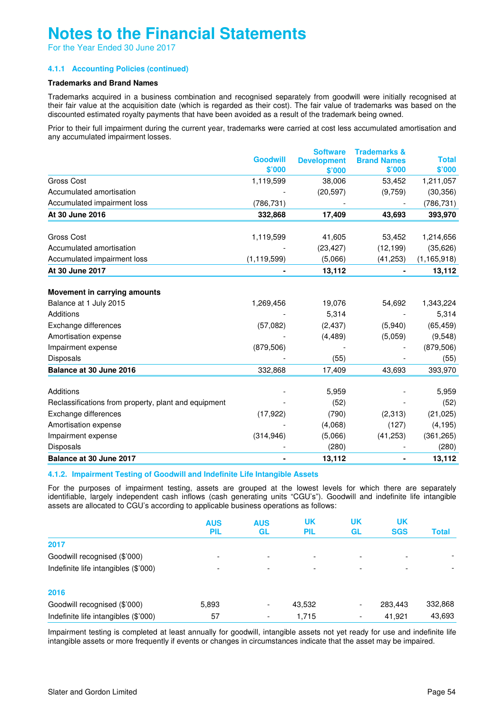For the Year Ended 30 June 2017

#### **4.1.1 Accounting Policies (continued)**

#### **Trademarks and Brand Names**

Trademarks acquired in a business combination and recognised separately from goodwill were initially recognised at their fair value at the acquisition date (which is regarded as their cost). The fair value of trademarks was based on the discounted estimated royalty payments that have been avoided as a result of the trademark being owned.

Prior to their full impairment during the current year, trademarks were carried at cost less accumulated amortisation and any accumulated impairment losses.

|                                                      |                 | <b>Software</b>    | <b>Trademarks &amp;</b> |               |
|------------------------------------------------------|-----------------|--------------------|-------------------------|---------------|
|                                                      | <b>Goodwill</b> | <b>Development</b> | <b>Brand Names</b>      | <b>Total</b>  |
|                                                      | \$'000          | \$'000             | \$'000                  | \$'000        |
| Gross Cost                                           | 1,119,599       | 38,006             | 53,452                  | 1,211,057     |
| Accumulated amortisation                             |                 | (20, 597)          | (9,759)                 | (30, 356)     |
| Accumulated impairment loss                          | (786,731)       |                    |                         | (786, 731)    |
| At 30 June 2016                                      | 332,868         | 17,409             | 43,693                  | 393,970       |
| Gross Cost                                           | 1,119,599       | 41,605             | 53,452                  | 1,214,656     |
| Accumulated amortisation                             |                 | (23, 427)          | (12, 199)               | (35,626)      |
| Accumulated impairment loss                          | (1, 119, 599)   | (5,066)            | (41, 253)               | (1, 165, 918) |
| At 30 June 2017                                      |                 | 13,112             |                         | 13,112        |
|                                                      |                 |                    |                         |               |
| Movement in carrying amounts                         |                 |                    |                         |               |
| Balance at 1 July 2015                               | 1,269,456       | 19,076             | 54,692                  | 1,343,224     |
| Additions                                            |                 | 5,314              |                         | 5,314         |
| Exchange differences                                 | (57,082)        | (2, 437)           | (5,940)                 | (65, 459)     |
| Amortisation expense                                 |                 | (4, 489)           | (5,059)                 | (9,548)       |
| Impairment expense                                   | (879, 506)      |                    |                         | (879, 506)    |
| Disposals                                            |                 | (55)               |                         | (55)          |
| Balance at 30 June 2016                              | 332,868         | 17,409             | 43,693                  | 393,970       |
|                                                      |                 |                    |                         |               |
| Additions                                            |                 | 5,959              |                         | 5,959         |
| Reclassifications from property, plant and equipment |                 | (52)               |                         | (52)          |
| Exchange differences                                 | (17, 922)       | (790)              | (2,313)                 | (21, 025)     |
| Amortisation expense                                 |                 | (4,068)            | (127)                   | (4, 195)      |
| Impairment expense                                   | (314, 946)      | (5,066)            | (41, 253)               | (361, 265)    |
| Disposals                                            |                 | (280)              |                         | (280)         |
| Balance at 30 June 2017                              |                 | 13,112             |                         | 13,112        |

#### **4.1.2. Impairment Testing of Goodwill and Indefinite Life Intangible Assets**

For the purposes of impairment testing, assets are grouped at the lowest levels for which there are separately identifiable, largely independent cash inflows (cash generating units "CGU's"). Goodwill and indefinite life intangible assets are allocated to CGU's according to applicable business operations as follows:

|                                      | <b>AUS</b> | <b>AUS</b>               | UK                       | UK | <b>UK</b>                |         |
|--------------------------------------|------------|--------------------------|--------------------------|----|--------------------------|---------|
|                                      | <b>PIL</b> | GL                       | PIL                      | GL | <b>SGS</b>               | Total   |
| 2017                                 |            |                          |                          |    |                          |         |
| Goodwill recognised (\$'000)         | -          | $\overline{\phantom{a}}$ | $\overline{\phantom{a}}$ | -  | $\overline{\phantom{a}}$ |         |
| Indefinite life intangibles (\$'000) |            | -                        | $\overline{\phantom{a}}$ |    | $\overline{\phantom{0}}$ |         |
| 2016                                 |            |                          |                          |    |                          |         |
| Goodwill recognised (\$'000)         | 5,893      | ٠                        | 43,532                   |    | 283,443                  | 332,868 |
| Indefinite life intangibles (\$'000) | 57         |                          | 1,715                    | -  | 41,921                   | 43,693  |

Impairment testing is completed at least annually for goodwill, intangible assets not yet ready for use and indefinite life intangible assets or more frequently if events or changes in circumstances indicate that the asset may be impaired.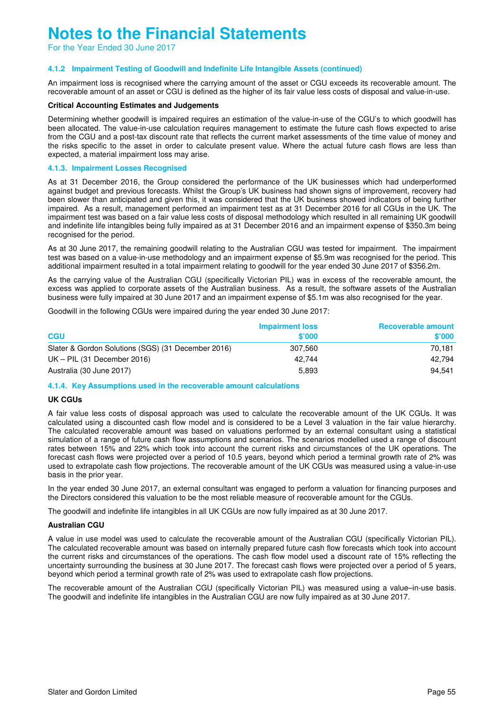For the Year Ended 30 June 2017

#### **4.1.2 Impairment Testing of Goodwill and Indefinite Life Intangible Assets (continued)**

An impairment loss is recognised where the carrying amount of the asset or CGU exceeds its recoverable amount. The recoverable amount of an asset or CGU is defined as the higher of its fair value less costs of disposal and value-in-use.

#### **Critical Accounting Estimates and Judgements**

Determining whether goodwill is impaired requires an estimation of the value-in-use of the CGU's to which goodwill has been allocated. The value-in-use calculation requires management to estimate the future cash flows expected to arise from the CGU and a post-tax discount rate that reflects the current market assessments of the time value of money and the risks specific to the asset in order to calculate present value. Where the actual future cash flows are less than expected, a material impairment loss may arise.

#### **4.1.3. Impairment Losses Recognised**

As at 31 December 2016, the Group considered the performance of the UK businesses which had underperformed against budget and previous forecasts. Whilst the Group's UK business had shown signs of improvement, recovery had been slower than anticipated and given this, it was considered that the UK business showed indicators of being further impaired. As a result, management performed an impairment test as at 31 December 2016 for all CGUs in the UK. The impairment test was based on a fair value less costs of disposal methodology which resulted in all remaining UK goodwill and indefinite life intangibles being fully impaired as at 31 December 2016 and an impairment expense of \$350.3m being recognised for the period.

As at 30 June 2017, the remaining goodwill relating to the Australian CGU was tested for impairment. The impairment test was based on a value-in-use methodology and an impairment expense of \$5.9m was recognised for the period. This additional impairment resulted in a total impairment relating to goodwill for the year ended 30 June 2017 of \$356.2m.

As the carrying value of the Australian CGU (specifically Victorian PIL) was in excess of the recoverable amount, the excess was applied to corporate assets of the Australian business. As a result, the software assets of the Australian business were fully impaired at 30 June 2017 and an impairment expense of \$5.1m was also recognised for the year.

Goodwill in the following CGUs were impaired during the year ended 30 June 2017:

|                                                    | <b>Impairment loss</b> | <b>Recoverable amount</b> |
|----------------------------------------------------|------------------------|---------------------------|
| <b>CGU</b>                                         | \$'000                 | \$'000                    |
| Slater & Gordon Solutions (SGS) (31 December 2016) | 307.560                | 70.181                    |
| $UK - PIL$ (31 December 2016)                      | 42.744                 | 42.794                    |
| Australia (30 June 2017)                           | 5.893                  | 94.541                    |

**4.1.4. Key Assumptions used in the recoverable amount calculations** 

#### **UK CGUs**

A fair value less costs of disposal approach was used to calculate the recoverable amount of the UK CGUs. It was calculated using a discounted cash flow model and is considered to be a Level 3 valuation in the fair value hierarchy. The calculated recoverable amount was based on valuations performed by an external consultant using a statistical simulation of a range of future cash flow assumptions and scenarios. The scenarios modelled used a range of discount rates between 15% and 22% which took into account the current risks and circumstances of the UK operations. The forecast cash flows were projected over a period of 10.5 years, beyond which period a terminal growth rate of 2% was used to extrapolate cash flow projections. The recoverable amount of the UK CGUs was measured using a value-in-use basis in the prior year.

In the year ended 30 June 2017, an external consultant was engaged to perform a valuation for financing purposes and the Directors considered this valuation to be the most reliable measure of recoverable amount for the CGUs.

The goodwill and indefinite life intangibles in all UK CGUs are now fully impaired as at 30 June 2017.

#### **Australian CGU**

A value in use model was used to calculate the recoverable amount of the Australian CGU (specifically Victorian PIL). The calculated recoverable amount was based on internally prepared future cash flow forecasts which took into account the current risks and circumstances of the operations. The cash flow model used a discount rate of 15% reflecting the uncertainty surrounding the business at 30 June 2017. The forecast cash flows were projected over a period of 5 years, beyond which period a terminal growth rate of 2% was used to extrapolate cash flow projections.

The recoverable amount of the Australian CGU (specifically Victorian PIL) was measured using a value–in-use basis. The goodwill and indefinite life intangibles in the Australian CGU are now fully impaired as at 30 June 2017.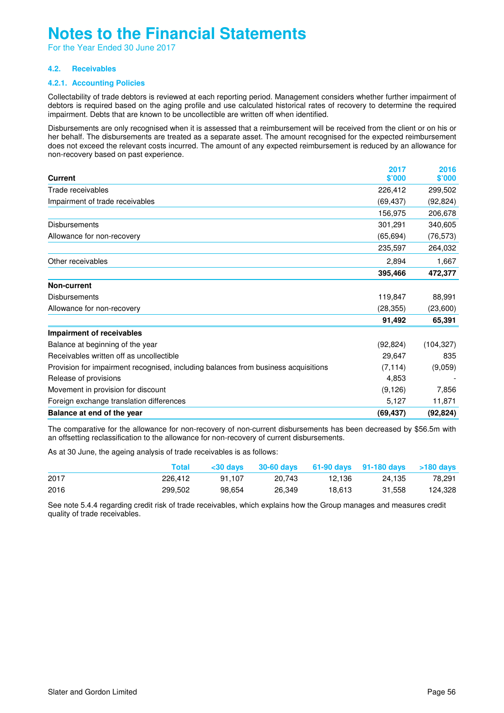For the Year Ended 30 June 2017

#### **4.2. Receivables**

#### **4.2.1. Accounting Policies**

Collectability of trade debtors is reviewed at each reporting period. Management considers whether further impairment of debtors is required based on the aging profile and use calculated historical rates of recovery to determine the required impairment. Debts that are known to be uncollectible are written off when identified.

Disbursements are only recognised when it is assessed that a reimbursement will be received from the client or on his or her behalf. The disbursements are treated as a separate asset. The amount recognised for the expected reimbursement does not exceed the relevant costs incurred. The amount of any expected reimbursement is reduced by an allowance for non-recovery based on past experience.

| Current                                                                            | 2017<br>\$'000 | 2016<br>\$'000 |
|------------------------------------------------------------------------------------|----------------|----------------|
| Trade receivables                                                                  | 226,412        | 299,502        |
| Impairment of trade receivables                                                    | (69, 437)      | (92, 824)      |
|                                                                                    | 156,975        | 206,678        |
| <b>Disbursements</b>                                                               | 301,291        | 340,605        |
| Allowance for non-recovery                                                         | (65, 694)      | (76,573)       |
|                                                                                    | 235,597        | 264,032        |
| Other receivables                                                                  | 2,894          | 1,667          |
|                                                                                    | 395,466        | 472,377        |
| Non-current                                                                        |                |                |
| Disbursements                                                                      | 119,847        | 88,991         |
| Allowance for non-recovery                                                         | (28, 355)      | (23,600)       |
|                                                                                    | 91,492         | 65,391         |
| Impairment of receivables                                                          |                |                |
| Balance at beginning of the year                                                   | (92, 824)      | (104, 327)     |
| Receivables written off as uncollectible                                           | 29,647         | 835            |
| Provision for impairment recognised, including balances from business acquisitions | (7, 114)       | (9,059)        |
| Release of provisions                                                              | 4,853          |                |
| Movement in provision for discount                                                 | (9, 126)       | 7,856          |
| Foreign exchange translation differences                                           | 5,127          | 11,871         |
| Balance at end of the year                                                         | (69, 437)      | (92, 824)      |

The comparative for the allowance for non-recovery of non-current disbursements has been decreased by \$56.5m with an offsetting reclassification to the allowance for non-recovery of current disbursements.

As at 30 June, the ageing analysis of trade receivables is as follows:

|      | Total   | <b>&lt;30 davs</b> |        |        | $30 - 60$ days $61 - 90$ days $91 - 180$ days $> 180$ days |         |
|------|---------|--------------------|--------|--------|------------------------------------------------------------|---------|
| 2017 | 226.412 | 91.107             | 20.743 | 12.136 | 24.135                                                     | 78.291  |
| 2016 | 299.502 | 98.654             | 26.349 | 18.613 | 31.558                                                     | 124.328 |

See note 5.4.4 regarding credit risk of trade receivables, which explains how the Group manages and measures credit quality of trade receivables.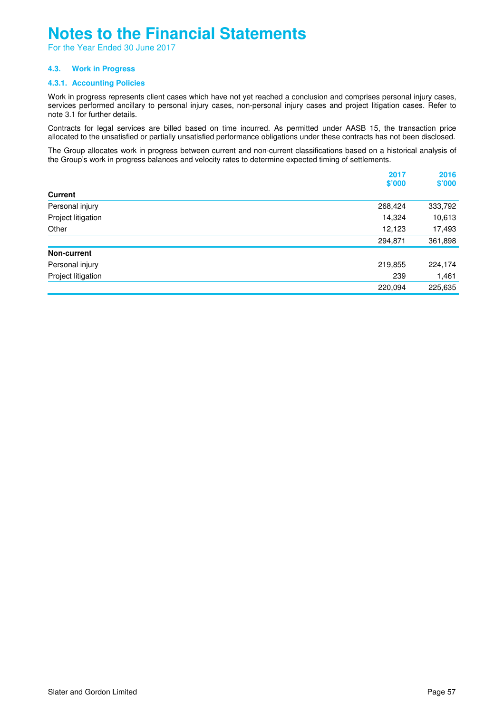For the Year Ended 30 June 2017

#### **4.3. Work in Progress**

#### **4.3.1. Accounting Policies**

Work in progress represents client cases which have not yet reached a conclusion and comprises personal injury cases, services performed ancillary to personal injury cases, non-personal injury cases and project litigation cases. Refer to note 3.1 for further details.

Contracts for legal services are billed based on time incurred. As permitted under AASB 15, the transaction price allocated to the unsatisfied or partially unsatisfied performance obligations under these contracts has not been disclosed.

The Group allocates work in progress between current and non-current classifications based on a historical analysis of the Group's work in progress balances and velocity rates to determine expected timing of settlements.

|                    | 2017    | 2016    |
|--------------------|---------|---------|
|                    | \$'000  | \$'000  |
| <b>Current</b>     |         |         |
| Personal injury    | 268,424 | 333,792 |
| Project litigation | 14,324  | 10,613  |
| Other              | 12,123  | 17,493  |
|                    | 294,871 | 361,898 |
| <b>Non-current</b> |         |         |
| Personal injury    | 219,855 | 224,174 |
| Project litigation | 239     | 1,461   |
|                    | 220,094 | 225,635 |
|                    |         |         |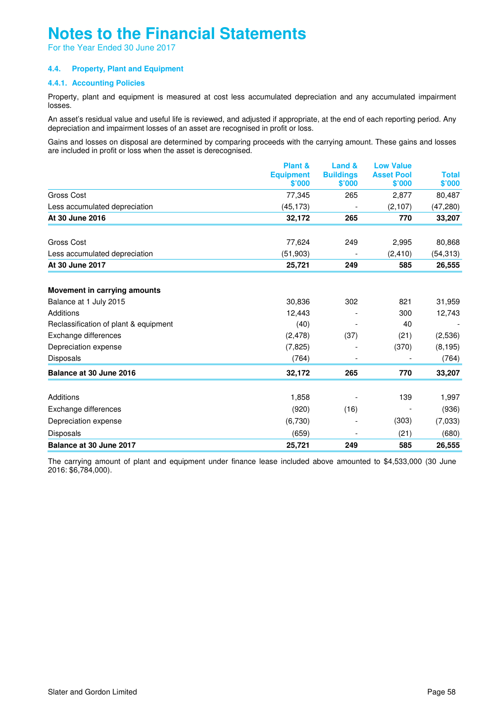For the Year Ended 30 June 2017

#### **4.4. Property, Plant and Equipment**

#### **4.4.1. Accounting Policies**

Property, plant and equipment is measured at cost less accumulated depreciation and any accumulated impairment losses.

An asset's residual value and useful life is reviewed, and adjusted if appropriate, at the end of each reporting period. Any depreciation and impairment losses of an asset are recognised in profit or loss.

Gains and losses on disposal are determined by comparing proceeds with the carrying amount. These gains and losses are included in profit or loss when the asset is derecognised.

|                                       | <b>Plant &amp;</b> | Land &           | <b>Low Value</b>  |              |
|---------------------------------------|--------------------|------------------|-------------------|--------------|
|                                       | <b>Equipment</b>   | <b>Buildings</b> | <b>Asset Pool</b> | <b>Total</b> |
|                                       | \$'000             | \$'000           | \$'000            | \$'000       |
| Gross Cost                            | 77,345             | 265              | 2,877             | 80,487       |
| Less accumulated depreciation         | (45, 173)          |                  | (2, 107)          | (47, 280)    |
| At 30 June 2016                       | 32,172             | 265              | 770               | 33,207       |
| Gross Cost                            | 77,624             | 249              | 2,995             | 80,868       |
| Less accumulated depreciation         | (51, 903)          |                  | (2, 410)          | (54, 313)    |
| At 30 June 2017                       | 25,721             | 249              | 585               | 26,555       |
| Movement in carrying amounts          |                    |                  |                   |              |
| Balance at 1 July 2015                | 30,836             | 302              | 821               | 31,959       |
| Additions                             | 12,443             |                  | 300               | 12,743       |
| Reclassification of plant & equipment | (40)               |                  | 40                |              |
| Exchange differences                  | (2, 478)           | (37)             | (21)              | (2,536)      |
| Depreciation expense                  | (7, 825)           |                  | (370)             | (8, 195)     |
| Disposals                             | (764)              |                  |                   | (764)        |
| Balance at 30 June 2016               | 32,172             | 265              | 770               | 33,207       |
| Additions                             | 1,858              |                  | 139               | 1,997        |
| Exchange differences                  | (920)              | (16)             |                   | (936)        |
| Depreciation expense                  | (6,730)            |                  | (303)             | (7,033)      |
| Disposals                             | (659)              |                  | (21)              | (680)        |
| Balance at 30 June 2017               | 25,721             | 249              | 585               | 26,555       |

The carrying amount of plant and equipment under finance lease included above amounted to \$4,533,000 (30 June 2016: \$6,784,000).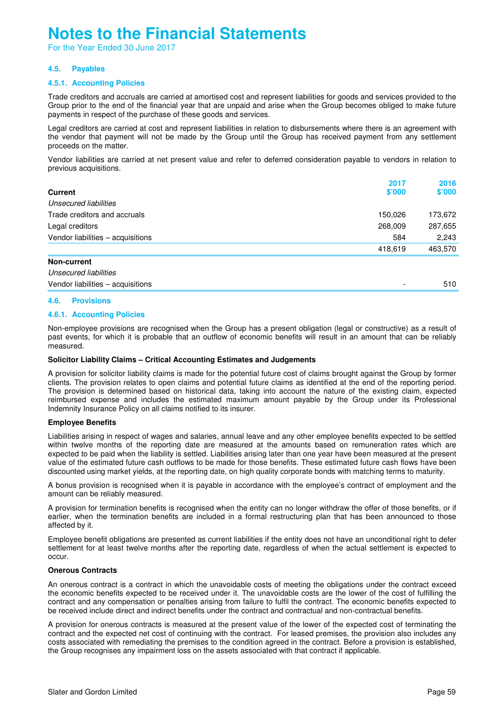For the Year Ended 30 June 2017

#### **4.5. Payables**

#### **4.5.1. Accounting Policies**

Trade creditors and accruals are carried at amortised cost and represent liabilities for goods and services provided to the Group prior to the end of the financial year that are unpaid and arise when the Group becomes obliged to make future payments in respect of the purchase of these goods and services.

Legal creditors are carried at cost and represent liabilities in relation to disbursements where there is an agreement with the vendor that payment will not be made by the Group until the Group has received payment from any settlement proceeds on the matter.

Vendor liabilities are carried at net present value and refer to deferred consideration payable to vendors in relation to previous acquisitions.

|                                   | 2017    | 2016    |
|-----------------------------------|---------|---------|
| <b>Current</b>                    | \$'000  | \$'000  |
| Unsecured liabilities             |         |         |
| Trade creditors and accruals      | 150,026 | 173,672 |
| Legal creditors                   | 268,009 | 287,655 |
| Vendor liabilities - acquisitions | 584     | 2,243   |
|                                   | 418,619 | 463,570 |
| Non-current                       |         |         |
| Unsecured liabilities             |         |         |

### Vendor liabilities – acquisitions - 510

#### **4.6. Provisions**

#### **4.6.1. Accounting Policies**

Non-employee provisions are recognised when the Group has a present obligation (legal or constructive) as a result of past events, for which it is probable that an outflow of economic benefits will result in an amount that can be reliably measured.

#### **Solicitor Liability Claims – Critical Accounting Estimates and Judgements**

A provision for solicitor liability claims is made for the potential future cost of claims brought against the Group by former clients. The provision relates to open claims and potential future claims as identified at the end of the reporting period. The provision is determined based on historical data, taking into account the nature of the existing claim, expected reimbursed expense and includes the estimated maximum amount payable by the Group under its Professional Indemnity Insurance Policy on all claims notified to its insurer.

#### **Employee Benefits**

Liabilities arising in respect of wages and salaries, annual leave and any other employee benefits expected to be settled within twelve months of the reporting date are measured at the amounts based on remuneration rates which are expected to be paid when the liability is settled. Liabilities arising later than one year have been measured at the present value of the estimated future cash outflows to be made for those benefits. These estimated future cash flows have been discounted using market yields, at the reporting date, on high quality corporate bonds with matching terms to maturity.

A bonus provision is recognised when it is payable in accordance with the employee's contract of employment and the amount can be reliably measured.

A provision for termination benefits is recognised when the entity can no longer withdraw the offer of those benefits, or if earlier, when the termination benefits are included in a formal restructuring plan that has been announced to those affected by it.

Employee benefit obligations are presented as current liabilities if the entity does not have an unconditional right to defer settlement for at least twelve months after the reporting date, regardless of when the actual settlement is expected to occur.

#### **Onerous Contracts**

An onerous contract is a contract in which the unavoidable costs of meeting the obligations under the contract exceed the economic benefits expected to be received under it. The unavoidable costs are the lower of the cost of fulfilling the contract and any compensation or penalties arising from failure to fulfil the contract. The economic benefits expected to be received include direct and indirect benefits under the contract and contractual and non-contractual benefits.

A provision for onerous contracts is measured at the present value of the lower of the expected cost of terminating the contract and the expected net cost of continuing with the contract. For leased premises, the provision also includes any costs associated with remediating the premises to the condition agreed in the contract. Before a provision is established, the Group recognises any impairment loss on the assets associated with that contract if applicable.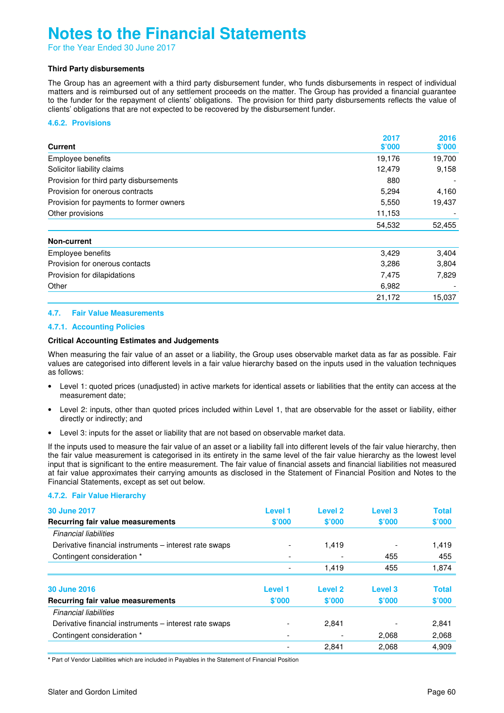For the Year Ended 30 June 2017

#### **Third Party disbursements**

The Group has an agreement with a third party disbursement funder, who funds disbursements in respect of individual matters and is reimbursed out of any settlement proceeds on the matter. The Group has provided a financial guarantee to the funder for the repayment of clients' obligations. The provision for third party disbursements reflects the value of clients' obligations that are not expected to be recovered by the disbursement funder.

#### **4.6.2. Provisions**

|                                         | 2017   | 2016   |
|-----------------------------------------|--------|--------|
| <b>Current</b>                          | \$'000 | \$'000 |
| Employee benefits                       | 19,176 | 19,700 |
| Solicitor liability claims              | 12,479 | 9,158  |
| Provision for third party disbursements | 880    |        |
| Provision for onerous contracts         | 5,294  | 4,160  |
| Provision for payments to former owners | 5,550  | 19,437 |
| Other provisions                        | 11,153 |        |
|                                         | 54,532 | 52,455 |
| Non-current                             |        |        |
| Employee benefits                       | 3,429  | 3,404  |
| Provision for onerous contacts          | 3,286  | 3,804  |
| Provision for dilapidations             | 7,475  | 7,829  |
| Other                                   | 6,982  |        |
|                                         | 21,172 | 15,037 |

#### **4.7. Fair Value Measurements**

#### **4.7.1. Accounting Policies**

#### **Critical Accounting Estimates and Judgements**

When measuring the fair value of an asset or a liability, the Group uses observable market data as far as possible. Fair values are categorised into different levels in a fair value hierarchy based on the inputs used in the valuation techniques as follows:

- Level 1: quoted prices (unadjusted) in active markets for identical assets or liabilities that the entity can access at the measurement date;
- Level 2: inputs, other than quoted prices included within Level 1, that are observable for the asset or liability, either directly or indirectly; and
- Level 3: inputs for the asset or liability that are not based on observable market data.

If the inputs used to measure the fair value of an asset or a liability fall into different levels of the fair value hierarchy, then the fair value measurement is categorised in its entirety in the same level of the fair value hierarchy as the lowest level input that is significant to the entire measurement. The fair value of financial assets and financial liabilities not measured at fair value approximates their carrying amounts as disclosed in the Statement of Financial Position and Notes to the Financial Statements, except as set out below.

#### **4.7.2. Fair Value Hierarchy**

| 30 June 2017                                           | <b>Level 1</b>           | Level 2 | Level 3            | <b>Total</b> |
|--------------------------------------------------------|--------------------------|---------|--------------------|--------------|
| Recurring fair value measurements                      | \$'000                   | \$'000  | \$'000             | \$'000       |
| <b>Financial liabilities</b>                           |                          |         |                    |              |
| Derivative financial instruments – interest rate swaps |                          | 1,419   |                    | 1,419        |
| Contingent consideration *                             | $\overline{\phantom{a}}$ |         | 455                | 455          |
|                                                        |                          | 1,419   | 455                | 1,874        |
|                                                        |                          |         |                    |              |
| 30 June 2016                                           | Level 1                  | Level 2 | Level <sub>3</sub> | <b>Total</b> |
| Recurring fair value measurements                      | \$'000                   | \$'000  | \$'000             | \$'000       |
| <b>Financial liabilities</b>                           |                          |         |                    |              |
| Derivative financial instruments – interest rate swaps |                          | 2,841   |                    | 2,841        |
| Contingent consideration *                             |                          |         | 2,068              | 2,068        |
|                                                        |                          | 2.841   | 2.068              | 4.909        |

**\*** Part of Vendor Liabilities which are included in Payables in the Statement of Financial Position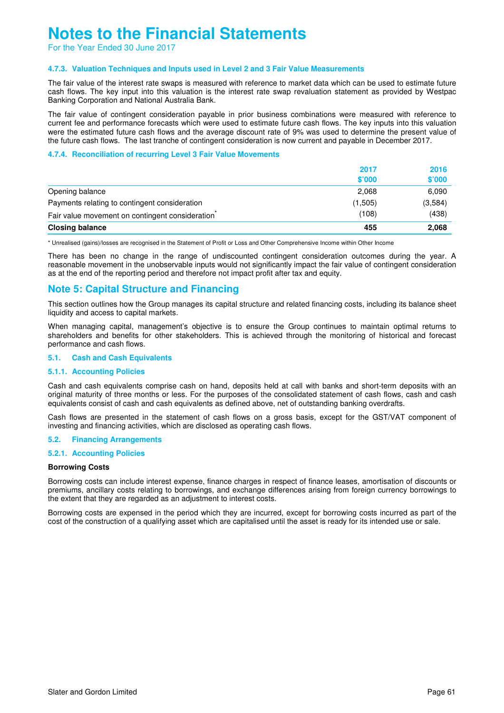For the Year Ended 30 June 2017

#### **4.7.3. Valuation Techniques and Inputs used in Level 2 and 3 Fair Value Measurements**

The fair value of the interest rate swaps is measured with reference to market data which can be used to estimate future cash flows. The key input into this valuation is the interest rate swap revaluation statement as provided by Westpac Banking Corporation and National Australia Bank.

The fair value of contingent consideration payable in prior business combinations were measured with reference to current fee and performance forecasts which were used to estimate future cash flows. The key inputs into this valuation were the estimated future cash flows and the average discount rate of 9% was used to determine the present value of the future cash flows. The last tranche of contingent consideration is now current and payable in December 2017.

#### **4.7.4. Reconciliation of recurring Level 3 Fair Value Movements**

|                                                 | 2017    | 2016    |
|-------------------------------------------------|---------|---------|
|                                                 | \$'000  | \$'000  |
| Opening balance                                 | 2,068   | 6,090   |
| Payments relating to contingent consideration   | (1,505) | (3,584) |
| Fair value movement on contingent consideration | (108)   | (438)   |
| <b>Closing balance</b>                          | 455     | 2,068   |

\* Unrealised (gains)/losses are recognised in the Statement of Profit or Loss and Other Comprehensive Income within Other Income

There has been no change in the range of undiscounted contingent consideration outcomes during the year. A reasonable movement in the unobservable inputs would not significantly impact the fair value of contingent consideration as at the end of the reporting period and therefore not impact profit after tax and equity.

### **Note 5: Capital Structure and Financing**

This section outlines how the Group manages its capital structure and related financing costs, including its balance sheet liquidity and access to capital markets.

When managing capital, management's objective is to ensure the Group continues to maintain optimal returns to shareholders and benefits for other stakeholders. This is achieved through the monitoring of historical and forecast performance and cash flows.

#### **5.1. Cash and Cash Equivalents**

#### **5.1.1. Accounting Policies**

Cash and cash equivalents comprise cash on hand, deposits held at call with banks and short-term deposits with an original maturity of three months or less. For the purposes of the consolidated statement of cash flows, cash and cash equivalents consist of cash and cash equivalents as defined above, net of outstanding banking overdrafts.

Cash flows are presented in the statement of cash flows on a gross basis, except for the GST/VAT component of investing and financing activities, which are disclosed as operating cash flows.

#### **5.2. Financing Arrangements**

#### **5.2.1. Accounting Policies**

#### **Borrowing Costs**

Borrowing costs can include interest expense, finance charges in respect of finance leases, amortisation of discounts or premiums, ancillary costs relating to borrowings, and exchange differences arising from foreign currency borrowings to the extent that they are regarded as an adjustment to interest costs.

Borrowing costs are expensed in the period which they are incurred, except for borrowing costs incurred as part of the cost of the construction of a qualifying asset which are capitalised until the asset is ready for its intended use or sale.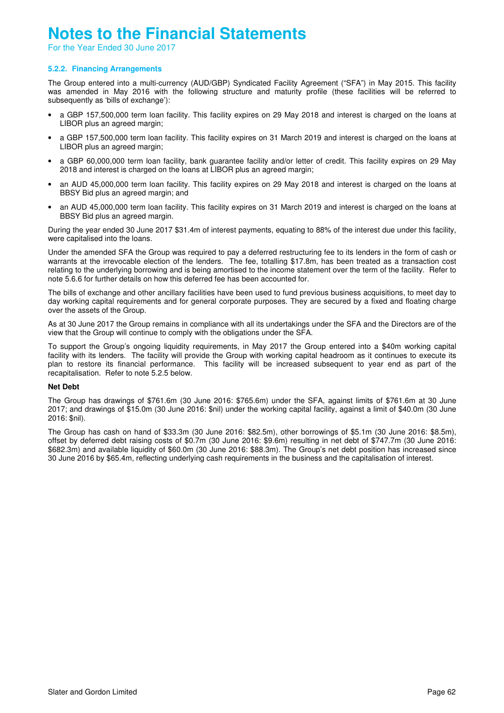For the Year Ended 30 June 2017

#### **5.2.2. Financing Arrangements**

The Group entered into a multi-currency (AUD/GBP) Syndicated Facility Agreement ("SFA") in May 2015. This facility was amended in May 2016 with the following structure and maturity profile (these facilities will be referred to subsequently as 'bills of exchange'):

- a GBP 157,500,000 term loan facility. This facility expires on 29 May 2018 and interest is charged on the loans at LIBOR plus an agreed margin;
- a GBP 157,500,000 term loan facility. This facility expires on 31 March 2019 and interest is charged on the loans at LIBOR plus an agreed margin;
- a GBP 60,000,000 term loan facility, bank guarantee facility and/or letter of credit. This facility expires on 29 May 2018 and interest is charged on the loans at LIBOR plus an agreed margin;
- an AUD 45,000,000 term loan facility. This facility expires on 29 May 2018 and interest is charged on the loans at BBSY Bid plus an agreed margin; and
- an AUD 45,000,000 term loan facility. This facility expires on 31 March 2019 and interest is charged on the loans at BBSY Bid plus an agreed margin.

During the year ended 30 June 2017 \$31.4m of interest payments, equating to 88% of the interest due under this facility, were capitalised into the loans.

Under the amended SFA the Group was required to pay a deferred restructuring fee to its lenders in the form of cash or warrants at the irrevocable election of the lenders. The fee, totalling \$17.8m, has been treated as a transaction cost relating to the underlying borrowing and is being amortised to the income statement over the term of the facility. Refer to note 5.6.6 for further details on how this deferred fee has been accounted for.

The bills of exchange and other ancillary facilities have been used to fund previous business acquisitions, to meet day to day working capital requirements and for general corporate purposes. They are secured by a fixed and floating charge over the assets of the Group.

As at 30 June 2017 the Group remains in compliance with all its undertakings under the SFA and the Directors are of the view that the Group will continue to comply with the obligations under the SFA.

To support the Group's ongoing liquidity requirements, in May 2017 the Group entered into a \$40m working capital facility with its lenders. The facility will provide the Group with working capital headroom as it continues to execute its plan to restore its financial performance. This facility will be increased subsequent to year end as part of the recapitalisation. Refer to note 5.2.5 below.

#### **Net Debt**

The Group has drawings of \$761.6m (30 June 2016: \$765.6m) under the SFA, against limits of \$761.6m at 30 June 2017; and drawings of \$15.0m (30 June 2016: \$nil) under the working capital facility, against a limit of \$40.0m (30 June 2016: \$nil).

The Group has cash on hand of \$33.3m (30 June 2016: \$82.5m), other borrowings of \$5.1m (30 June 2016: \$8.5m), offset by deferred debt raising costs of \$0.7m (30 June 2016: \$9.6m) resulting in net debt of \$747.7m (30 June 2016: \$682.3m) and available liquidity of \$60.0m (30 June 2016: \$88.3m). The Group's net debt position has increased since 30 June 2016 by \$65.4m, reflecting underlying cash requirements in the business and the capitalisation of interest.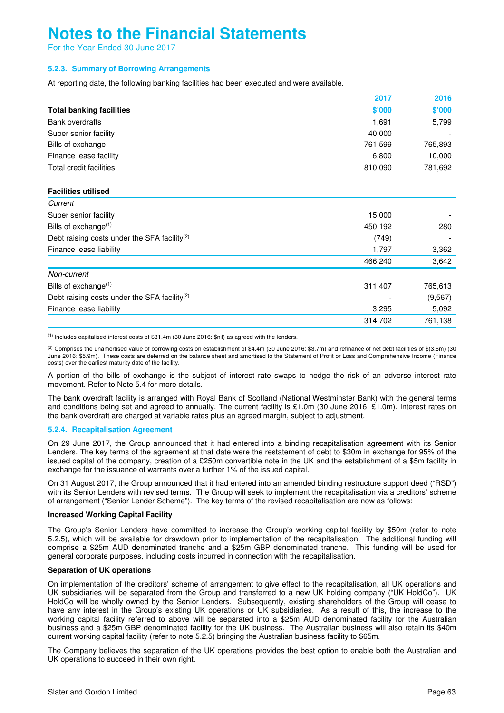For the Year Ended 30 June 2017

#### **5.2.3. Summary of Borrowing Arrangements**

At reporting date, the following banking facilities had been executed and were available.

|                                                            | 2017       | 2016    |
|------------------------------------------------------------|------------|---------|
| <b>Total banking facilities</b>                            | \$'000     | \$'000  |
| <b>Bank overdrafts</b>                                     | 1,691      | 5,799   |
| Super senior facility                                      | 40,000     |         |
| Bills of exchange                                          | 761,599    | 765,893 |
| Finance lease facility                                     | 6,800      | 10,000  |
| Total credit facilities                                    | 810,090    | 781,692 |
| <b>Facilities utilised</b>                                 |            |         |
| Current                                                    |            |         |
| $\sim$ $\sim$ $\sim$ $\sim$<br>$\sim$ $\sim$ $\sim$ $\sim$ | $1 - 0.00$ |         |

| Super senior facility                                    | 15,000  |          |
|----------------------------------------------------------|---------|----------|
| Bills of exchange $(1)$                                  | 450,192 | 280      |
| Debt raising costs under the SFA facility <sup>(2)</sup> | (749)   |          |
| Finance lease liability                                  | 1,797   | 3,362    |
|                                                          | 466,240 | 3,642    |
| Non-current                                              |         |          |
| Bills of exchange $(1)$                                  | 311,407 | 765,613  |
| Debt raising costs under the SFA facility <sup>(2)</sup> |         | (9, 567) |
| Finance lease liability                                  | 3,295   | 5,092    |
|                                                          | 314.702 | 761.138  |

 $<sup>(1)</sup>$  Includes capitalised interest costs of \$31.4m (30 June 2016: \$nil) as agreed with the lenders.</sup>

(2) Comprises the unamortised value of borrowing costs on establishment of \$4.4m (30 June 2016: \$3.7m) and refinance of net debt facilities of \$(3.6m) (30 June 2016: \$5.9m). These costs are deferred on the balance sheet and amortised to the Statement of Profit or Loss and Comprehensive Income (Finance costs) over the earliest maturity date of the facility.

A portion of the bills of exchange is the subject of interest rate swaps to hedge the risk of an adverse interest rate movement. Refer to Note 5.4 for more details.

The bank overdraft facility is arranged with Royal Bank of Scotland (National Westminster Bank) with the general terms and conditions being set and agreed to annually. The current facility is £1.0m (30 June 2016: £1.0m). Interest rates on the bank overdraft are charged at variable rates plus an agreed margin, subject to adjustment.

#### **5.2.4. Recapitalisation Agreement**

On 29 June 2017, the Group announced that it had entered into a binding recapitalisation agreement with its Senior Lenders. The key terms of the agreement at that date were the restatement of debt to \$30m in exchange for 95% of the issued capital of the company, creation of a £250m convertible note in the UK and the establishment of a \$5m facility in exchange for the issuance of warrants over a further 1% of the issued capital.

On 31 August 2017, the Group announced that it had entered into an amended binding restructure support deed ("RSD") with its Senior Lenders with revised terms. The Group will seek to implement the recapitalisation via a creditors' scheme of arrangement ("Senior Lender Scheme"). The key terms of the revised recapitalisation are now as follows:

#### **Increased Working Capital Facility**

The Group's Senior Lenders have committed to increase the Group's working capital facility by \$50m (refer to note 5.2.5), which will be available for drawdown prior to implementation of the recapitalisation. The additional funding will comprise a \$25m AUD denominated tranche and a \$25m GBP denominated tranche. This funding will be used for general corporate purposes, including costs incurred in connection with the recapitalisation.

#### **Separation of UK operations**

On implementation of the creditors' scheme of arrangement to give effect to the recapitalisation, all UK operations and UK subsidiaries will be separated from the Group and transferred to a new UK holding company ("UK HoldCo"). UK HoldCo will be wholly owned by the Senior Lenders. Subsequently, existing shareholders of the Group will cease to have any interest in the Group's existing UK operations or UK subsidiaries. As a result of this, the increase to the working capital facility referred to above will be separated into a \$25m AUD denominated facility for the Australian business and a \$25m GBP denominated facility for the UK business. The Australian business will also retain its \$40m current working capital facility (refer to note 5.2.5) bringing the Australian business facility to \$65m.

The Company believes the separation of the UK operations provides the best option to enable both the Australian and UK operations to succeed in their own right.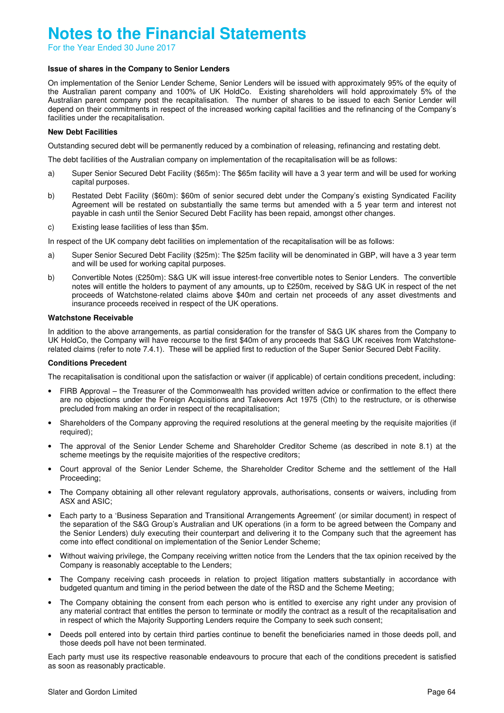For the Year Ended 30 June 20

#### **Issue of shares in the Company to Senior Lenders**

On implementation of the Senior Lender Scheme, Senior Lenders will be issued with approximately 95% of the equity of the Australian parent company and 100% of UK HoldCo. Existing shareholders will hold approximately 5% of the Australian parent company post the recapitalisation. The number of shares to be issued to each Senior Lender will depend on their commitments in respect of the increased working capital facilities and the refinancing of the Company's facilities under the recapitalisation.

#### **New Debt Facilities**

Outstanding secured debt will be permanently reduced by a combination of releasing, refinancing and restating debt.

The debt facilities of the Australian company on implementation of the recapitalisation will be as follows:

- a) Super Senior Secured Debt Facility (\$65m): The \$65m facility will have a 3 year term and will be used for working capital purposes.
- b) Restated Debt Facility (\$60m): \$60m of senior secured debt under the Company's existing Syndicated Facility Agreement will be restated on substantially the same terms but amended with a 5 year term and interest not payable in cash until the Senior Secured Debt Facility has been repaid, amongst other changes.
- c) Existing lease facilities of less than \$5m.

In respect of the UK company debt facilities on implementation of the recapitalisation will be as follows:

- a) Super Senior Secured Debt Facility (\$25m): The \$25m facility will be denominated in GBP, will have a 3 year term and will be used for working capital purposes.
- b) Convertible Notes (£250m): S&G UK will issue interest-free convertible notes to Senior Lenders. The convertible notes will entitle the holders to payment of any amounts, up to £250m, received by S&G UK in respect of the net proceeds of Watchstone-related claims above \$40m and certain net proceeds of any asset divestments and insurance proceeds received in respect of the UK operations.

#### **Watchstone Receivable**

In addition to the above arrangements, as partial consideration for the transfer of S&G UK shares from the Company to UK HoldCo, the Company will have recourse to the first \$40m of any proceeds that S&G UK receives from Watchstonerelated claims (refer to note 7.4.1). These will be applied first to reduction of the Super Senior Secured Debt Facility.

#### **Conditions Precedent**

The recapitalisation is conditional upon the satisfaction or waiver (if applicable) of certain conditions precedent, including:

- FIRB Approval the Treasurer of the Commonwealth has provided written advice or confirmation to the effect there are no objections under the Foreign Acquisitions and Takeovers Act 1975 (Cth) to the restructure, or is otherwise precluded from making an order in respect of the recapitalisation;
- Shareholders of the Company approving the required resolutions at the general meeting by the requisite majorities (if required):
- The approval of the Senior Lender Scheme and Shareholder Creditor Scheme (as described in note 8.1) at the scheme meetings by the requisite majorities of the respective creditors;
- Court approval of the Senior Lender Scheme, the Shareholder Creditor Scheme and the settlement of the Hall Proceeding;
- The Company obtaining all other relevant regulatory approvals, authorisations, consents or waivers, including from ASX and ASIC;
- Each party to a 'Business Separation and Transitional Arrangements Agreement' (or similar document) in respect of the separation of the S&G Group's Australian and UK operations (in a form to be agreed between the Company and the Senior Lenders) duly executing their counterpart and delivering it to the Company such that the agreement has come into effect conditional on implementation of the Senior Lender Scheme;
- Without waiving privilege, the Company receiving written notice from the Lenders that the tax opinion received by the Company is reasonably acceptable to the Lenders;
- The Company receiving cash proceeds in relation to project litigation matters substantially in accordance with budgeted quantum and timing in the period between the date of the RSD and the Scheme Meeting;
- The Company obtaining the consent from each person who is entitled to exercise any right under any provision of any material contract that entitles the person to terminate or modify the contract as a result of the recapitalisation and in respect of which the Majority Supporting Lenders require the Company to seek such consent;
- Deeds poll entered into by certain third parties continue to benefit the beneficiaries named in those deeds poll, and those deeds poll have not been terminated.

Each party must use its respective reasonable endeavours to procure that each of the conditions precedent is satisfied as soon as reasonably practicable.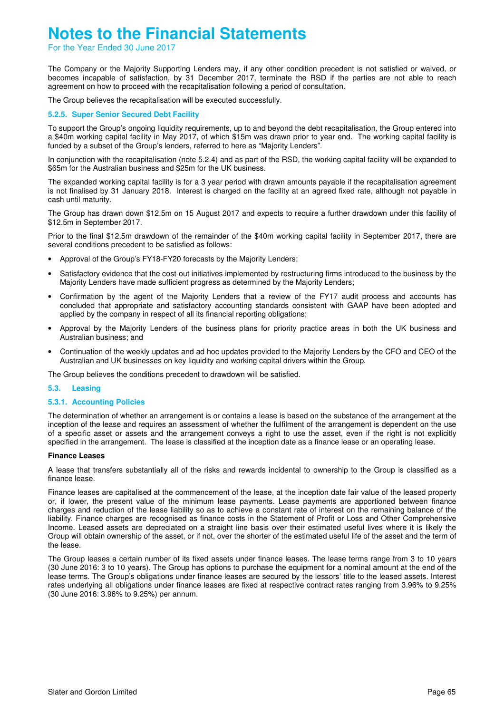For the Year Ended 30 June 2017

The Company or the Majority Supporting Lenders may, if any other condition precedent is not satisfied or waived, or becomes incapable of satisfaction, by 31 December 2017, terminate the RSD if the parties are not able to reach agreement on how to proceed with the recapitalisation following a period of consultation.

The Group believes the recapitalisation will be executed successfully.

#### **5.2.5. Super Senior Secured Debt Facility**

To support the Group's ongoing liquidity requirements, up to and beyond the debt recapitalisation, the Group entered into a \$40m working capital facility in May 2017, of which \$15m was drawn prior to year end. The working capital facility is funded by a subset of the Group's lenders, referred to here as "Majority Lenders".

In conjunction with the recapitalisation (note 5.2.4) and as part of the RSD, the working capital facility will be expanded to \$65m for the Australian business and \$25m for the UK business.

The expanded working capital facility is for a 3 year period with drawn amounts payable if the recapitalisation agreement is not finalised by 31 January 2018. Interest is charged on the facility at an agreed fixed rate, although not payable in cash until maturity.

The Group has drawn down \$12.5m on 15 August 2017 and expects to require a further drawdown under this facility of \$12.5m in September 2017.

Prior to the final \$12.5m drawdown of the remainder of the \$40m working capital facility in September 2017, there are several conditions precedent to be satisfied as follows:

- Approval of the Group's FY18-FY20 forecasts by the Majority Lenders;
- Satisfactory evidence that the cost-out initiatives implemented by restructuring firms introduced to the business by the Majority Lenders have made sufficient progress as determined by the Majority Lenders;
- Confirmation by the agent of the Majority Lenders that a review of the FY17 audit process and accounts has concluded that appropriate and satisfactory accounting standards consistent with GAAP have been adopted and applied by the company in respect of all its financial reporting obligations;
- Approval by the Majority Lenders of the business plans for priority practice areas in both the UK business and Australian business; and
- Continuation of the weekly updates and ad hoc updates provided to the Majority Lenders by the CFO and CEO of the Australian and UK businesses on key liquidity and working capital drivers within the Group.

The Group believes the conditions precedent to drawdown will be satisfied.

#### **5.3. Leasing**

#### **5.3.1. Accounting Policies**

The determination of whether an arrangement is or contains a lease is based on the substance of the arrangement at the inception of the lease and requires an assessment of whether the fulfilment of the arrangement is dependent on the use of a specific asset or assets and the arrangement conveys a right to use the asset, even if the right is not explicitly specified in the arrangement. The lease is classified at the inception date as a finance lease or an operating lease.

#### **Finance Leases**

A lease that transfers substantially all of the risks and rewards incidental to ownership to the Group is classified as a finance lease.

Finance leases are capitalised at the commencement of the lease, at the inception date fair value of the leased property or, if lower, the present value of the minimum lease payments. Lease payments are apportioned between finance charges and reduction of the lease liability so as to achieve a constant rate of interest on the remaining balance of the liability. Finance charges are recognised as finance costs in the Statement of Profit or Loss and Other Comprehensive Income. Leased assets are depreciated on a straight line basis over their estimated useful lives where it is likely the Group will obtain ownership of the asset, or if not, over the shorter of the estimated useful life of the asset and the term of the lease.

The Group leases a certain number of its fixed assets under finance leases. The lease terms range from 3 to 10 years (30 June 2016: 3 to 10 years). The Group has options to purchase the equipment for a nominal amount at the end of the lease terms. The Group's obligations under finance leases are secured by the lessors' title to the leased assets. Interest rates underlying all obligations under finance leases are fixed at respective contract rates ranging from 3.96% to 9.25% (30 June 2016: 3.96% to 9.25%) per annum.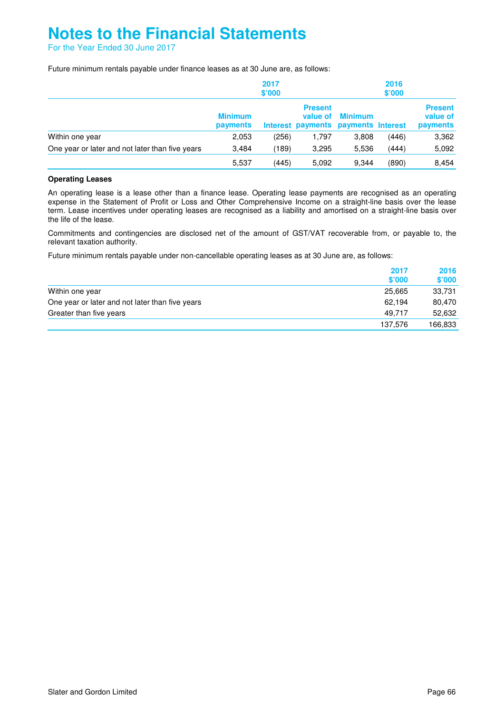For the Year Ended 30 June 2017

Future minimum rentals payable under finance leases as at 30 June are, as follows:

|                                                 | 2017<br>\$'000                    |       | 2016<br>\$'000                                                    |                |       |                                        |
|-------------------------------------------------|-----------------------------------|-------|-------------------------------------------------------------------|----------------|-------|----------------------------------------|
|                                                 | <b>Minimum</b><br><b>payments</b> |       | <b>Present</b><br>value of<br>Interest payments payments Interest | <b>Minimum</b> |       | <b>Present</b><br>value of<br>payments |
| Within one year                                 | 2,053                             | (256) | 1,797                                                             | 3,808          | (446) | 3,362                                  |
| One year or later and not later than five years | 3.484                             | (189) | 3,295                                                             | 5,536          | (444) | 5,092                                  |
|                                                 | 5,537                             | (445) | 5,092                                                             | 9.344          | (890) | 8.454                                  |

#### **Operating Leases**

An operating lease is a lease other than a finance lease. Operating lease payments are recognised as an operating expense in the Statement of Profit or Loss and Other Comprehensive Income on a straight-line basis over the lease term. Lease incentives under operating leases are recognised as a liability and amortised on a straight-line basis over the life of the lease.

Commitments and contingencies are disclosed net of the amount of GST/VAT recoverable from, or payable to, the relevant taxation authority.

Future minimum rentals payable under non-cancellable operating leases as at 30 June are, as follows:

|                                                 | 2017    | 2016    |
|-------------------------------------------------|---------|---------|
|                                                 | \$'000  | \$'000  |
| Within one year                                 | 25.665  | 33,731  |
| One year or later and not later than five years | 62.194  | 80.470  |
| Greater than five years                         | 49.717  | 52.632  |
|                                                 | 137.576 | 166,833 |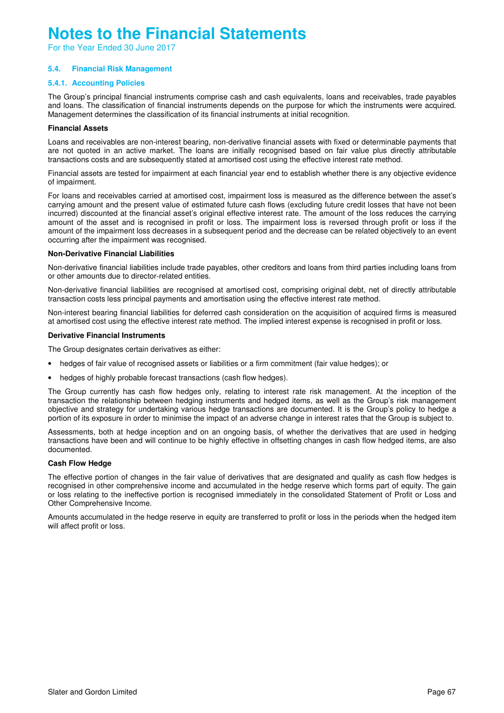For the Year Ended 30 June 2017

#### **5.4. Financial Risk Management**

#### **5.4.1. Accounting Policies**

The Group's principal financial instruments comprise cash and cash equivalents, loans and receivables, trade payables and loans. The classification of financial instruments depends on the purpose for which the instruments were acquired. Management determines the classification of its financial instruments at initial recognition.

#### **Financial Assets**

Loans and receivables are non-interest bearing, non-derivative financial assets with fixed or determinable payments that are not quoted in an active market. The loans are initially recognised based on fair value plus directly attributable transactions costs and are subsequently stated at amortised cost using the effective interest rate method.

Financial assets are tested for impairment at each financial year end to establish whether there is any objective evidence of impairment.

For loans and receivables carried at amortised cost, impairment loss is measured as the difference between the asset's carrying amount and the present value of estimated future cash flows (excluding future credit losses that have not been incurred) discounted at the financial asset's original effective interest rate. The amount of the loss reduces the carrying amount of the asset and is recognised in profit or loss. The impairment loss is reversed through profit or loss if the amount of the impairment loss decreases in a subsequent period and the decrease can be related objectively to an event occurring after the impairment was recognised.

#### **Non-Derivative Financial Liabilities**

Non-derivative financial liabilities include trade payables, other creditors and loans from third parties including loans from or other amounts due to director-related entities.

Non-derivative financial liabilities are recognised at amortised cost, comprising original debt, net of directly attributable transaction costs less principal payments and amortisation using the effective interest rate method.

Non-interest bearing financial liabilities for deferred cash consideration on the acquisition of acquired firms is measured at amortised cost using the effective interest rate method. The implied interest expense is recognised in profit or loss.

#### **Derivative Financial Instruments**

The Group designates certain derivatives as either:

- hedges of fair value of recognised assets or liabilities or a firm commitment (fair value hedges); or
- hedges of highly probable forecast transactions (cash flow hedges).

The Group currently has cash flow hedges only, relating to interest rate risk management. At the inception of the transaction the relationship between hedging instruments and hedged items, as well as the Group's risk management objective and strategy for undertaking various hedge transactions are documented. It is the Group's policy to hedge a portion of its exposure in order to minimise the impact of an adverse change in interest rates that the Group is subject to.

Assessments, both at hedge inception and on an ongoing basis, of whether the derivatives that are used in hedging transactions have been and will continue to be highly effective in offsetting changes in cash flow hedged items, are also documented.

#### **Cash Flow Hedge**

The effective portion of changes in the fair value of derivatives that are designated and qualify as cash flow hedges is recognised in other comprehensive income and accumulated in the hedge reserve which forms part of equity. The gain or loss relating to the ineffective portion is recognised immediately in the consolidated Statement of Profit or Loss and Other Comprehensive Income.

Amounts accumulated in the hedge reserve in equity are transferred to profit or loss in the periods when the hedged item will affect profit or loss.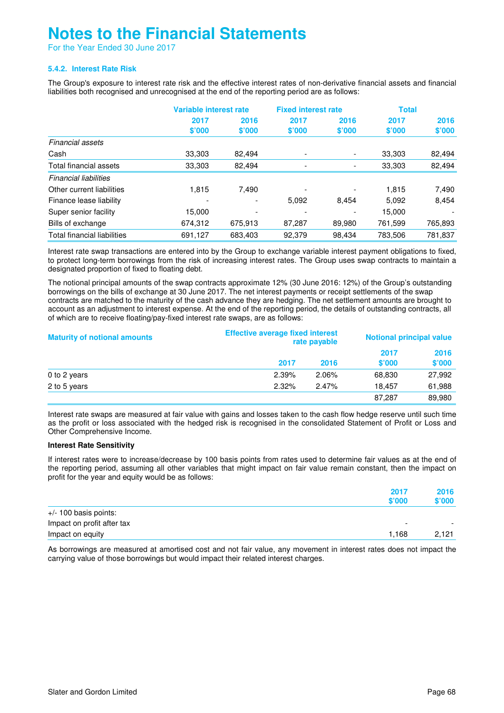For the Year Ended 30 June 2017

#### **5.4.2. Interest Rate Risk**

The Group's exposure to interest rate risk and the effective interest rates of non-derivative financial assets and financial liabilities both recognised and unrecognised at the end of the reporting period are as follows:

|                              | <b>Variable interest rate</b> |                          | <b>Fixed interest rate</b> |                | <b>Total</b>   |                |
|------------------------------|-------------------------------|--------------------------|----------------------------|----------------|----------------|----------------|
|                              | 2017<br>\$'000                | 2016<br>\$'000           | 2017<br>\$'000             | 2016<br>\$'000 | 2017<br>\$'000 | 2016<br>\$'000 |
|                              |                               |                          |                            |                |                |                |
| <b>Financial assets</b>      |                               |                          |                            |                |                |                |
| Cash                         | 33,303                        | 82,494                   |                            | -              | 33,303         | 82,494         |
| Total financial assets       | 33,303                        | 82,494                   | -                          |                | 33.303         | 82,494         |
| <b>Financial liabilities</b> |                               |                          |                            |                |                |                |
| Other current liabilities    | 1,815                         | 7,490                    |                            |                | 1.815          | 7,490          |
| Finance lease liability      |                               | $\overline{\phantom{0}}$ | 5,092                      | 8.454          | 5,092          | 8,454          |
| Super senior facility        | 15,000                        | $\overline{\phantom{0}}$ |                            |                | 15,000         |                |
| Bills of exchange            | 674,312                       | 675.913                  | 87,287                     | 89,980         | 761,599        | 765,893        |
| Total financial liabilities  | 691,127                       | 683,403                  | 92,379                     | 98.434         | 783,506        | 781,837        |

Interest rate swap transactions are entered into by the Group to exchange variable interest payment obligations to fixed, to protect long-term borrowings from the risk of increasing interest rates. The Group uses swap contracts to maintain a designated proportion of fixed to floating debt.

The notional principal amounts of the swap contracts approximate 12% (30 June 2016: 12%) of the Group's outstanding borrowings on the bills of exchange at 30 June 2017. The net interest payments or receipt settlements of the swap contracts are matched to the maturity of the cash advance they are hedging. The net settlement amounts are brought to account as an adjustment to interest expense. At the end of the reporting period, the details of outstanding contracts, all of which are to receive floating/pay-fixed interest rate swaps, are as follows:

| <b>Maturity of notional amounts</b> | <b>Effective average fixed interest</b><br>rate payable | <b>Notional principal value</b> |        |        |
|-------------------------------------|---------------------------------------------------------|---------------------------------|--------|--------|
|                                     |                                                         |                                 | 2017   | 2016   |
|                                     | 2017                                                    | 2016                            | \$'000 | \$'000 |
| 0 to 2 years                        | 2.39%                                                   | 2.06%                           | 68.830 | 27,992 |
| 2 to 5 years                        | 2.32%                                                   | 2.47%                           | 18.457 | 61,988 |
|                                     |                                                         |                                 | 87,287 | 89,980 |

Interest rate swaps are measured at fair value with gains and losses taken to the cash flow hedge reserve until such time as the profit or loss associated with the hedged risk is recognised in the consolidated Statement of Profit or Loss and Other Comprehensive Income.

#### **Interest Rate Sensitivity**

If interest rates were to increase/decrease by 100 basis points from rates used to determine fair values as at the end of the reporting period, assuming all other variables that might impact on fair value remain constant, then the impact on profit for the year and equity would be as follows:

|                            | 2017                     | 2016   |
|----------------------------|--------------------------|--------|
|                            | \$'000                   | \$'000 |
| $+/- 100$ basis points:    |                          |        |
| Impact on profit after tax | $\overline{\phantom{a}}$ |        |
| Impact on equity           | 1.168                    | 2,121  |
|                            |                          |        |

As borrowings are measured at amortised cost and not fair value, any movement in interest rates does not impact the carrying value of those borrowings but would impact their related interest charges.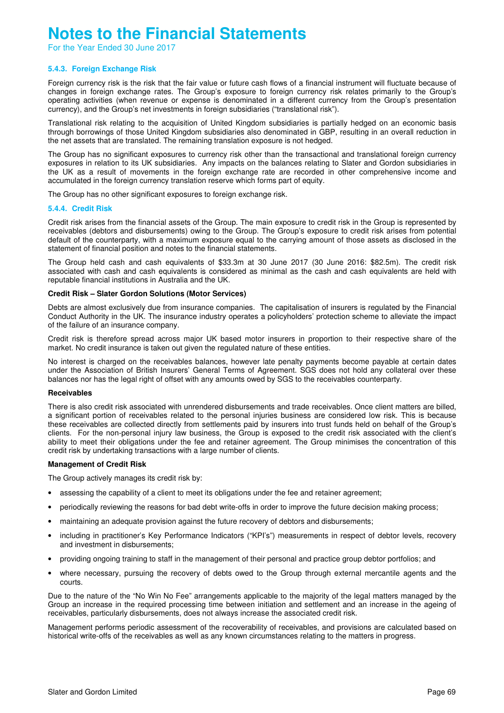For the Year Ended 30 June 2017

#### **5.4.3. Foreign Exchange Risk**

Foreign currency risk is the risk that the fair value or future cash flows of a financial instrument will fluctuate because of changes in foreign exchange rates. The Group's exposure to foreign currency risk relates primarily to the Group's operating activities (when revenue or expense is denominated in a different currency from the Group's presentation currency), and the Group's net investments in foreign subsidiaries ("translational risk").

Translational risk relating to the acquisition of United Kingdom subsidiaries is partially hedged on an economic basis through borrowings of those United Kingdom subsidiaries also denominated in GBP, resulting in an overall reduction in the net assets that are translated. The remaining translation exposure is not hedged.

The Group has no significant exposures to currency risk other than the transactional and translational foreign currency exposures in relation to its UK subsidiaries. Any impacts on the balances relating to Slater and Gordon subsidiaries in the UK as a result of movements in the foreign exchange rate are recorded in other comprehensive income and accumulated in the foreign currency translation reserve which forms part of equity.

The Group has no other significant exposures to foreign exchange risk.

#### **5.4.4. Credit Risk**

Credit risk arises from the financial assets of the Group. The main exposure to credit risk in the Group is represented by receivables (debtors and disbursements) owing to the Group. The Group's exposure to credit risk arises from potential default of the counterparty, with a maximum exposure equal to the carrying amount of those assets as disclosed in the statement of financial position and notes to the financial statements.

The Group held cash and cash equivalents of \$33.3m at 30 June 2017 (30 June 2016: \$82.5m). The credit risk associated with cash and cash equivalents is considered as minimal as the cash and cash equivalents are held with reputable financial institutions in Australia and the UK.

#### **Credit Risk – Slater Gordon Solutions (Motor Services)**

Debts are almost exclusively due from insurance companies. The capitalisation of insurers is regulated by the Financial Conduct Authority in the UK. The insurance industry operates a policyholders' protection scheme to alleviate the impact of the failure of an insurance company.

Credit risk is therefore spread across major UK based motor insurers in proportion to their respective share of the market. No credit insurance is taken out given the regulated nature of these entities.

No interest is charged on the receivables balances, however late penalty payments become payable at certain dates under the Association of British Insurers' General Terms of Agreement. SGS does not hold any collateral over these balances nor has the legal right of offset with any amounts owed by SGS to the receivables counterparty.

#### **Receivables**

There is also credit risk associated with unrendered disbursements and trade receivables. Once client matters are billed, a significant portion of receivables related to the personal injuries business are considered low risk. This is because these receivables are collected directly from settlements paid by insurers into trust funds held on behalf of the Group's clients. For the non-personal injury law business, the Group is exposed to the credit risk associated with the client's ability to meet their obligations under the fee and retainer agreement. The Group minimises the concentration of this credit risk by undertaking transactions with a large number of clients.

#### **Management of Credit Risk**

The Group actively manages its credit risk by:

- assessing the capability of a client to meet its obligations under the fee and retainer agreement;
- periodically reviewing the reasons for bad debt write-offs in order to improve the future decision making process;
- maintaining an adequate provision against the future recovery of debtors and disbursements;
- including in practitioner's Key Performance Indicators ("KPI's") measurements in respect of debtor levels, recovery and investment in disbursements;
- providing ongoing training to staff in the management of their personal and practice group debtor portfolios; and
- where necessary, pursuing the recovery of debts owed to the Group through external mercantile agents and the courts.

Due to the nature of the "No Win No Fee" arrangements applicable to the majority of the legal matters managed by the Group an increase in the required processing time between initiation and settlement and an increase in the ageing of receivables, particularly disbursements, does not always increase the associated credit risk.

Management performs periodic assessment of the recoverability of receivables, and provisions are calculated based on historical write-offs of the receivables as well as any known circumstances relating to the matters in progress.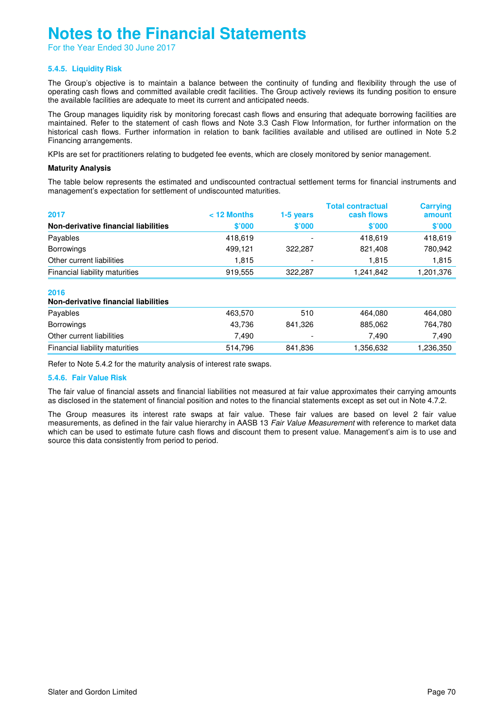For the Year Ended 30 June 2017

### **5.4.5. Liquidity Risk**

The Group's objective is to maintain a balance between the continuity of funding and flexibility through the use of operating cash flows and committed available credit facilities. The Group actively reviews its funding position to ensure the available facilities are adequate to meet its current and anticipated needs.

The Group manages liquidity risk by monitoring forecast cash flows and ensuring that adequate borrowing facilities are maintained. Refer to the statement of cash flows and Note 3.3 Cash Flow Information, for further information on the historical cash flows. Further information in relation to bank facilities available and utilised are outlined in Note 5.2 Financing arrangements.

KPIs are set for practitioners relating to budgeted fee events, which are closely monitored by senior management.

#### **Maturity Analysis**

The table below represents the estimated and undiscounted contractual settlement terms for financial instruments and management's expectation for settlement of undiscounted maturities.

| 2017                                         | $<$ 12 Months   | 1-5 years | Total contractual<br>cash flows | <b>Carrying</b><br>amount |
|----------------------------------------------|-----------------|-----------|---------------------------------|---------------------------|
| Non-derivative financial liabilities         | $$^{\prime}000$ | \$'000    | \$'000                          | \$'000                    |
| Payables                                     | 418,619         |           | 418,619                         | 418,619                   |
| <b>Borrowings</b>                            | 499,121         | 322,287   | 821,408                         | 780,942                   |
| Other current liabilities                    | 1,815           |           | 1,815                           | 1,815                     |
| Financial liability maturities               | 919,555         | 322,287   | 1,241,842                       | 1,201,376                 |
| 2016<br>Non-derivative financial liabilities |                 |           |                                 |                           |
| Payables                                     | 463,570         | 510       | 464,080                         | 464,080                   |
| <b>Borrowings</b>                            | 43,736          | 841,326   | 885,062                         | 764,780                   |

Refer to Note 5.4.2 for the maturity analysis of interest rate swaps.

#### **5.4.6. Fair Value Risk**

The fair value of financial assets and financial liabilities not measured at fair value approximates their carrying amounts as disclosed in the statement of financial position and notes to the financial statements except as set out in Note 4.7.2.

Other current liabilities  $7,490$   $7,490$   $7,490$   $7,490$   $7,490$ Financial liability maturities 514,796 841,836 1,356,632 1,236,350

The Group measures its interest rate swaps at fair value. These fair values are based on level 2 fair value measurements, as defined in the fair value hierarchy in AASB 13 Fair Value Measurement with reference to market data which can be used to estimate future cash flows and discount them to present value. Management's aim is to use and source this data consistently from period to period.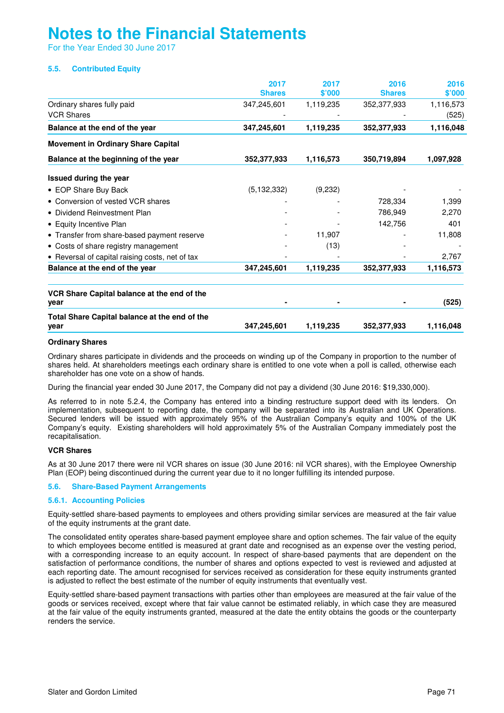For the Year Ended 30 June 2017

### **5.5. Contributed Equity**

|                                                       | 2017<br><b>Shares</b> | 2017<br>\$'000 | 2016<br><b>Shares</b> | 2016<br>\$'000     |
|-------------------------------------------------------|-----------------------|----------------|-----------------------|--------------------|
| Ordinary shares fully paid<br><b>VCR Shares</b>       | 347,245,601           | 1,119,235      | 352,377,933           | 1,116,573<br>(525) |
| Balance at the end of the year                        | 347,245,601           | 1,119,235      | 352,377,933           | 1,116,048          |
| <b>Movement in Ordinary Share Capital</b>             |                       |                |                       |                    |
| Balance at the beginning of the year                  | 352,377,933           | 1,116,573      | 350,719,894           | 1,097,928          |
| Issued during the year                                |                       |                |                       |                    |
| • EOP Share Buy Back                                  | (5, 132, 332)         | (9,232)        |                       |                    |
| • Conversion of vested VCR shares                     |                       |                | 728,334               | 1,399              |
| • Dividend Reinvestment Plan                          |                       |                | 786,949               | 2,270              |
| • Equity Incentive Plan                               |                       |                | 142,756               | 401                |
| • Transfer from share-based payment reserve           |                       | 11,907         |                       | 11,808             |
| • Costs of share registry management                  |                       | (13)           |                       |                    |
| • Reversal of capital raising costs, net of tax       |                       |                |                       | 2,767              |
| Balance at the end of the year                        | 347,245,601           | 1,119,235      | 352,377,933           | 1,116,573          |
| VCR Share Capital balance at the end of the<br>year   |                       |                |                       | (525)              |
| Total Share Capital balance at the end of the<br>year | 347,245,601           | 1,119,235      | 352,377,933           | 1,116,048          |

#### **Ordinary Shares**

Ordinary shares participate in dividends and the proceeds on winding up of the Company in proportion to the number of shares held. At shareholders meetings each ordinary share is entitled to one vote when a poll is called, otherwise each shareholder has one vote on a show of hands.

During the financial year ended 30 June 2017, the Company did not pay a dividend (30 June 2016: \$19,330,000).

As referred to in note 5.2.4, the Company has entered into a binding restructure support deed with its lenders. On implementation, subsequent to reporting date, the company will be separated into its Australian and UK Operations. Secured lenders will be issued with approximately 95% of the Australian Company's equity and 100% of the UK Company's equity. Existing shareholders will hold approximately 5% of the Australian Company immediately post the recapitalisation.

#### **VCR Shares**

As at 30 June 2017 there were nil VCR shares on issue (30 June 2016: nil VCR shares), with the Employee Ownership Plan (EOP) being discontinued during the current year due to it no longer fulfilling its intended purpose.

#### **5.6. Share-Based Payment Arrangements**

#### **5.6.1. Accounting Policies**

Equity-settled share-based payments to employees and others providing similar services are measured at the fair value of the equity instruments at the grant date.

The consolidated entity operates share-based payment employee share and option schemes. The fair value of the equity to which employees become entitled is measured at grant date and recognised as an expense over the vesting period, with a corresponding increase to an equity account. In respect of share-based payments that are dependent on the satisfaction of performance conditions, the number of shares and options expected to vest is reviewed and adjusted at each reporting date. The amount recognised for services received as consideration for these equity instruments granted is adjusted to reflect the best estimate of the number of equity instruments that eventually vest.

Equity-settled share-based payment transactions with parties other than employees are measured at the fair value of the goods or services received, except where that fair value cannot be estimated reliably, in which case they are measured at the fair value of the equity instruments granted, measured at the date the entity obtains the goods or the counterparty renders the service.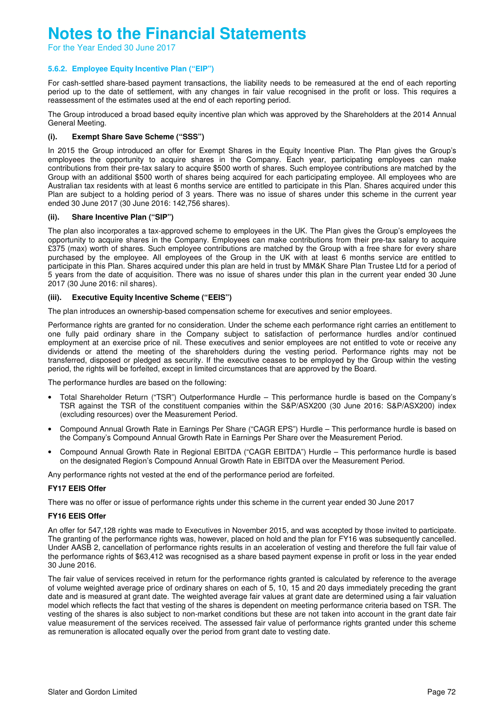For the Year Ended 30 June 2017

### **5.6.2. Employee Equity Incentive Plan ("EIP")**

For cash-settled share-based payment transactions, the liability needs to be remeasured at the end of each reporting period up to the date of settlement, with any changes in fair value recognised in the profit or loss. This requires a reassessment of the estimates used at the end of each reporting period.

The Group introduced a broad based equity incentive plan which was approved by the Shareholders at the 2014 Annual General Meeting.

#### **(i). Exempt Share Save Scheme ("SSS")**

In 2015 the Group introduced an offer for Exempt Shares in the Equity Incentive Plan. The Plan gives the Group's employees the opportunity to acquire shares in the Company. Each year, participating employees can make contributions from their pre-tax salary to acquire \$500 worth of shares. Such employee contributions are matched by the Group with an additional \$500 worth of shares being acquired for each participating employee. All employees who are Australian tax residents with at least 6 months service are entitled to participate in this Plan. Shares acquired under this Plan are subject to a holding period of 3 years. There was no issue of shares under this scheme in the current year ended 30 June 2017 (30 June 2016: 142,756 shares).

#### **(ii). Share Incentive Plan ("SIP")**

The plan also incorporates a tax-approved scheme to employees in the UK. The Plan gives the Group's employees the opportunity to acquire shares in the Company. Employees can make contributions from their pre-tax salary to acquire £375 (max) worth of shares. Such employee contributions are matched by the Group with a free share for every share purchased by the employee. All employees of the Group in the UK with at least 6 months service are entitled to participate in this Plan. Shares acquired under this plan are held in trust by MM&K Share Plan Trustee Ltd for a period of 5 years from the date of acquisition. There was no issue of shares under this plan in the current year ended 30 June 2017 (30 June 2016: nil shares).

#### **(iii). Executive Equity Incentive Scheme ("EEIS")**

The plan introduces an ownership-based compensation scheme for executives and senior employees.

Performance rights are granted for no consideration. Under the scheme each performance right carries an entitlement to one fully paid ordinary share in the Company subject to satisfaction of performance hurdles and/or continued employment at an exercise price of nil. These executives and senior employees are not entitled to vote or receive any dividends or attend the meeting of the shareholders during the vesting period. Performance rights may not be transferred, disposed or pledged as security. If the executive ceases to be employed by the Group within the vesting period, the rights will be forfeited, except in limited circumstances that are approved by the Board.

The performance hurdles are based on the following:

- Total Shareholder Return ("TSR") Outperformance Hurdle This performance hurdle is based on the Company's TSR against the TSR of the constituent companies within the S&P/ASX200 (30 June 2016: S&P/ASX200) index (excluding resources) over the Measurement Period.
- Compound Annual Growth Rate in Earnings Per Share ("CAGR EPS") Hurdle This performance hurdle is based on the Company's Compound Annual Growth Rate in Earnings Per Share over the Measurement Period.
- Compound Annual Growth Rate in Regional EBITDA ("CAGR EBITDA") Hurdle This performance hurdle is based on the designated Region's Compound Annual Growth Rate in EBITDA over the Measurement Period.

Any performance rights not vested at the end of the performance period are forfeited.

#### **FY17 EEIS Offer**

There was no offer or issue of performance rights under this scheme in the current year ended 30 June 2017

#### **FY16 EEIS Offer**

An offer for 547,128 rights was made to Executives in November 2015, and was accepted by those invited to participate. The granting of the performance rights was, however, placed on hold and the plan for FY16 was subsequently cancelled. Under AASB 2, cancellation of performance rights results in an acceleration of vesting and therefore the full fair value of the performance rights of \$63,412 was recognised as a share based payment expense in profit or loss in the year ended 30 June 2016.

The fair value of services received in return for the performance rights granted is calculated by reference to the average of volume weighted average price of ordinary shares on each of 5, 10, 15 and 20 days immediately preceding the grant date and is measured at grant date. The weighted average fair values at grant date are determined using a fair valuation model which reflects the fact that vesting of the shares is dependent on meeting performance criteria based on TSR. The vesting of the shares is also subject to non-market conditions but these are not taken into account in the grant date fair value measurement of the services received. The assessed fair value of performance rights granted under this scheme as remuneration is allocated equally over the period from grant date to vesting date.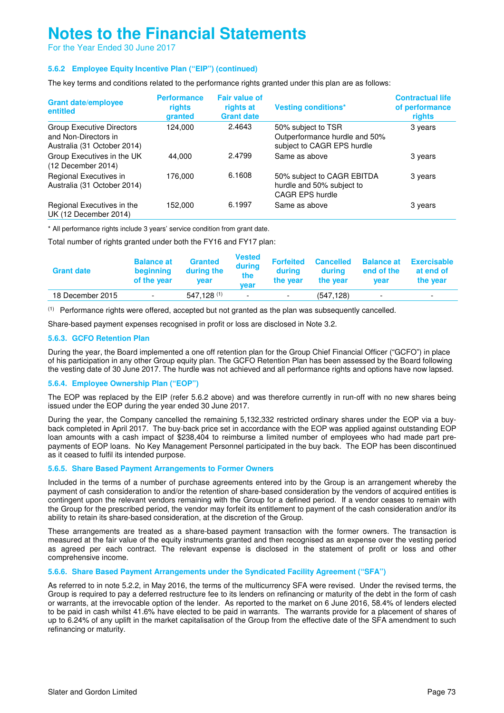For the Year Ended 30 June 2017

### **5.6.2 Employee Equity Incentive Plan ("EIP") (continued)**

The key terms and conditions related to the performance rights granted under this plan are as follows:

| <b>Grant date/employee</b><br>entitled                                                  | <b>Performance</b><br>rights<br>granted | <b>Fair value of</b><br>rights at<br><b>Grant date</b> | <b>Vesting conditions*</b>                                                        | <b>Contractual life</b><br>of performance<br>rights |
|-----------------------------------------------------------------------------------------|-----------------------------------------|--------------------------------------------------------|-----------------------------------------------------------------------------------|-----------------------------------------------------|
| <b>Group Executive Directors</b><br>and Non-Directors in<br>Australia (31 October 2014) | 124.000                                 | 2.4643                                                 | 50% subject to TSR<br>Outperformance hurdle and 50%<br>subject to CAGR EPS hurdle | 3 years                                             |
| Group Executives in the UK<br>(12 December 2014)                                        | 44.000                                  | 2.4799                                                 | Same as above                                                                     | 3 years                                             |
| Regional Executives in<br>Australia (31 October 2014)                                   | 176,000                                 | 6.1608                                                 | 50% subject to CAGR EBITDA<br>hurdle and 50% subject to<br><b>CAGR EPS hurdle</b> | 3 years                                             |
| Regional Executives in the<br>UK (12 December 2014)                                     | 152,000                                 | 6.1997                                                 | Same as above                                                                     | 3 years                                             |

\* All performance rights include 3 years' service condition from grant date.

Total number of rights granted under both the FY16 and FY17 plan:

| <b>Grant date</b> | <b>Balance at</b><br>beginning<br>of the year | <b>Granted</b><br>during the<br>vear | <b>Vested</b><br>during<br>the<br>vear | <b>Forfeited</b><br>durina<br>the year | <b>Cancelled</b><br>durina<br>the year | <b>Balance at</b><br>end of the<br><b>vear</b> | <b>Exercisable</b><br>at end of<br>the year |
|-------------------|-----------------------------------------------|--------------------------------------|----------------------------------------|----------------------------------------|----------------------------------------|------------------------------------------------|---------------------------------------------|
| 18 December 2015  | ٠                                             | $547.128^{(1)}$                      | $\overline{\phantom{a}}$               | $\overline{\phantom{a}}$               | (547.128)                              | $\overline{\phantom{a}}$                       |                                             |
|                   |                                               |                                      |                                        |                                        |                                        |                                                |                                             |

(1) Performance rights were offered, accepted but not granted as the plan was subsequently cancelled.

Share-based payment expenses recognised in profit or loss are disclosed in Note 3.2.

#### **5.6.3. GCFO Retention Plan**

During the year, the Board implemented a one off retention plan for the Group Chief Financial Officer ("GCFO") in place of his participation in any other Group equity plan. The GCFO Retention Plan has been assessed by the Board following the vesting date of 30 June 2017. The hurdle was not achieved and all performance rights and options have now lapsed.

#### **5.6.4. Employee Ownership Plan ("EOP")**

The EOP was replaced by the EIP (refer 5.6.2 above) and was therefore currently in run-off with no new shares being issued under the EOP during the year ended 30 June 2017.

During the year, the Company cancelled the remaining 5,132,332 restricted ordinary shares under the EOP via a buyback completed in April 2017. The buy-back price set in accordance with the EOP was applied against outstanding EOP loan amounts with a cash impact of \$238,404 to reimburse a limited number of employees who had made part prepayments of EOP loans. No Key Management Personnel participated in the buy back. The EOP has been discontinued as it ceased to fulfil its intended purpose.

#### **5.6.5. Share Based Payment Arrangements to Former Owners**

Included in the terms of a number of purchase agreements entered into by the Group is an arrangement whereby the payment of cash consideration to and/or the retention of share-based consideration by the vendors of acquired entities is contingent upon the relevant vendors remaining with the Group for a defined period. If a vendor ceases to remain with the Group for the prescribed period, the vendor may forfeit its entitlement to payment of the cash consideration and/or its ability to retain its share-based consideration, at the discretion of the Group.

These arrangements are treated as a share-based payment transaction with the former owners. The transaction is measured at the fair value of the equity instruments granted and then recognised as an expense over the vesting period as agreed per each contract. The relevant expense is disclosed in the statement of profit or loss and other comprehensive income.

#### **5.6.6. Share Based Payment Arrangements under the Syndicated Facility Agreement ("SFA")**

As referred to in note 5.2.2, in May 2016, the terms of the multicurrency SFA were revised. Under the revised terms, the Group is required to pay a deferred restructure fee to its lenders on refinancing or maturity of the debt in the form of cash or warrants, at the irrevocable option of the lender. As reported to the market on 6 June 2016, 58.4% of lenders elected to be paid in cash whilst 41.6% have elected to be paid in warrants. The warrants provide for a placement of shares of up to 6.24% of any uplift in the market capitalisation of the Group from the effective date of the SFA amendment to such refinancing or maturity.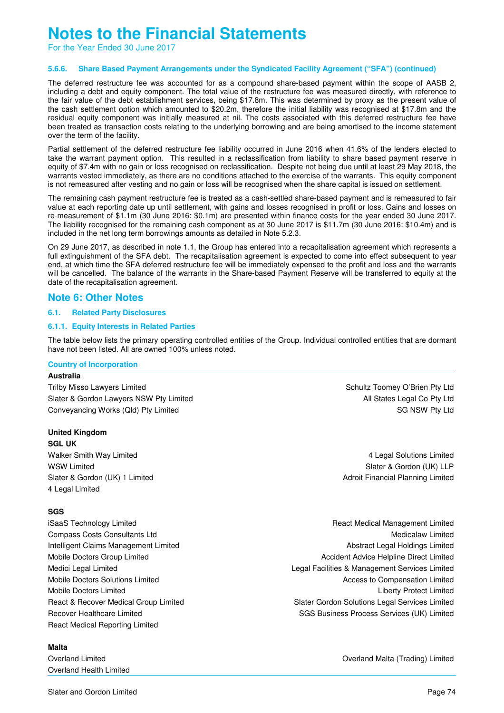For the Year Ended 30 June 2017

#### **5.6.6. Share Based Payment Arrangements under the Syndicated Facility Agreement ("SFA") (continued)**

The deferred restructure fee was accounted for as a compound share-based payment within the scope of AASB 2, including a debt and equity component. The total value of the restructure fee was measured directly, with reference to the fair value of the debt establishment services, being \$17.8m. This was determined by proxy as the present value of the cash settlement option which amounted to \$20.2m, therefore the initial liability was recognised at \$17.8m and the residual equity component was initially measured at nil. The costs associated with this deferred restructure fee have been treated as transaction costs relating to the underlying borrowing and are being amortised to the income statement over the term of the facility.

Partial settlement of the deferred restructure fee liability occurred in June 2016 when 41.6% of the lenders elected to take the warrant payment option. This resulted in a reclassification from liability to share based payment reserve in equity of \$7.4m with no gain or loss recognised on reclassification. Despite not being due until at least 29 May 2018, the warrants vested immediately, as there are no conditions attached to the exercise of the warrants. This equity component is not remeasured after vesting and no gain or loss will be recognised when the share capital is issued on settlement.

The remaining cash payment restructure fee is treated as a cash-settled share-based payment and is remeasured to fair value at each reporting date up until settlement, with gains and losses recognised in profit or loss. Gains and losses on re-measurement of \$1.1m (30 June 2016: \$0.1m) are presented within finance costs for the year ended 30 June 2017. The liability recognised for the remaining cash component as at 30 June 2017 is \$11.7m (30 June 2016: \$10.4m) and is included in the net long term borrowings amounts as detailed in Note 5.2.3.

On 29 June 2017, as described in note 1.1, the Group has entered into a recapitalisation agreement which represents a full extinguishment of the SFA debt. The recapitalisation agreement is expected to come into effect subsequent to year end, at which time the SFA deferred restructure fee will be immediately expensed to the profit and loss and the warrants will be cancelled. The balance of the warrants in the Share-based Payment Reserve will be transferred to equity at the date of the recapitalisation agreement.

### **Note 6: Other Notes**

#### **6.1. Related Party Disclosures**

#### **6.1.1. Equity Interests in Related Parties**

The table below lists the primary operating controlled entities of the Group. Individual controlled entities that are dormant have not been listed. All are owned 100% unless noted.

#### **Country of Incorporation**

#### **Australia**

Trilby Misso Lawyers Limited Schultz Toomey O'Brien Pty Ltd Slater & Gordon Lawyers NSW Pty Limited **All States Legal Co Pty Ltd** All States Legal Co Pty Ltd Conveyancing Works (Qld) Pty Limited SG NSW Pty Ltd

#### **United Kingdom**

**SGL UK**  Walker Smith Way Limited **Accord 2 Legal Solutions Limited** 4 Legal Solutions Limited 4 Legal Limited

#### **SGS**

React Medical Reporting Limited

#### **Malta**

Overland Health Limited

WSW Limited **Slater & Gordon (UK) LLP** Slater & Gordon (UK) 1 Limited **Across 2018** 2019 12:31 Adroit Financial Planning Limited Adroit Financial Planning Limited

iSaaS Technology Limited **React Medical Management Limited** React Medical Management Limited Compass Costs Consultants Ltd **Medicalaw Limited** Compass Costs Consultants Ltd Medicalaw Limited Intelligent Claims Management Limited **Abstract Legal Holdings Limited** Abstract Legal Holdings Limited Mobile Doctors Group Limited **Accident Advice Helpline Direct Limited** Accident Advice Helpline Direct Limited Medici Legal Limited Legal Facilities & Management Services Limited Mobile Doctors Solutions Limited **Access** to Compensation Limited Access to Compensation Limited Mobile Doctors Limited **Liberty Protect Limited** Liberty Protect Limited React & Recover Medical Group Limited Slater Gordon Solutions Legal Services Limited Recover Healthcare Limited SGS Business Process Services (UK) Limited

Overland Limited Overland Malta (Trading) Limited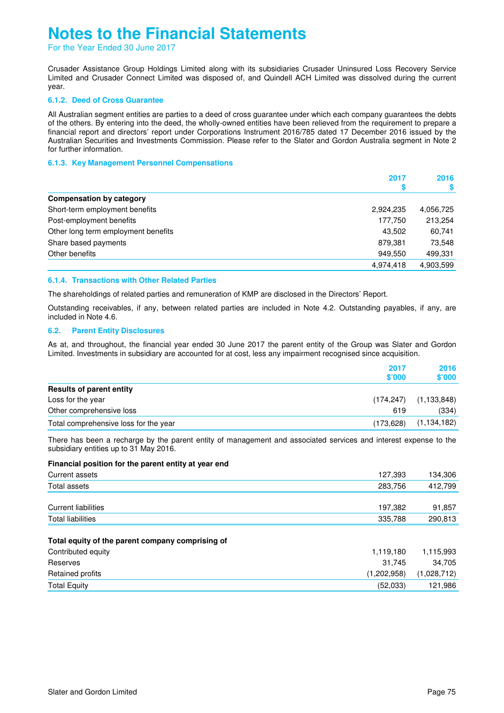For the Year Ended 30 June 2017

Crusader Assistance Group Holdings Limited along with its subsidiaries Crusader Uninsured Loss Recovery Service Limited and Crusader Connect Limited was disposed of, and Quindell ACH Limited was dissolved during the current year.

### **6.1.2. Deed of Cross Guarantee**

All Australian segment entities are parties to a deed of cross guarantee under which each company guarantees the debts of the others. By entering into the deed, the wholly-owned entities have been relieved from the requirement to prepare a financial report and directors' report under Corporations Instrument 2016/785 dated 17 December 2016 issued by the Australian Securities and Investments Commission. Please refer to the Slater and Gordon Australia segment in Note 2 for further information.

#### **6.1.3. Key Management Personnel Compensations**

|                                     | 2017      | 2016      |
|-------------------------------------|-----------|-----------|
|                                     |           |           |
| <b>Compensation by category</b>     |           |           |
| Short-term employment benefits      | 2,924,235 | 4,056,725 |
| Post-employment benefits            | 177,750   | 213,254   |
| Other long term employment benefits | 43,502    | 60,741    |
| Share based payments                | 879,381   | 73,548    |
| Other benefits                      | 949.550   | 499,331   |
|                                     | 4,974,418 | 4,903,599 |

#### **6.1.4. Transactions with Other Related Parties**

The shareholdings of related parties and remuneration of KMP are disclosed in the Directors' Report.

Outstanding receivables, if any, between related parties are included in Note 4.2. Outstanding payables, if any, are included in Note 4.6.

### **6.2. Parent Entity Disclosures**

As at, and throughout, the financial year ended 30 June 2017 the parent entity of the Group was Slater and Gordon Limited. Investments in subsidiary are accounted for at cost, less any impairment recognised since acquisition.

| 2017                                                | 2016          |
|-----------------------------------------------------|---------------|
| \$'000                                              | \$'000        |
| <b>Results of parent entity</b>                     |               |
| Loss for the year<br>(174.247)                      | (1, 133, 848) |
| Other comprehensive loss<br>619                     | (334)         |
| (173, 628)<br>Total comprehensive loss for the year | (1, 134, 182) |

There has been a recharge by the parent entity of management and associated services and interest expense to the subsidiary entities up to 31 May 2016.

#### **Financial position for the parent entity at year end**

| Current assets                                   | 127,393     | 134,306     |
|--------------------------------------------------|-------------|-------------|
| Total assets                                     | 283,756     | 412,799     |
|                                                  |             |             |
| <b>Current liabilities</b>                       | 197,382     | 91,857      |
| <b>Total liabilities</b>                         | 335,788     | 290,813     |
| Total equity of the parent company comprising of |             |             |
| Contributed equity                               | 1,119,180   | 1,115,993   |
| Reserves                                         | 31,745      | 34,705      |
| Retained profits                                 | (1,202,958) | (1,028,712) |
| <b>Total Equity</b>                              | (52,033)    | 121,986     |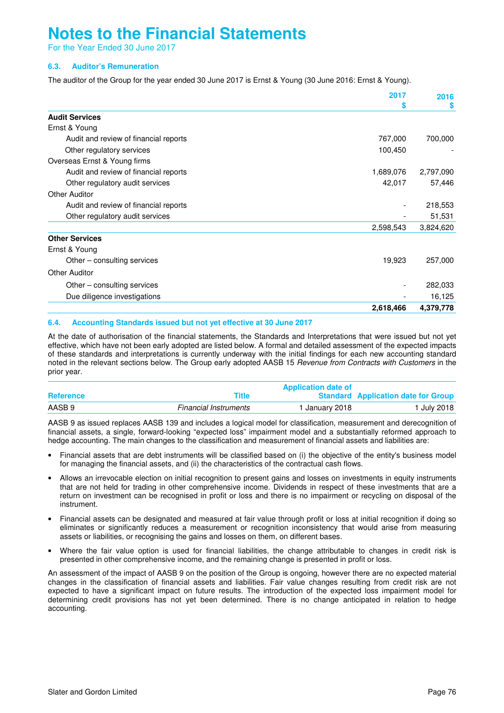For the Year Ended 30 June 2017

### **6.3. Auditor's Remuneration**

The auditor of the Group for the year ended 30 June 2017 is Ernst & Young (30 June 2016: Ernst & Young).

|                                       | 2017      | 2016      |
|---------------------------------------|-----------|-----------|
|                                       | S         | \$        |
| <b>Audit Services</b>                 |           |           |
| Ernst & Young                         |           |           |
| Audit and review of financial reports | 767,000   | 700,000   |
| Other regulatory services             | 100,450   |           |
| Overseas Ernst & Young firms          |           |           |
| Audit and review of financial reports | 1,689,076 | 2,797,090 |
| Other regulatory audit services       | 42,017    | 57,446    |
| <b>Other Auditor</b>                  |           |           |
| Audit and review of financial reports |           | 218,553   |
| Other regulatory audit services       |           | 51,531    |
|                                       | 2,598,543 | 3,824,620 |
| <b>Other Services</b>                 |           |           |
| Ernst & Young                         |           |           |
| Other - consulting services           | 19,923    | 257,000   |
| <b>Other Auditor</b>                  |           |           |
| Other - consulting services           |           | 282,033   |
| Due diligence investigations          |           | 16,125    |
|                                       | 2,618,466 | 4,379,778 |

#### **6.4. Accounting Standards issued but not yet effective at 30 June 2017**

At the date of authorisation of the financial statements, the Standards and Interpretations that were issued but not yet effective, which have not been early adopted are listed below. A formal and detailed assessment of the expected impacts of these standards and interpretations is currently underway with the initial findings for each new accounting standard noted in the relevant sections below. The Group early adopted AASB 15 Revenue from Contracts with Customers in the prior year.

|           |                              | <b>Application date of</b> |                                            |
|-----------|------------------------------|----------------------------|--------------------------------------------|
| Reference | Title                        |                            | <b>Standard Application date for Group</b> |
| AASB 9    | <b>Financial Instruments</b> | January 2018               | <sup>1</sup> July 2018                     |

AASB 9 as issued replaces AASB 139 and includes a logical model for classification, measurement and derecognition of financial assets, a single, forward-looking "expected loss" impairment model and a substantially reformed approach to hedge accounting. The main changes to the classification and measurement of financial assets and liabilities are:

- Financial assets that are debt instruments will be classified based on (i) the objective of the entity's business model for managing the financial assets, and (ii) the characteristics of the contractual cash flows.
- Allows an irrevocable election on initial recognition to present gains and losses on investments in equity instruments that are not held for trading in other comprehensive income. Dividends in respect of these investments that are a return on investment can be recognised in profit or loss and there is no impairment or recycling on disposal of the instrument.
- Financial assets can be designated and measured at fair value through profit or loss at initial recognition if doing so eliminates or significantly reduces a measurement or recognition inconsistency that would arise from measuring assets or liabilities, or recognising the gains and losses on them, on different bases.
- Where the fair value option is used for financial liabilities, the change attributable to changes in credit risk is presented in other comprehensive income, and the remaining change is presented in profit or loss.

An assessment of the impact of AASB 9 on the position of the Group is ongoing, however there are no expected material changes in the classification of financial assets and liabilities. Fair value changes resulting from credit risk are not expected to have a significant impact on future results. The introduction of the expected loss impairment model for determining credit provisions has not yet been determined. There is no change anticipated in relation to hedge accounting.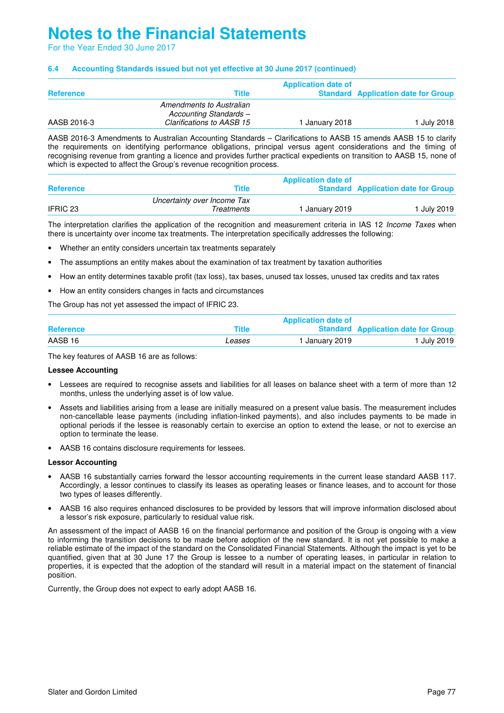For the Year Ended 30 June 2017

### **6.4 Accounting Standards issued but not yet effective at 30 June 2017 (continued)**

|                  |                                                   | <b>Application date of</b> |                                            |
|------------------|---------------------------------------------------|----------------------------|--------------------------------------------|
| <b>Reference</b> | Title                                             |                            | <b>Standard Application date for Group</b> |
|                  | Amendments to Australian<br>Accounting Standards- |                            |                                            |
| AASB 2016-3      | Clarifications to AASB 15                         | I January 2018             | 1 July 2018                                |

AASB 2016-3 Amendments to Australian Accounting Standards – Clarifications to AASB 15 amends AASB 15 to clarify the requirements on identifying performance obligations, principal versus agent considerations and the timing of recognising revenue from granting a licence and provides further practical expedients on transition to AASB 15, none of which is expected to affect the Group's revenue recognition process.

| <b>Reference</b> | Title                                     | <b>Application date of</b> | <b>Standard Application date for Group</b> |
|------------------|-------------------------------------------|----------------------------|--------------------------------------------|
| IFRIC 23         | Uncertainty over Income Tax<br>Treatments | l January 2019             | 1 July 2019                                |

The interpretation clarifies the application of the recognition and measurement criteria in IAS 12 Income Taxes when there is uncertainty over income tax treatments. The interpretation specifically addresses the following:

- Whether an entity considers uncertain tax treatments separately
- The assumptions an entity makes about the examination of tax treatment by taxation authorities
- How an entity determines taxable profit (tax loss), tax bases, unused tax losses, unused tax credits and tax rates
- How an entity considers changes in facts and circumstances

The Group has not yet assessed the impact of IFRIC 23.

| <b>Reference</b> | <b>Title</b> | <b>Application date of</b> | <b>Standard Application date for Group</b> |
|------------------|--------------|----------------------------|--------------------------------------------|
| AASB 16          | Leases       | January 2019               | 1 July 2019                                |

The key features of AASB 16 are as follows:

#### **Lessee Accounting**

- Lessees are required to recognise assets and liabilities for all leases on balance sheet with a term of more than 12 months, unless the underlying asset is of low value.
- Assets and liabilities arising from a lease are initially measured on a present value basis. The measurement includes non-cancellable lease payments (including inflation-linked payments), and also includes payments to be made in optional periods if the lessee is reasonably certain to exercise an option to extend the lease, or not to exercise an option to terminate the lease.
- AASB 16 contains disclosure requirements for lessees.

#### **Lessor Accounting**

- AASB 16 substantially carries forward the lessor accounting requirements in the current lease standard AASB 117. Accordingly, a lessor continues to classify its leases as operating leases or finance leases, and to account for those two types of leases differently.
- AASB 16 also requires enhanced disclosures to be provided by lessors that will improve information disclosed about a lessor's risk exposure, particularly to residual value risk.

An assessment of the impact of AASB 16 on the financial performance and position of the Group is ongoing with a view to informing the transition decisions to be made before adoption of the new standard. It is not yet possible to make a reliable estimate of the impact of the standard on the Consolidated Financial Statements. Although the impact is yet to be quantified, given that at 30 June 17 the Group is lessee to a number of operating leases, in particular in relation to properties, it is expected that the adoption of the standard will result in a material impact on the statement of financial position.

Currently, the Group does not expect to early adopt AASB 16.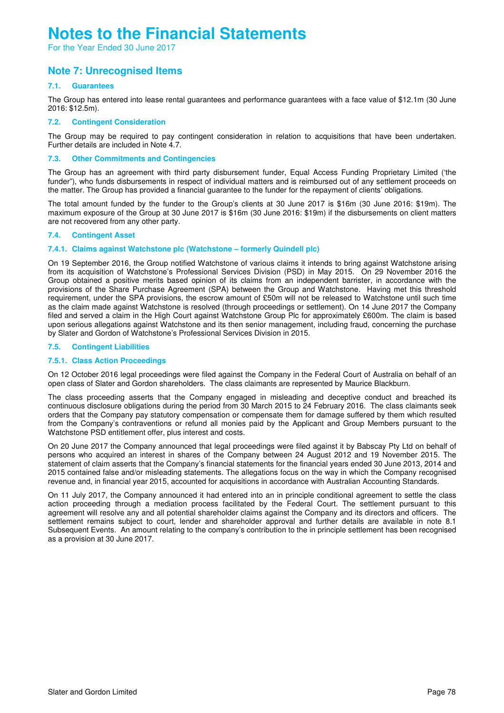For the Year Ended 30 June 2017

## **Note 7: Unrecognised Items**

### **7.1. Guarantees**

The Group has entered into lease rental guarantees and performance guarantees with a face value of \$12.1m (30 June 2016: \$12.5m).

#### **7.2. Contingent Consideration**

The Group may be required to pay contingent consideration in relation to acquisitions that have been undertaken. Further details are included in Note 4.7.

#### **7.3. Other Commitments and Contingencies**

The Group has an agreement with third party disbursement funder, Equal Access Funding Proprietary Limited ('the funder"), who funds disbursements in respect of individual matters and is reimbursed out of any settlement proceeds on the matter. The Group has provided a financial guarantee to the funder for the repayment of clients' obligations.

The total amount funded by the funder to the Group's clients at 30 June 2017 is \$16m (30 June 2016: \$19m). The maximum exposure of the Group at 30 June 2017 is \$16m (30 June 2016: \$19m) if the disbursements on client matters are not recovered from any other party.

#### **7.4. Contingent Asset**

#### **7.4.1. Claims against Watchstone plc (Watchstone – formerly Quindell plc)**

On 19 September 2016, the Group notified Watchstone of various claims it intends to bring against Watchstone arising from its acquisition of Watchstone's Professional Services Division (PSD) in May 2015. On 29 November 2016 the Group obtained a positive merits based opinion of its claims from an independent barrister, in accordance with the provisions of the Share Purchase Agreement (SPA) between the Group and Watchstone. Having met this threshold requirement, under the SPA provisions, the escrow amount of £50m will not be released to Watchstone until such time as the claim made against Watchstone is resolved (through proceedings or settlement). On 14 June 2017 the Company filed and served a claim in the High Court against Watchstone Group Plc for approximately £600m. The claim is based upon serious allegations against Watchstone and its then senior management, including fraud, concerning the purchase by Slater and Gordon of Watchstone's Professional Services Division in 2015.

### **7.5. Contingent Liabilities**

#### **7.5.1. Class Action Proceedings**

On 12 October 2016 legal proceedings were filed against the Company in the Federal Court of Australia on behalf of an open class of Slater and Gordon shareholders. The class claimants are represented by Maurice Blackburn.

The class proceeding asserts that the Company engaged in misleading and deceptive conduct and breached its continuous disclosure obligations during the period from 30 March 2015 to 24 February 2016. The class claimants seek orders that the Company pay statutory compensation or compensate them for damage suffered by them which resulted from the Company's contraventions or refund all monies paid by the Applicant and Group Members pursuant to the Watchstone PSD entitlement offer, plus interest and costs.

On 20 June 2017 the Company announced that legal proceedings were filed against it by Babscay Pty Ltd on behalf of persons who acquired an interest in shares of the Company between 24 August 2012 and 19 November 2015. The statement of claim asserts that the Company's financial statements for the financial years ended 30 June 2013, 2014 and 2015 contained false and/or misleading statements. The allegations focus on the way in which the Company recognised revenue and, in financial year 2015, accounted for acquisitions in accordance with Australian Accounting Standards.

On 11 July 2017, the Company announced it had entered into an in principle conditional agreement to settle the class action proceeding through a mediation process facilitated by the Federal Court. The settlement pursuant to this agreement will resolve any and all potential shareholder claims against the Company and its directors and officers. The settlement remains subject to court, lender and shareholder approval and further details are available in note 8.1 Subsequent Events. An amount relating to the company's contribution to the in principle settlement has been recognised as a provision at 30 June 2017.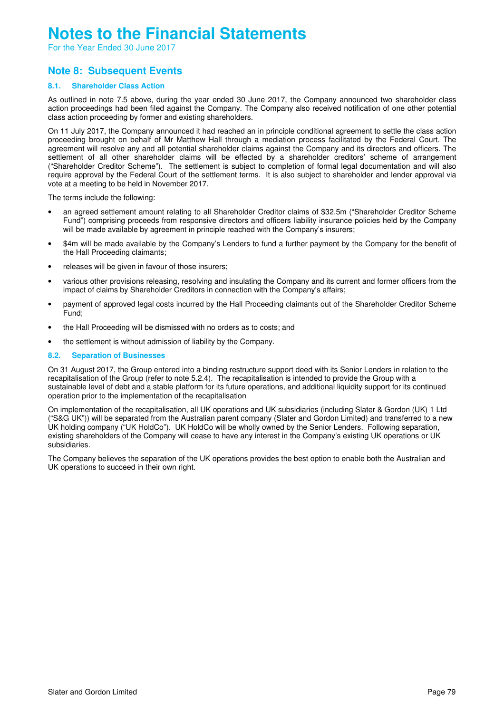For the Year Ended 30 June 2017

## **Note 8: Subsequent Events**

### **8.1. Shareholder Class Action**

As outlined in note 7.5 above, during the year ended 30 June 2017, the Company announced two shareholder class action proceedings had been filed against the Company. The Company also received notification of one other potential class action proceeding by former and existing shareholders.

On 11 July 2017, the Company announced it had reached an in principle conditional agreement to settle the class action proceeding brought on behalf of Mr Matthew Hall through a mediation process facilitated by the Federal Court. The agreement will resolve any and all potential shareholder claims against the Company and its directors and officers. The settlement of all other shareholder claims will be effected by a shareholder creditors' scheme of arrangement ("Shareholder Creditor Scheme"). The settlement is subject to completion of formal legal documentation and will also require approval by the Federal Court of the settlement terms. It is also subject to shareholder and lender approval via vote at a meeting to be held in November 2017.

The terms include the following:

- an agreed settlement amount relating to all Shareholder Creditor claims of \$32.5m ("Shareholder Creditor Scheme Fund") comprising proceeds from responsive directors and officers liability insurance policies held by the Company will be made available by agreement in principle reached with the Company's insurers;
- \$4m will be made available by the Company's Lenders to fund a further payment by the Company for the benefit of the Hall Proceeding claimants;
- releases will be given in favour of those insurers;
- various other provisions releasing, resolving and insulating the Company and its current and former officers from the impact of claims by Shareholder Creditors in connection with the Company's affairs;
- payment of approved legal costs incurred by the Hall Proceeding claimants out of the Shareholder Creditor Scheme Fund;
- the Hall Proceeding will be dismissed with no orders as to costs; and
- the settlement is without admission of liability by the Company.

#### **8.2. Separation of Businesses**

On 31 August 2017, the Group entered into a binding restructure support deed with its Senior Lenders in relation to the recapitalisation of the Group (refer to note 5.2.4). The recapitalisation is intended to provide the Group with a sustainable level of debt and a stable platform for its future operations, and additional liquidity support for its continued operation prior to the implementation of the recapitalisation

On implementation of the recapitalisation, all UK operations and UK subsidiaries (including Slater & Gordon (UK) 1 Ltd ("S&G UK")) will be separated from the Australian parent company (Slater and Gordon Limited) and transferred to a new UK holding company ("UK HoldCo"). UK HoldCo will be wholly owned by the Senior Lenders. Following separation, existing shareholders of the Company will cease to have any interest in the Company's existing UK operations or UK subsidiaries.

The Company believes the separation of the UK operations provides the best option to enable both the Australian and UK operations to succeed in their own right.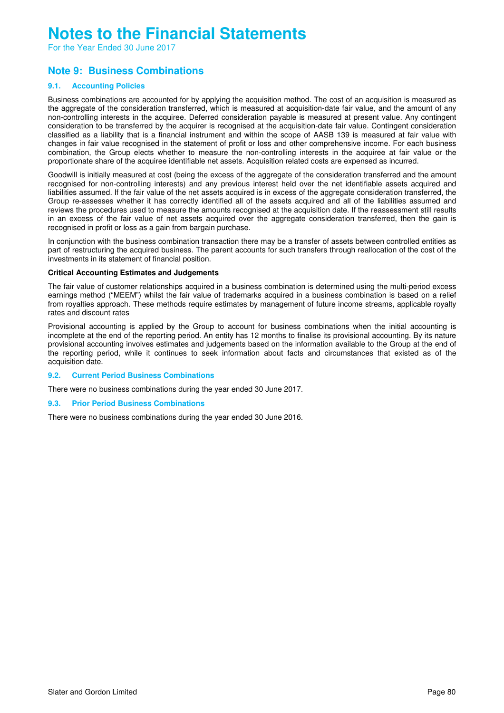For the Year Ended 30 June 2017

# **Note 9: Business Combinations**

#### **9.1. Accounting Policies**

Business combinations are accounted for by applying the acquisition method. The cost of an acquisition is measured as the aggregate of the consideration transferred, which is measured at acquisition-date fair value, and the amount of any non-controlling interests in the acquiree. Deferred consideration payable is measured at present value. Any contingent consideration to be transferred by the acquirer is recognised at the acquisition-date fair value. Contingent consideration classified as a liability that is a financial instrument and within the scope of AASB 139 is measured at fair value with changes in fair value recognised in the statement of profit or loss and other comprehensive income. For each business combination, the Group elects whether to measure the non-controlling interests in the acquiree at fair value or the proportionate share of the acquiree identifiable net assets. Acquisition related costs are expensed as incurred.

Goodwill is initially measured at cost (being the excess of the aggregate of the consideration transferred and the amount recognised for non-controlling interests) and any previous interest held over the net identifiable assets acquired and liabilities assumed. If the fair value of the net assets acquired is in excess of the aggregate consideration transferred, the Group re-assesses whether it has correctly identified all of the assets acquired and all of the liabilities assumed and reviews the procedures used to measure the amounts recognised at the acquisition date. If the reassessment still results in an excess of the fair value of net assets acquired over the aggregate consideration transferred, then the gain is recognised in profit or loss as a gain from bargain purchase.

In conjunction with the business combination transaction there may be a transfer of assets between controlled entities as part of restructuring the acquired business. The parent accounts for such transfers through reallocation of the cost of the investments in its statement of financial position.

#### **Critical Accounting Estimates and Judgements**

The fair value of customer relationships acquired in a business combination is determined using the multi-period excess earnings method ("MEEM") whilst the fair value of trademarks acquired in a business combination is based on a relief from royalties approach. These methods require estimates by management of future income streams, applicable royalty rates and discount rates

Provisional accounting is applied by the Group to account for business combinations when the initial accounting is incomplete at the end of the reporting period. An entity has 12 months to finalise its provisional accounting. By its nature provisional accounting involves estimates and judgements based on the information available to the Group at the end of the reporting period, while it continues to seek information about facts and circumstances that existed as of the acquisition date.

#### **9.2. Current Period Business Combinations**

There were no business combinations during the year ended 30 June 2017.

#### **9.3. Prior Period Business Combinations**

There were no business combinations during the year ended 30 June 2016.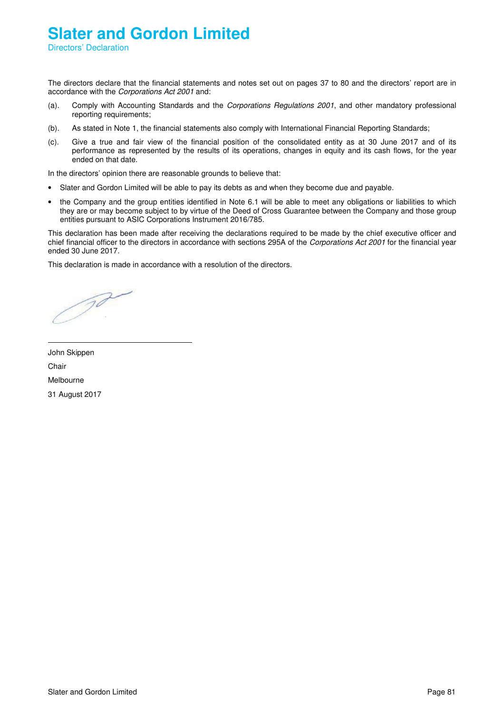# **Slater and Gordon Limited**

Directors' Declaration

The directors declare that the financial statements and notes set out on pages 37 to 80 and the directors' report are in accordance with the Corporations Act 2001 and:

- (a). Comply with Accounting Standards and the Corporations Regulations 2001, and other mandatory professional reporting requirements;
- (b). As stated in Note 1, the financial statements also comply with International Financial Reporting Standards;
- (c). Give a true and fair view of the financial position of the consolidated entity as at 30 June 2017 and of its performance as represented by the results of its operations, changes in equity and its cash flows, for the year ended on that date.

In the directors' opinion there are reasonable grounds to believe that:

- Slater and Gordon Limited will be able to pay its debts as and when they become due and payable.
- the Company and the group entities identified in Note 6.1 will be able to meet any obligations or liabilities to which they are or may become subject to by virtue of the Deed of Cross Guarantee between the Company and those group entities pursuant to ASIC Corporations Instrument 2016/785.

This declaration has been made after receiving the declarations required to be made by the chief executive officer and chief financial officer to the directors in accordance with sections 295A of the Corporations Act 2001 for the financial year ended 30 June 2017.

This declaration is made in accordance with a resolution of the directors.

50

John Skippen **Chair** Melbourne 31 August 2017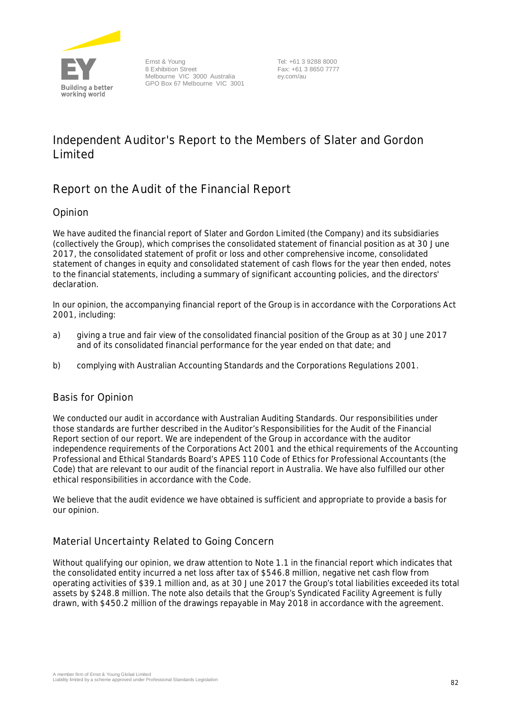

Ernst & Young 8 Exhibition Street Melbourne VIC 3000 Australia GPO Box 67 Melbourne VIC 3001

 Tel: +61 3 9288 8000 Fax: +61 3 8650 7777 ey.com/au

# **Independent Auditor's Report to the Members of Slater and Gordon Limited**

# Report on the Audit of the Financial Report

# Opinion

We have audited the financial report of Slater and Gordon Limited (the Company) and its subsidiaries (collectively the Group), which comprises the consolidated statement of financial position as at 30 June 2017, the consolidated statement of profit or loss and other comprehensive income, consolidated statement of changes in equity and consolidated statement of cash flows for the year then ended, notes to the financial statements, including a summary of significant accounting policies, and the directors' declaration.

In our opinion, the accompanying financial report of the Group is in accordance with the *Corporations Act 2001*, including:

- a) giving a true and fair view of the consolidated financial position of the Group as at 30 June 2017 and of its consolidated financial performance for the year ended on that date; and
- b) complying with Australian Accounting Standards and the *Corporations Regulations 2001*.

## Basis for Opinion

We conducted our audit in accordance with Australian Auditing Standards. Our responsibilities under those standards are further described in the *Auditor's Responsibilities for the Audit of the Financial Report* section of our report. We are independent of the Group in accordance with the auditor independence requirements of the *Corporations Act 2001* and the ethical requirements of the Accounting Professional and Ethical Standards Board's APES 110 *Code of Ethics for Professional Accountants* (the Code) that are relevant to our audit of the financial report in Australia. We have also fulfilled our other ethical responsibilities in accordance with the Code.

We believe that the audit evidence we have obtained is sufficient and appropriate to provide a basis for our opinion.

## Material Uncertainty Related to Going Concern

Without qualifying our opinion, we draw attention to Note 1.1 in the financial report which indicates that the consolidated entity incurred a net loss after tax of \$546.8 million, negative net cash flow from operating activities of \$39.1 million and, as at 30 June 2017 the Group's total liabilities exceeded its total assets by \$248.8 million. The note also details that the Group's Syndicated Facility Agreement is fully drawn, with \$450.2 million of the drawings repayable in May 2018 in accordance with the agreement.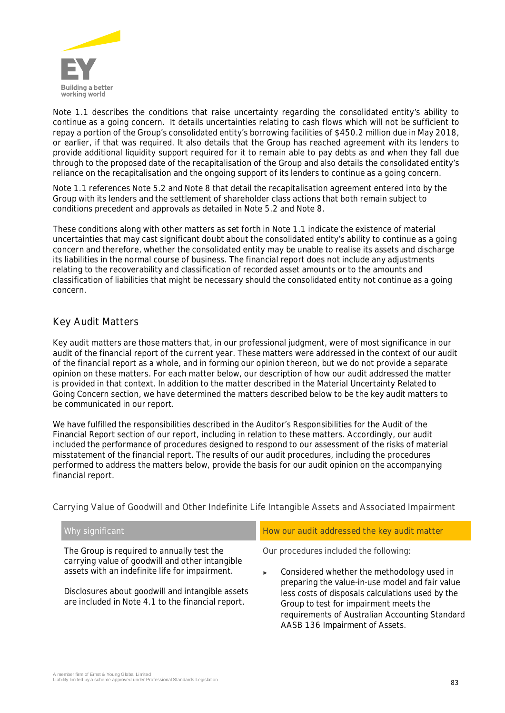

Note 1.1 describes the conditions that raise uncertainty regarding the consolidated entity's ability to continue as a going concern. It details uncertainties relating to cash flows which will not be sufficient to repay a portion of the Group's consolidated entity's borrowing facilities of \$450.2 million due in May 2018, or earlier, if that was required. It also details that the Group has reached agreement with its lenders to provide additional liquidity support required for it to remain able to pay debts as and when they fall due through to the proposed date of the recapitalisation of the Group and also details the consolidated entity's reliance on the recapitalisation and the ongoing support of its lenders to continue as a going concern.

Note 1.1 references Note 5.2 and Note 8 that detail the recapitalisation agreement entered into by the Group with its lenders and the settlement of shareholder class actions that both remain subject to conditions precedent and approvals as detailed in Note 5.2 and Note 8.

These conditions along with other matters as set forth in Note 1.1 indicate the existence of material uncertainties that may cast significant doubt about the consolidated entity's ability to continue as a going concern and therefore, whether the consolidated entity may be unable to realise its assets and discharge its liabilities in the normal course of business. The financial report does not include any adjustments relating to the recoverability and classification of recorded asset amounts or to the amounts and classification of liabilities that might be necessary should the consolidated entity not continue as a going concern.

## Key Audit Matters

Key audit matters are those matters that, in our professional judgment, were of most significance in our audit of the financial report of the current year. These matters were addressed in the context of our audit of the financial report as a whole, and in forming our opinion thereon, but we do not provide a separate opinion on these matters. For each matter below, our description of how our audit addressed the matter is provided in that context. In addition to the matter described in the *Material Uncertainty Related to Going Concern* section, we have determined the matters described below to be the key audit matters to be communicated in our report.

We have fulfilled the responsibilities described in the *Auditor's Responsibilities for the Audit of the Financial Repor*t section of our report, including in relation to these matters. Accordingly, our audit included the performance of procedures designed to respond to our assessment of the risks of material misstatement of the financial report. The results of our audit procedures, including the procedures performed to address the matters below, provide the basis for our audit opinion on the accompanying financial report.

**Carrying Value of Goodwill and Other Indefinite Life Intangible Assets and Associated Impairment**

| Why significant                                                                                       | How our audit addressed the key audit matter                                                                                                 |  |
|-------------------------------------------------------------------------------------------------------|----------------------------------------------------------------------------------------------------------------------------------------------|--|
| The Group is required to annually test the<br>carrying value of goodwill and other intangible         | Our procedures included the following:                                                                                                       |  |
| assets with an indefinite life for impairment.                                                        | Considered whether the methodology used in<br>$\blacktriangleright$<br>preparing the value-in-use model and fair value                       |  |
| Disclosures about goodwill and intangible assets<br>are included in Note 4.1 to the financial report. | less costs of disposals calculations used by the<br>Group to test for impairment meets the<br>requirements of Australian Accounting Standard |  |

AASB 136 *Impairment of Assets.*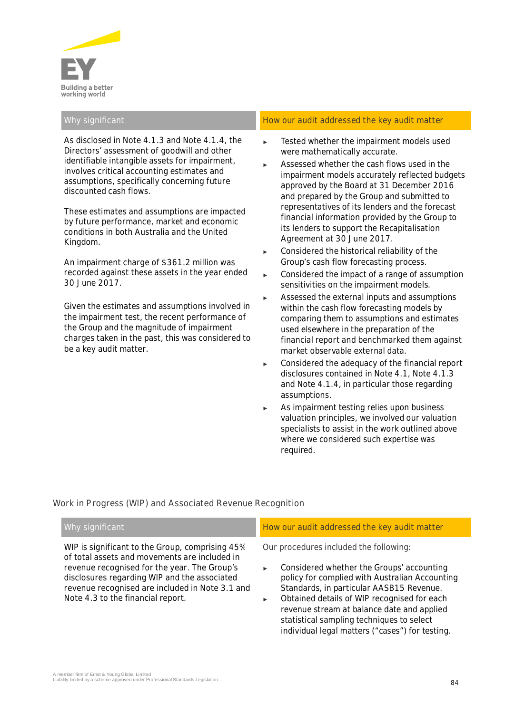

As disclosed in Note 4.1.3 and Note 4.1.4, the Directors' assessment of goodwill and other identifiable intangible assets for impairment, involves critical accounting estimates and assumptions, specifically concerning future discounted cash flows.

These estimates and assumptions are impacted by future performance, market and economic conditions in both Australia and the United Kingdom.

An impairment charge of \$361.2 million was recorded against these assets in the year ended 30 June 2017.

Given the estimates and assumptions involved in the impairment test, the recent performance of the Group and the magnitude of impairment charges taken in the past, this was considered to be a key audit matter.

### **Why significant How our audit addressed the key audit matter**

- ► Tested whether the impairment models used were mathematically accurate.
- Assessed whether the cash flows used in the impairment models accurately reflected budgets approved by the Board at 31 December 2016 and prepared by the Group and submitted to representatives of its lenders and the forecast financial information provided by the Group to its lenders to support the Recapitalisation Agreement at 30 June 2017.
- Considered the historical reliability of the Group's cash flow forecasting process.
- Considered the impact of a range of assumption sensitivities on the impairment models.
- Assessed the external inputs and assumptions within the cash flow forecasting models by comparing them to assumptions and estimates used elsewhere in the preparation of the financial report and benchmarked them against market observable external data.
- ► Considered the adequacy of the financial report disclosures contained in Note 4.1, Note 4.1.3 and Note 4.1.4, in particular those regarding assumptions.
- As impairment testing relies upon business valuation principles, we involved our valuation specialists to assist in the work outlined above where we considered such expertise was required.

**Work in Progress (WIP) and Associated Revenue Recognition**

WIP is significant to the Group, comprising 45% of total assets and movements are included in revenue recognised for the year. The Group's disclosures regarding WIP and the associated revenue recognised are included in Note 3.1 and Note 4.3 to the financial report.

## **Why significant How our audit addressed the key audit matter**

Our procedures included the following:

- Considered whether the Groups' accounting policy for complied with Australian Accounting Standards, in particular AASB15 *Revenue*.
- ► Obtained details of WIP recognised for each revenue stream at balance date and applied statistical sampling techniques to select individual legal matters ("cases") for testing.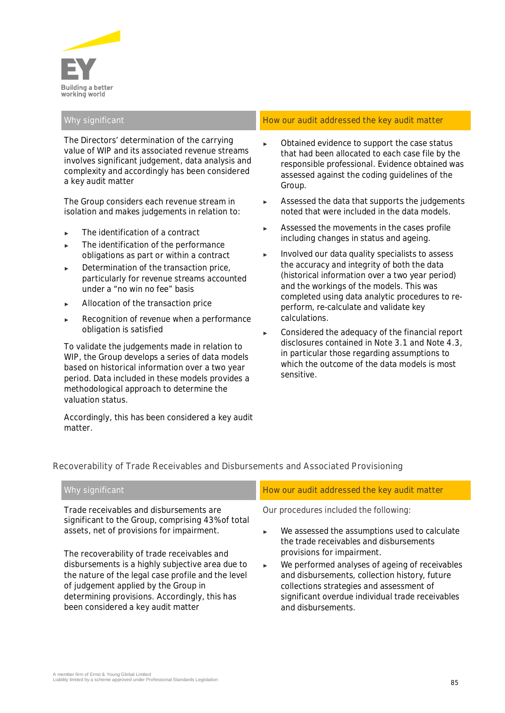

The Directors' determination of the carrying value of WIP and its associated revenue streams involves significant judgement, data analysis and complexity and accordingly has been considered a key audit matter

The Group considers each revenue stream in isolation and makes judgements in relation to:

- ► The identification of a contract
- ► The identification of the performance obligations as part or within a contract
- Determination of the transaction price, particularly for revenue streams accounted under a "no win no fee" basis
- Allocation of the transaction price
- ► Recognition of revenue when a performance obligation is satisfied

To validate the judgements made in relation to WIP, the Group develops a series of data models based on historical information over a two year period. Data included in these models provides a methodological approach to determine the valuation status.

Accordingly, this has been considered a key audit matter.

### **Why significant How our audit addressed the key audit matter**

- ► Obtained evidence to support the case status that had been allocated to each case file by the responsible professional. Evidence obtained was assessed against the coding guidelines of the Group.
- Assessed the data that supports the judgements noted that were included in the data models.
- ► Assessed the movements in the cases profile including changes in status and ageing.
- ► Involved our data quality specialists to assess the accuracy and integrity of both the data (historical information over a two year period) and the workings of the models. This was completed using data analytic procedures to reperform, re-calculate and validate key calculations.
- ► Considered the adequacy of the financial report disclosures contained in Note 3.1 and Note 4.3, in particular those regarding assumptions to which the outcome of the data models is most sensitive.

**Recoverability of Trade Receivables and Disbursements and Associated Provisioning**

| Why significant                                                                                                                                                                                                                       | How our audit addressed the key audit matter                                                                                                                                                                               |  |
|---------------------------------------------------------------------------------------------------------------------------------------------------------------------------------------------------------------------------------------|----------------------------------------------------------------------------------------------------------------------------------------------------------------------------------------------------------------------------|--|
| Trade receivables and disbursements are<br>significant to the Group, comprising 43% of total<br>assets, net of provisions for impairment.                                                                                             | Our procedures included the following:                                                                                                                                                                                     |  |
|                                                                                                                                                                                                                                       | We assessed the assumptions used to calculate<br>ь<br>the trade receivables and disbursements                                                                                                                              |  |
| The recoverability of trade receivables and                                                                                                                                                                                           | provisions for impairment.                                                                                                                                                                                                 |  |
| disbursements is a highly subjective area due to<br>the nature of the legal case profile and the level<br>of judgement applied by the Group in<br>determining provisions. Accordingly, this has<br>been considered a key audit matter | We performed analyses of ageing of receivables<br>ы<br>and disbursements, collection history, future<br>collections strategies and assessment of<br>significant overdue individual trade receivables<br>and disbursements. |  |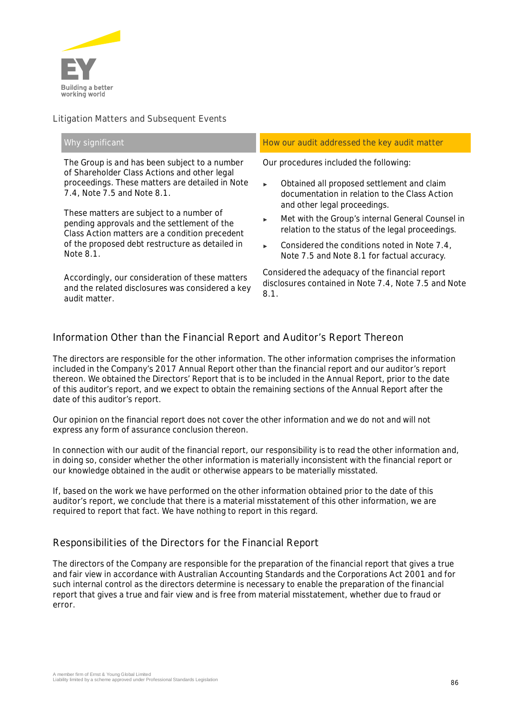

### **Litigation Matters and Subsequent Events**

The Group is and has been subject to a number of Shareholder Class Actions and other legal proceedings. These matters are detailed in Note 7.4, Note 7.5 and Note 8.1.

These matters are subject to a number of pending approvals and the settlement of the Class Action matters are a condition precedent of the proposed debt restructure as detailed in Note 8.1.

Accordingly, our consideration of these matters and the related disclosures was considered a key audit matter.

### **Why significant How our audit addressed the key audit matter**

Our procedures included the following:

- Obtained all proposed settlement and claim documentation in relation to the Class Action and other legal proceedings.
- Met with the Group's internal General Counsel in relation to the status of the legal proceedings.
- ► Considered the conditions noted in Note 7.4, Note 7.5 and Note 8.1 for factual accuracy.

Considered the adequacy of the financial report disclosures contained in Note 7.4, Note 7.5 and Note 8.1.

## Information Other than the Financial Report and Auditor's Report Thereon

The directors are responsible for the other information. The other information comprises the information included in the Company's 2017 Annual Report other than the financial report and our auditor's report thereon. We obtained the Directors' Report that is to be included in the Annual Report, prior to the date of this auditor's report, and we expect to obtain the remaining sections of the Annual Report after the date of this auditor's report.

Our opinion on the financial report does not cover the other information and we do not and will not express any form of assurance conclusion thereon.

In connection with our audit of the financial report, our responsibility is to read the other information and, in doing so, consider whether the other information is materially inconsistent with the financial report or our knowledge obtained in the audit or otherwise appears to be materially misstated.

If, based on the work we have performed on the other information obtained prior to the date of this auditor's report, we conclude that there is a material misstatement of this other information, we are required to report that fact. We have nothing to report in this regard.

## Responsibilities of the Directors for the Financial Report

The directors of the Company are responsible for the preparation of the financial report that gives a true and fair view in accordance with Australian Accounting Standards and the *Corporations Act 2001* and for such internal control as the directors determine is necessary to enable the preparation of the financial report that gives a true and fair view and is free from material misstatement, whether due to fraud or error.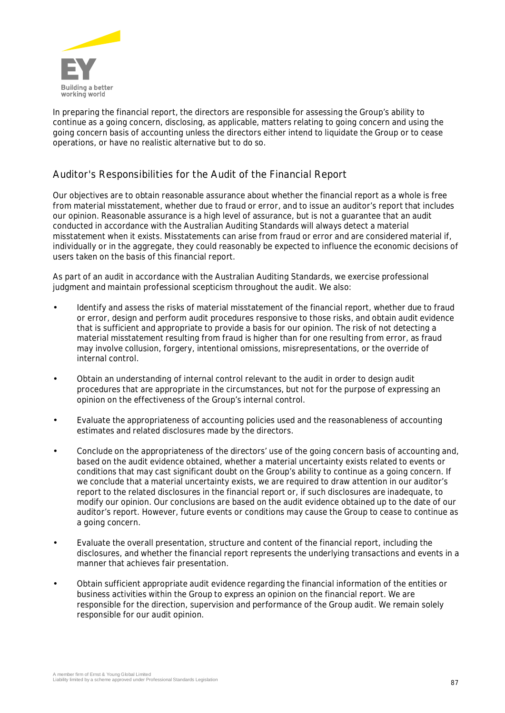

In preparing the financial report, the directors are responsible for assessing the Group's ability to continue as a going concern, disclosing, as applicable, matters relating to going concern and using the going concern basis of accounting unless the directors either intend to liquidate the Group or to cease operations, or have no realistic alternative but to do so.

# Auditor's Responsibilities for the Audit of the Financial Report

Our objectives are to obtain reasonable assurance about whether the financial report as a whole is free from material misstatement, whether due to fraud or error, and to issue an auditor's report that includes our opinion. Reasonable assurance is a high level of assurance, but is not a guarantee that an audit conducted in accordance with the Australian Auditing Standards will always detect a material misstatement when it exists. Misstatements can arise from fraud or error and are considered material if, individually or in the aggregate, they could reasonably be expected to influence the economic decisions of users taken on the basis of this financial report.

As part of an audit in accordance with the Australian Auditing Standards, we exercise professional judgment and maintain professional scepticism throughout the audit. We also:

- Identify and assess the risks of material misstatement of the financial report, whether due to fraud or error, design and perform audit procedures responsive to those risks, and obtain audit evidence that is sufficient and appropriate to provide a basis for our opinion. The risk of not detecting a material misstatement resulting from fraud is higher than for one resulting from error, as fraud may involve collusion, forgery, intentional omissions, misrepresentations, or the override of internal control.
- Obtain an understanding of internal control relevant to the audit in order to design audit procedures that are appropriate in the circumstances, but not for the purpose of expressing an opinion on the effectiveness of the Group's internal control.
- Evaluate the appropriateness of accounting policies used and the reasonableness of accounting estimates and related disclosures made by the directors.
- Conclude on the appropriateness of the directors' use of the going concern basis of accounting and, based on the audit evidence obtained, whether a material uncertainty exists related to events or conditions that may cast significant doubt on the Group's ability to continue as a going concern. If we conclude that a material uncertainty exists, we are required to draw attention in our auditor's report to the related disclosures in the financial report or, if such disclosures are inadequate, to modify our opinion. Our conclusions are based on the audit evidence obtained up to the date of our auditor's report. However, future events or conditions may cause the Group to cease to continue as a going concern.
- Evaluate the overall presentation, structure and content of the financial report, including the disclosures, and whether the financial report represents the underlying transactions and events in a manner that achieves fair presentation.
- Obtain sufficient appropriate audit evidence regarding the financial information of the entities or business activities within the Group to express an opinion on the financial report. We are responsible for the direction, supervision and performance of the Group audit. We remain solely responsible for our audit opinion.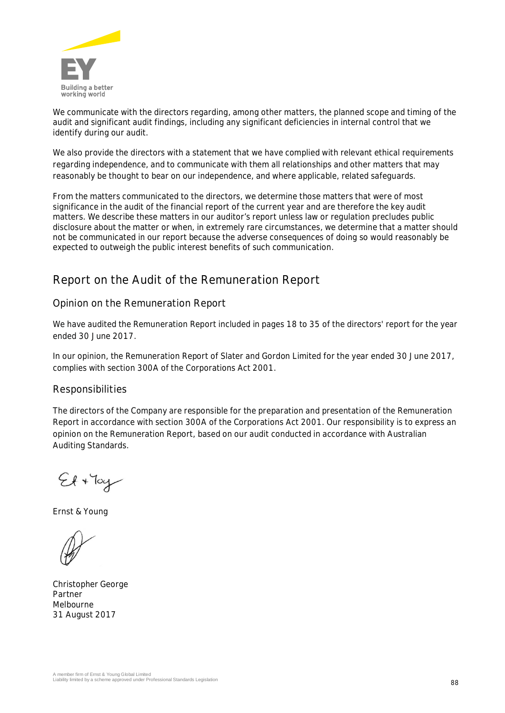

We communicate with the directors regarding, among other matters, the planned scope and timing of the audit and significant audit findings, including any significant deficiencies in internal control that we identify during our audit.

We also provide the directors with a statement that we have complied with relevant ethical requirements regarding independence, and to communicate with them all relationships and other matters that may reasonably be thought to bear on our independence, and where applicable, related safeguards.

From the matters communicated to the directors, we determine those matters that were of most significance in the audit of the financial report of the current year and are therefore the key audit matters. We describe these matters in our auditor's report unless law or regulation precludes public disclosure about the matter or when, in extremely rare circumstances, we determine that a matter should not be communicated in our report because the adverse consequences of doing so would reasonably be expected to outweigh the public interest benefits of such communication.

# Report on the Audit of the Remuneration Report

# Opinion on the Remuneration Report

We have audited the Remuneration Report included in pages 18 to 35 of the directors' report for the year ended 30 June 2017.

In our opinion, the Remuneration Report of Slater and Gordon Limited for the year ended 30 June 2017, complies with section 300A of the *Corporations Act 2001.*

## **Responsibilities**

The directors of the Company are responsible for the preparation and presentation of the Remuneration Report in accordance with section 300A of the *Corporations Act 2001*. Our responsibility is to express an opinion on the Remuneration Report, based on our audit conducted in accordance with Australian Auditing Standards.

 $E4 + 70y$ 

Ernst & Young

Christopher George Partner Melbourne 31 August 2017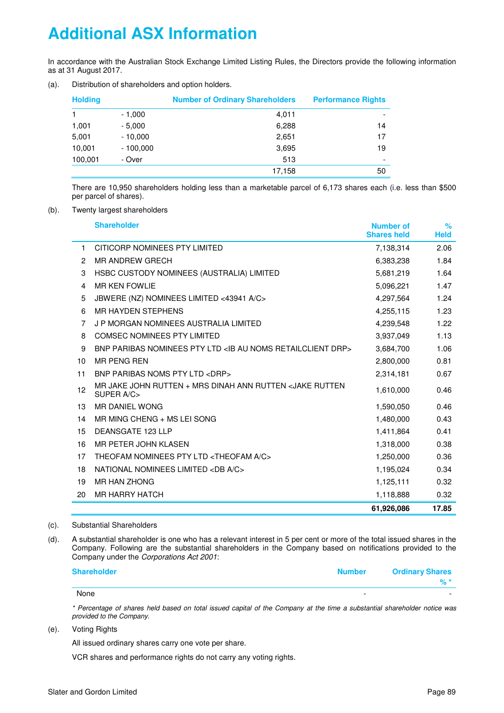# **Additional ASX Information**

In accordance with the Australian Stock Exchange Limited Listing Rules, the Directors provide the following information as at 31 August 2017.

(a). Distribution of shareholders and option holders.

| <b>Holding</b> |            | <b>Number of Ordinary Shareholders</b> | <b>Performance Rights</b> |
|----------------|------------|----------------------------------------|---------------------------|
|                | $-1,000$   | 4,011                                  | $\overline{\phantom{a}}$  |
| 1,001          | $-5,000$   | 6,288                                  | 14                        |
| 5,001          | $-10,000$  | 2,651                                  | 17                        |
| 10,001         | $-100,000$ | 3,695                                  | 19                        |
| 100,001        | - Over     | 513                                    | $\overline{\phantom{a}}$  |
|                |            | 17,158                                 | 50                        |

There are 10,950 shareholders holding less than a marketable parcel of 6,173 shares each (i.e. less than \$500 per parcel of shares).

#### (b). Twenty largest shareholders

|                | <b>Shareholder</b>                                                                 | <b>Number of</b><br><b>Shares held</b> | $\%$<br><b>Held</b> |
|----------------|------------------------------------------------------------------------------------|----------------------------------------|---------------------|
| 1              | CITICORP NOMINEES PTY LIMITED                                                      | 7,138,314                              | 2.06                |
| $\overline{2}$ | <b>MR ANDREW GRECH</b>                                                             | 6,383,238                              | 1.84                |
| 3              | HSBC CUSTODY NOMINEES (AUSTRALIA) LIMITED                                          | 5,681,219                              | 1.64                |
| 4              | <b>MR KEN FOWLIE</b>                                                               | 5,096,221                              | 1.47                |
| 5              | JBWERE (NZ) NOMINEES LIMITED <43941 A/C>                                           | 4,297,564                              | 1.24                |
| 6              | <b>MR HAYDEN STEPHENS</b>                                                          | 4,255,115                              | 1.23                |
| $\overline{7}$ | J P MORGAN NOMINEES AUSTRALIA LIMITED                                              | 4,239,548                              | 1.22                |
| 8              | <b>COMSEC NOMINEES PTY LIMITED</b>                                                 | 3,937,049                              | 1.13                |
| 9              | BNP PARIBAS NOMINEES PTY LTD <ib au="" drp="" noms="" retailclient=""></ib>        | 3,684,700                              | 1.06                |
| 10             | <b>MR PENG REN</b>                                                                 | 2,800,000                              | 0.81                |
| 11             | <b>BNP PARIBAS NOMS PTY LTD <drp></drp></b>                                        | 2,314,181                              | 0.67                |
| 12             | MR JAKE JOHN RUTTEN + MRS DINAH ANN RUTTEN <jake rutten<br="">SUPER A/C&gt;</jake> | 1,610,000                              | 0.46                |
| 13             | <b>MR DANIEL WONG</b>                                                              | 1,590,050                              | 0.46                |
| 14             | MR MING CHENG + MS LEI SONG                                                        | 1,480,000                              | 0.43                |
| 15             | DEANSGATE 123 LLP                                                                  | 1,411,864                              | 0.41                |
| 16             | <b>MR PETER JOHN KLASEN</b>                                                        | 1,318,000                              | 0.38                |
| 17             | THEOFAM NOMINEES PTY LTD <theofam a="" c=""></theofam>                             | 1,250,000                              | 0.36                |
| 18             | NATIONAL NOMINEES LIMITED <db a="" c=""></db>                                      | 1,195,024                              | 0.34                |
| 19             | <b>MR HAN ZHONG</b>                                                                | 1,125,111                              | 0.32                |
| 20             | <b>MR HARRY HATCH</b>                                                              | 1,118,888                              | 0.32                |
|                |                                                                                    | 61,926,086                             | 17.85               |

#### (c). Substantial Shareholders

(d). A substantial shareholder is one who has a relevant interest in 5 per cent or more of the total issued shares in the Company. Following are the substantial shareholders in the Company based on notifications provided to the Company under the Corporations Act 2001:

| <b>Shareholder</b> | <b>Number</b> | <b>Ordinary Shares</b>   |
|--------------------|---------------|--------------------------|
| None               | -             | $\overline{\phantom{0}}$ |

\* Percentage of shares held based on total issued capital of the Company at the time a substantial shareholder notice was provided to the Company.

(e). Voting Rights

All issued ordinary shares carry one vote per share.

VCR shares and performance rights do not carry any voting rights.